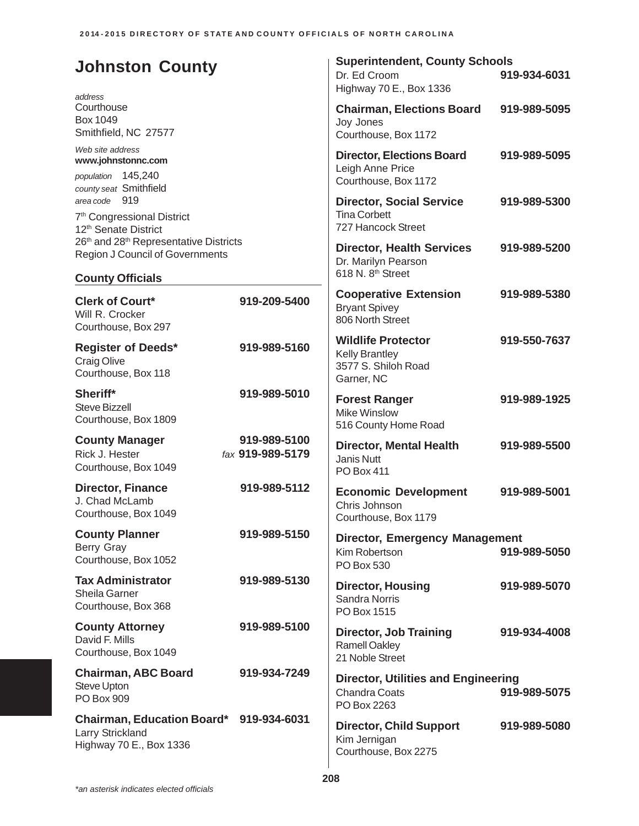| <b>Johnston County</b><br>address                                                                           |                                  | <b>Superintendent, County Schools</b><br>Dr. Ed Croom<br>Highway 70 E., Box 1336         | 919-934-6031 |
|-------------------------------------------------------------------------------------------------------------|----------------------------------|------------------------------------------------------------------------------------------|--------------|
| Courthouse<br><b>Box 1049</b><br>Smithfield, NC 27577                                                       |                                  | <b>Chairman, Elections Board</b><br>Joy Jones<br>Courthouse, Box 1172                    | 919-989-5095 |
| Web site address<br>www.johnstonnc.com<br>population 145,240<br>county seat Smithfield                      |                                  | <b>Director, Elections Board</b><br>Leigh Anne Price<br>Courthouse, Box 1172             | 919-989-5095 |
| area code 919<br>7 <sup>th</sup> Congressional District<br>12 <sup>th</sup> Senate District                 |                                  | <b>Director, Social Service</b><br><b>Tina Corbett</b><br>727 Hancock Street             | 919-989-5300 |
| 26th and 28th Representative Districts<br><b>Region J Council of Governments</b><br><b>County Officials</b> |                                  | <b>Director, Health Services</b><br>Dr. Marilyn Pearson<br>618 N. 8 <sup>th</sup> Street | 919-989-5200 |
| <b>Clerk of Court*</b><br>Will R. Crocker<br>Courthouse, Box 297                                            | 919-209-5400                     | <b>Cooperative Extension</b><br><b>Bryant Spivey</b><br>806 North Street                 | 919-989-5380 |
| <b>Register of Deeds*</b><br><b>Craig Olive</b><br>Courthouse, Box 118                                      | 919-989-5160                     | <b>Wildlife Protector</b><br><b>Kelly Brantley</b><br>3577 S. Shiloh Road<br>Garner, NC  | 919-550-7637 |
| Sheriff*<br><b>Steve Bizzell</b><br>Courthouse, Box 1809                                                    | 919-989-5010                     | <b>Forest Ranger</b><br><b>Mike Winslow</b><br>516 County Home Road                      | 919-989-1925 |
| <b>County Manager</b><br>Rick J. Hester<br>Courthouse, Box 1049                                             | 919-989-5100<br>fax 919-989-5179 | <b>Director, Mental Health</b><br>Janis Nutt<br><b>PO Box 411</b>                        | 919-989-5500 |
| <b>Director, Finance</b><br>J. Chad McLamb<br>Courthouse, Box 1049                                          | 919-989-5112                     | <b>Economic Development</b><br>Chris Johnson<br>Courthouse, Box 1179                     | 919-989-5001 |
| <b>County Planner</b><br>Berry Gray<br>Courthouse, Box 1052                                                 | 919-989-5150                     | <b>Director, Emergency Management</b><br>Kim Robertson<br>PO Box 530                     | 919-989-5050 |
| <b>Tax Administrator</b><br>Sheila Garner<br>Courthouse, Box 368                                            | 919-989-5130                     | <b>Director, Housing</b><br><b>Sandra Norris</b><br>PO Box 1515                          | 919-989-5070 |
| <b>County Attorney</b><br>David F. Mills<br>Courthouse, Box 1049                                            | 919-989-5100                     | <b>Director, Job Training</b><br><b>Ramell Oakley</b><br>21 Noble Street                 | 919-934-4008 |
| <b>Chairman, ABC Board</b><br><b>Steve Upton</b><br>PO Box 909                                              | 919-934-7249                     | <b>Director, Utilities and Engineering</b><br><b>Chandra Coats</b><br>PO Box 2263        | 919-989-5075 |
| Chairman, Education Board* 919-934-6031<br>Larry Strickland<br>Highway 70 E., Box 1336                      |                                  | <b>Director, Child Support</b><br>Kim Jernigan<br>Courthouse, Box 2275                   | 919-989-5080 |
|                                                                                                             |                                  |                                                                                          |              |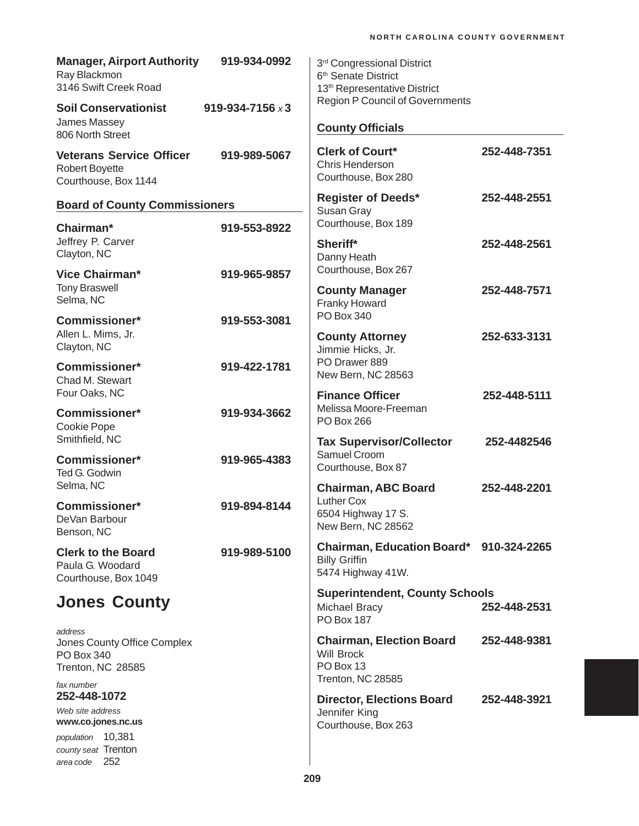| <b>Manager, Airport Authority</b><br>Ray Blackmon<br>3146 Swift Creek Road       | 919-934-0992            | 3 <sup>rd</sup> Congressional District<br>6 <sup>th</sup> Senate District<br>13 <sup>th</sup> Representative District |              |
|----------------------------------------------------------------------------------|-------------------------|-----------------------------------------------------------------------------------------------------------------------|--------------|
| <b>Soil Conservationist</b>                                                      | 919-934-7156 $\times$ 3 | <b>Region P Council of Governments</b>                                                                                |              |
| James Massey<br>806 North Street                                                 |                         | <b>County Officials</b>                                                                                               |              |
| <b>Veterans Service Officer</b><br><b>Robert Boyette</b><br>Courthouse, Box 1144 | 919-989-5067            | <b>Clerk of Court*</b><br>Chris Henderson<br>Courthouse, Box 280                                                      | 252-448-7351 |
| <b>Board of County Commissioners</b>                                             |                         | <b>Register of Deeds*</b><br>Susan Gray                                                                               | 252-448-2551 |
| Chairman*                                                                        | 919-553-8922            | Courthouse, Box 189                                                                                                   |              |
| Jeffrey P. Carver<br>Clayton, NC                                                 |                         | Sheriff*<br>Danny Heath                                                                                               | 252-448-2561 |
| Vice Chairman*                                                                   | 919-965-9857            | Courthouse, Box 267                                                                                                   |              |
| <b>Tony Braswell</b><br>Selma, NC                                                |                         | <b>County Manager</b><br>Franky Howard                                                                                | 252-448-7571 |
| <b>Commissioner*</b><br>Allen L. Mims, Jr.                                       | 919-553-3081            | PO Box 340                                                                                                            |              |
| Clayton, NC                                                                      |                         | <b>County Attorney</b><br>Jimmie Hicks, Jr.                                                                           | 252-633-3131 |
| <b>Commissioner*</b><br>Chad M. Stewart                                          | 919-422-1781            | PO Drawer 889<br>New Bern, NC 28563                                                                                   |              |
| Four Oaks, NC                                                                    |                         | <b>Finance Officer</b>                                                                                                | 252-448-5111 |
| <b>Commissioner*</b><br>Cookie Pope                                              | 919-934-3662            | Melissa Moore-Freeman<br><b>PO Box 266</b>                                                                            |              |
| Smithfield, NC                                                                   |                         | <b>Tax Supervisor/Collector</b><br>Samuel Croom                                                                       | 252-4482546  |
| <b>Commissioner*</b><br>Ted G. Godwin                                            | 919-965-4383            | Courthouse, Box 87                                                                                                    |              |
| Selma, NC                                                                        |                         | <b>Chairman, ABC Board</b>                                                                                            | 252-448-2201 |
| <b>Commissioner*</b><br>DeVan Barbour<br>Benson, NC                              | 919-894-8144            | Luther Cox<br>6504 Highway 17 S.<br>New Bern, NC 28562                                                                |              |
| <b>Clerk to the Board</b><br>Paula G. Woodard<br>Courthouse, Box 1049            | 919-989-5100            | Chairman, Education Board* 910-324-2265<br><b>Billy Griffin</b><br>5474 Highway 41W.                                  |              |
| <b>Jones County</b>                                                              |                         | <b>Superintendent, County Schools</b><br><b>Michael Bracy</b><br><b>PO Box 187</b>                                    | 252-448-2531 |
| address<br>Jones County Office Complex<br>PO Box 340<br>Trenton, NC 28585        |                         | <b>Chairman, Election Board</b><br><b>Will Brock</b><br>PO Box 13                                                     | 252-448-9381 |
| fax number<br>252-448-1072                                                       |                         | Trenton, NC 28585                                                                                                     |              |
| Web site address<br>www.co.jones.nc.us                                           |                         | <b>Director, Elections Board</b><br>Jennifer King<br>Courthouse, Box 263                                              | 252-448-3921 |
| population 10,381<br>county seat Trenton<br>252<br>area code                     |                         |                                                                                                                       |              |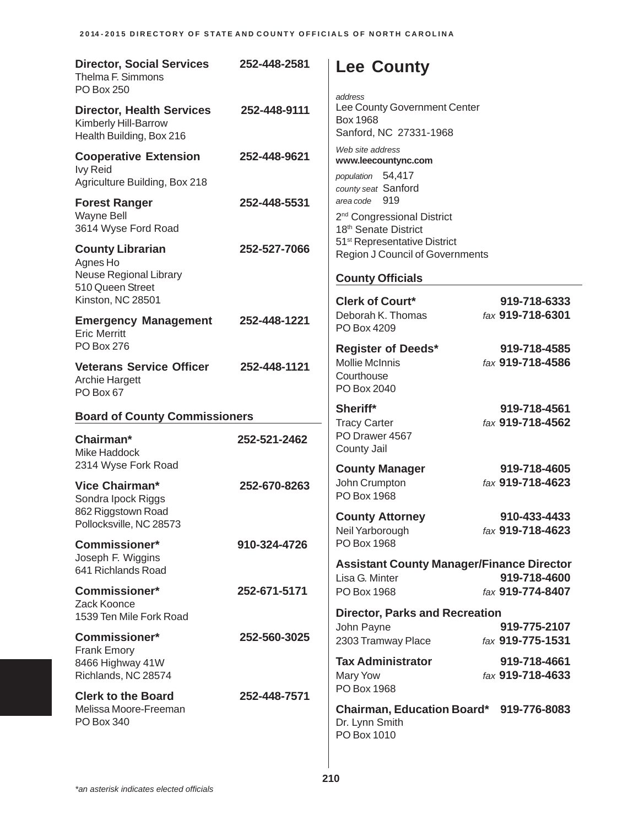| <b>Director, Social Services</b><br>Thelma F. Simmons<br>PO Box 250                                    | 252-448-2581 | <b>Lee County</b><br>address                                                                                       |                                                  |
|--------------------------------------------------------------------------------------------------------|--------------|--------------------------------------------------------------------------------------------------------------------|--------------------------------------------------|
| <b>Director, Health Services</b><br>Kimberly Hill-Barrow<br>Health Building, Box 216                   | 252-448-9111 | Lee County Government Center<br>Box 1968<br>Sanford, NC 27331-1968                                                 |                                                  |
| <b>Cooperative Extension</b><br><b>Ivy Reid</b>                                                        | 252-448-9621 | Web site address<br>www.leecountync.com<br>population 54,417                                                       |                                                  |
| Agriculture Building, Box 218<br><b>Forest Ranger</b><br>Wayne Bell<br>3614 Wyse Ford Road             | 252-448-5531 | county seat Sanford<br>area code 919<br>2 <sup>nd</sup> Congressional District<br>18 <sup>th</sup> Senate District |                                                  |
| <b>County Librarian</b><br>Agnes Ho<br>Neuse Regional Library<br>510 Queen Street<br>Kinston, NC 28501 | 252-527-7066 | 51 <sup>st</sup> Representative District<br>Region J Council of Governments<br><b>County Officials</b>             |                                                  |
| <b>Emergency Management</b><br><b>Eric Merritt</b><br><b>PO Box 276</b>                                | 252-448-1221 | <b>Clerk of Court*</b><br>Deborah K. Thomas<br>PO Box 4209<br><b>Register of Deeds*</b>                            | 919-718-6333<br>fax 919-718-6301<br>919-718-4585 |
| <b>Veterans Service Officer</b><br><b>Archie Hargett</b><br>PO Box 67                                  | 252-448-1121 | <b>Mollie McInnis</b><br>Courthouse<br>PO Box 2040                                                                 | fax 919-718-4586                                 |
|                                                                                                        |              |                                                                                                                    |                                                  |
| <b>Board of County Commissioners</b>                                                                   |              | Sheriff*                                                                                                           | 919-718-4561                                     |
| Chairman*<br>Mike Haddock                                                                              | 252-521-2462 | <b>Tracy Carter</b><br>PO Drawer 4567<br>County Jail                                                               | fax 919-718-4562                                 |
| 2314 Wyse Fork Road<br><b>Vice Chairman*</b><br>Sondra Ipock Riggs                                     | 252-670-8263 | <b>County Manager</b><br>John Crumpton<br>PO Box 1968                                                              | 919-718-4605<br>fax 919-718-4623                 |
| 862 Riggstown Road<br>Pollocksville, NC 28573                                                          |              | <b>County Attorney</b><br>Neil Yarborough                                                                          | 910-433-4433<br>fax 919-718-4623                 |
| <b>Commissioner*</b><br>Joseph F. Wiggins<br>641 Richlands Road                                        | 910-324-4726 | PO Box 1968<br><b>Assistant County Manager/Finance Director</b><br>Lisa G. Minter                                  | 919-718-4600                                     |
| Commissioner*<br>Zack Koonce                                                                           | 252-671-5171 | PO Box 1968                                                                                                        | fax 919-774-8407                                 |
| 1539 Ten Mile Fork Road<br><b>Commissioner*</b>                                                        | 252-560-3025 | <b>Director, Parks and Recreation</b><br>John Payne<br>2303 Tramway Place                                          | 919-775-2107<br>fax 919-775-1531                 |
| <b>Frank Emory</b><br>8466 Highway 41W<br>Richlands, NC 28574                                          |              | <b>Tax Administrator</b><br>Mary Yow<br>PO Box 1968                                                                | 919-718-4661<br>fax 919-718-4633                 |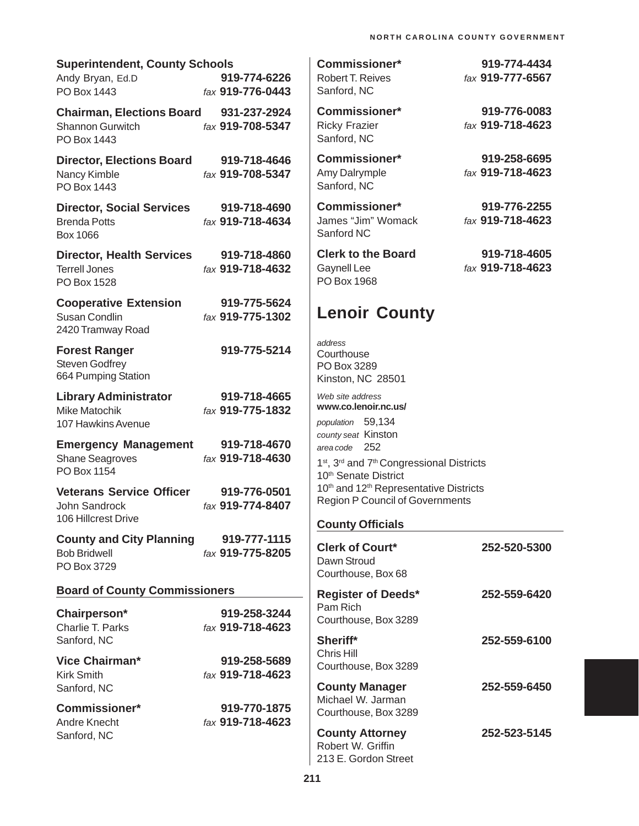| <b>Superintendent, County Schools</b>                                             |                                  |
|-----------------------------------------------------------------------------------|----------------------------------|
| Andy Bryan, Ed.D<br>PO Box 1443                                                   | 919-774-6226<br>fax 919-776-0443 |
| Chairman, Elections Board 931-237-2924<br><b>Shannon Gurwitch</b><br>PO Box 1443  | fax 919-708-5347                 |
| <b>Director, Elections Board</b><br>Nancy Kimble<br>PO Box 1443                   | 919-718-4646<br>fax 919-708-5347 |
| <b>Director, Social Services</b><br><b>Brenda Potts</b><br>Box 1066               | 919-718-4690<br>fax 919-718-4634 |
| <b>Director, Health Services</b><br><b>Terrell Jones</b><br>PO Box 1528           | 919-718-4860<br>fax 919-718-4632 |
| <b>Cooperative Extension</b><br><b>Susan Condlin</b><br>2420 Tramway Road         | 919-775-5624<br>fax 919-775-1302 |
| <b>Forest Ranger</b><br><b>Steven Godfrey</b><br>664 Pumping Station              | 919-775-5214                     |
| <b>Library Administrator</b><br><b>Mike Matochik</b><br><b>107 Hawkins Avenue</b> | 919-718-4665<br>fax 919-775-1832 |
| <b>Emergency Management</b><br><b>Shane Seagroves</b><br>PO Box 1154              | 919-718-4670<br>fax 919-718-4630 |
| <b>Veterans Service Officer</b><br>John Sandrock<br>106 Hillcrest Drive           | 919-776-0501<br>fax 919-774-8407 |
| <b>County and City Planning</b><br><b>Bob Bridwell</b><br>PO Box 3729             | 919-777-1115<br>fax 919-775-8205 |
| <b>Board of County Commissioners</b>                                              |                                  |
| Chairperson*<br>Charlie T. Parks<br>Sanford, NC                                   | 919-258-3244<br>fax 919-718-4623 |
| Vice Chairman*<br><b>Kirk Smith</b><br>Sanford, NC                                | 919-258-5689<br>fax 919-718-4623 |
| <b>Commissioner*</b><br>Andre Knecht<br>Sanford, NC                               | 919-770-1875<br>fax 919-718-4623 |

**Commissioner\* 919-774-4434** Robert T. Reives *fax* **919-777-6567** Sanford, NC **Commissioner\* 919-776-0083** Ricky Frazier *fax* **919-718-4623** Sanford, NC **Commissioner\* 919-258-6695** Amy Dalrymple *fax* **919-718-4623** Sanford, NC **Commissioner\* 919-776-2255** James "Jim" Womack *fax* **919-718-4623** Sanford NC **Clerk to the Board 919-718-4605** Gaynell Lee *fax* **919-718-4623** PO Box 1968 **Lenoir County** *address* **Courthouse** PO Box 3289 Kinston, NC 28501 *Web site address* **www.co.lenoir.nc.us/** *population* 59,134 *county seat* Kinston *area code* 252 1<sup>st</sup>, 3<sup>rd</sup> and 7<sup>th</sup> Congressional Districts 10<sup>th</sup> Senate District 10<sup>th</sup> and 12<sup>th</sup> Representative Districts Region P Council of Governments **County Officials Clerk of Court\* 252-520-5300** Dawn Stroud Courthouse, Box 68

## **Register of Deeds\* 252-559-6420** Pam Rich Courthouse, Box 3289 **Sheriff\* 252-559-6100** Chris Hill Courthouse, Box 3289 **County Manager 252-559-6450** Michael W. Jarman Courthouse, Box 3289

**County Attorney 252-523-5145** Robert W. Griffin 213 E. Gordon Street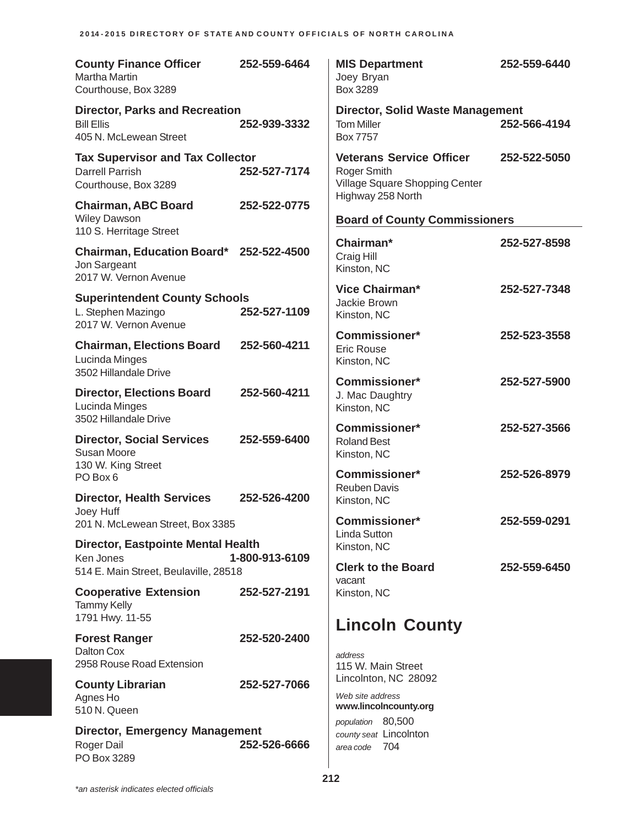| <b>County Finance Officer</b><br><b>Martha Martin</b><br>Courthouse, Box 3289                   | 252-559-6464   | <b>MIS Department</b><br>Joey Bryan<br>Box 3289                                  | 252-559-6440 |
|-------------------------------------------------------------------------------------------------|----------------|----------------------------------------------------------------------------------|--------------|
| <b>Director, Parks and Recreation</b><br><b>Bill Ellis</b><br>405 N. McLewean Street            | 252-939-3332   | <b>Director, Solid Waste Management</b><br><b>Tom Miller</b><br><b>Box 7757</b>  | 252-566-4194 |
| <b>Tax Supervisor and Tax Collector</b><br><b>Darrell Parrish</b><br>Courthouse, Box 3289       | 252-527-7174   | <b>Veterans Service Officer</b><br>Roger Smith<br>Village Square Shopping Center | 252-522-5050 |
| <b>Chairman, ABC Board</b><br><b>Wiley Dawson</b><br>110 S. Herritage Street                    | 252-522-0775   | Highway 258 North<br><b>Board of County Commissioners</b>                        |              |
| Chairman, Education Board* 252-522-4500<br>Jon Sargeant<br>2017 W. Vernon Avenue                |                | Chairman*<br>Craig Hill<br>Kinston, NC                                           | 252-527-8598 |
| <b>Superintendent County Schools</b><br>L. Stephen Mazingo<br>2017 W. Vernon Avenue             | 252-527-1109   | Vice Chairman*<br>Jackie Brown<br>Kinston, NC                                    | 252-527-7348 |
| <b>Chairman, Elections Board</b><br>Lucinda Minges<br>3502 Hillandale Drive                     | 252-560-4211   | <b>Commissioner*</b><br><b>Eric Rouse</b><br>Kinston, NC                         | 252-523-3558 |
| <b>Director, Elections Board</b><br>Lucinda Minges<br>3502 Hillandale Drive                     | 252-560-4211   | <b>Commissioner*</b><br>J. Mac Daughtry<br>Kinston, NC                           | 252-527-5900 |
| <b>Director, Social Services</b><br>Susan Moore<br>130 W. King Street                           | 252-559-6400   | <b>Commissioner*</b><br><b>Roland Best</b><br>Kinston, NC                        | 252-527-3566 |
| PO Box 6<br><b>Director, Health Services</b><br>Joey Huff                                       | 252-526-4200   | <b>Commissioner*</b><br><b>Reuben Davis</b><br>Kinston, NC                       | 252-526-8979 |
| 201 N. McLewean Street, Box 3385                                                                |                | Commissioner*<br><b>Linda Sutton</b>                                             | 252-559-0291 |
| <b>Director, Eastpointe Mental Health</b><br>Ken Jones<br>514 E. Main Street, Beulaville, 28518 | 1-800-913-6109 | Kinston, NC<br><b>Clerk to the Board</b><br>vacant                               | 252-559-6450 |
| <b>Cooperative Extension</b><br><b>Tammy Kelly</b><br>1791 Hwy. 11-55                           | 252-527-2191   | Kinston, NC                                                                      |              |
| <b>Forest Ranger</b><br>Dalton Cox<br>2958 Rouse Road Extension                                 | 252-520-2400   | <b>Lincoln County</b><br>address<br>115 W. Main Street                           |              |
| <b>County Librarian</b><br>Agnes Ho<br>510 N. Queen                                             | 252-527-7066   | Lincolnton, NC 28092<br>Web site address<br>www.lincolncounty.org                |              |
| <b>Director, Emergency Management</b><br>Roger Dail<br>PO Box 3289                              | 252-526-6666   | population 80,500<br>county seat Lincolnton<br>area code 704                     |              |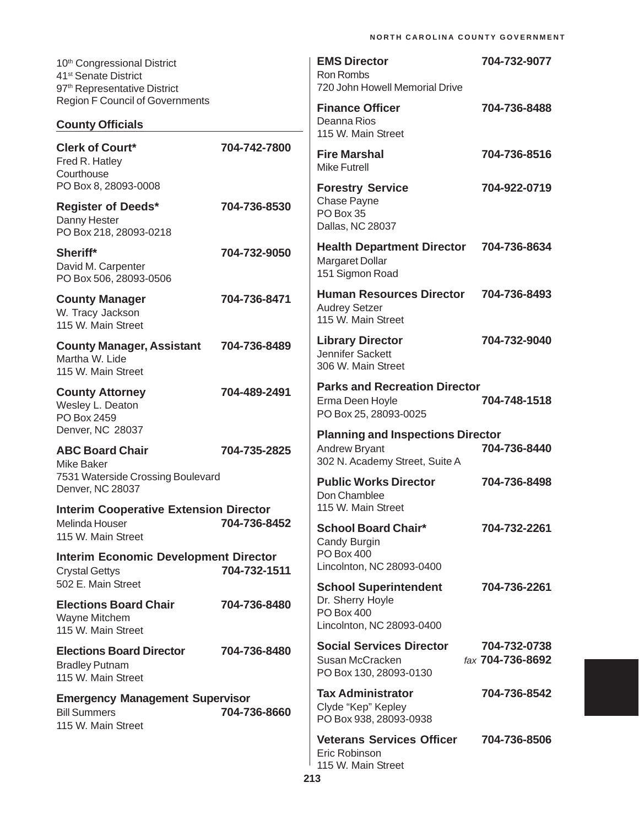| 10 <sup>th</sup> Congressional District<br>41 <sup>st</sup> Senate District<br>97 <sup>th</sup> Representative District |              | <b>EMS Director</b><br><b>Ron Rombs</b><br>720 John Howell Memorial Drive        | 704-732-9077                     |
|-------------------------------------------------------------------------------------------------------------------------|--------------|----------------------------------------------------------------------------------|----------------------------------|
| <b>Region F Council of Governments</b>                                                                                  |              | <b>Finance Officer</b>                                                           | 704-736-8488                     |
| <b>County Officials</b>                                                                                                 |              | Deanna Rios<br>115 W. Main Street                                                |                                  |
| <b>Clerk of Court*</b><br>Fred R. Hatley<br>Courthouse                                                                  | 704-742-7800 | <b>Fire Marshal</b><br><b>Mike Futrell</b>                                       | 704-736-8516                     |
| PO Box 8, 28093-0008                                                                                                    |              | <b>Forestry Service</b>                                                          | 704-922-0719                     |
| <b>Register of Deeds*</b><br>Danny Hester<br>PO Box 218, 28093-0218                                                     | 704-736-8530 | Chase Payne<br>PO Box 35<br>Dallas, NC 28037                                     |                                  |
| Sheriff*<br>David M. Carpenter<br>PO Box 506, 28093-0506                                                                | 704-732-9050 | <b>Health Department Director</b><br>Margaret Dollar<br>151 Sigmon Road          | 704-736-8634                     |
| <b>County Manager</b><br>W. Tracy Jackson<br>115 W. Main Street                                                         | 704-736-8471 | <b>Human Resources Director</b><br><b>Audrey Setzer</b><br>115 W. Main Street    | 704-736-8493                     |
| <b>County Manager, Assistant</b><br>Martha W. Lide<br>115 W. Main Street                                                | 704-736-8489 | <b>Library Director</b><br>Jennifer Sackett<br>306 W. Main Street                | 704-732-9040                     |
| <b>County Attorney</b><br>Wesley L. Deaton<br>PO Box 2459                                                               | 704-489-2491 | <b>Parks and Recreation Director</b><br>Erma Deen Hoyle<br>PO Box 25, 28093-0025 | 704-748-1518                     |
| Denver, NC 28037                                                                                                        |              | <b>Planning and Inspections Director</b>                                         |                                  |
| <b>ABC Board Chair</b><br><b>Mike Baker</b>                                                                             | 704-735-2825 | Andrew Bryant<br>302 N. Academy Street, Suite A                                  | 704-736-8440                     |
| 7531 Waterside Crossing Boulevard<br>Denver, NC 28037                                                                   |              | <b>Public Works Director</b><br>Don Chamblee                                     | 704-736-8498                     |
| <b>Interim Cooperative Extension Director</b><br>Melinda Houser                                                         | 704-736-8452 | 115 W. Main Street                                                               |                                  |
| 115 W. Main Street                                                                                                      |              | <b>School Board Chair*</b><br>Candy Burgin                                       | 704-732-2261                     |
| <b>Interim Economic Development Director</b><br><b>Crystal Gettys</b>                                                   | 704-732-1511 | <b>PO Box 400</b><br>Lincolnton, NC 28093-0400                                   |                                  |
| 502 E. Main Street                                                                                                      |              | <b>School Superintendent</b><br>Dr. Sherry Hoyle                                 | 704-736-2261                     |
| <b>Elections Board Chair</b><br>Wayne Mitchem<br>115 W. Main Street                                                     | 704-736-8480 | <b>PO Box 400</b><br>Lincolnton, NC 28093-0400                                   |                                  |
| <b>Elections Board Director</b><br><b>Bradley Putnam</b><br>115 W. Main Street                                          | 704-736-8480 | <b>Social Services Director</b><br>Susan McCracken<br>PO Box 130, 28093-0130     | 704-732-0738<br>fax 704-736-8692 |
| <b>Emergency Management Supervisor</b><br><b>Bill Summers</b><br>115 W. Main Street                                     | 704-736-8660 | <b>Tax Administrator</b><br>Clyde "Kep" Kepley<br>PO Box 938, 28093-0938         | 704-736-8542                     |
|                                                                                                                         |              | <b>Veterans Services Officer</b><br>Eric Robinson<br>115 W. Main Street          | 704-736-8506                     |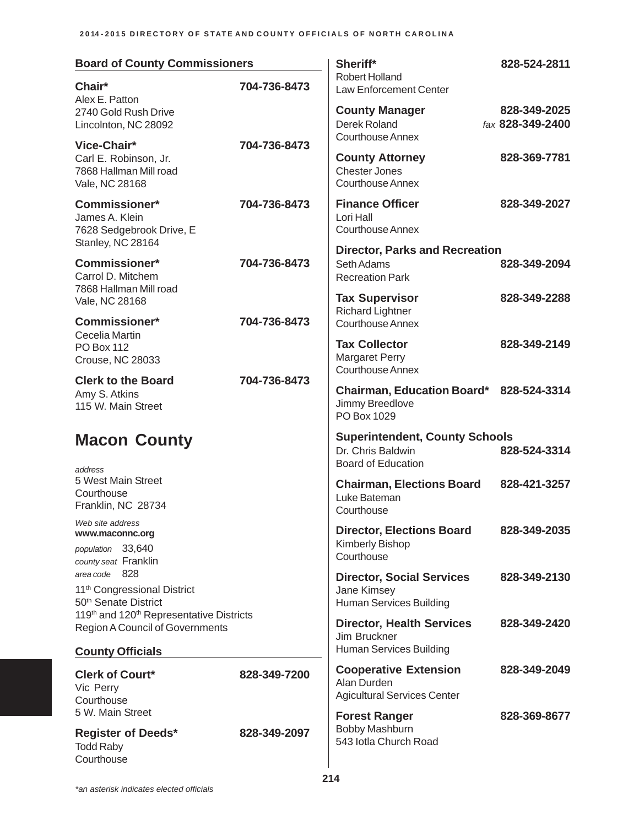| <b>Board of County Commissioners</b>                                                                          |              | Sheriff*                                                                                | 828-524-2811                     |
|---------------------------------------------------------------------------------------------------------------|--------------|-----------------------------------------------------------------------------------------|----------------------------------|
| Chair*<br>Alex E. Patton                                                                                      | 704-736-8473 | <b>Robert Holland</b><br>Law Enforcement Center                                         |                                  |
| 2740 Gold Rush Drive<br>Lincolnton, NC 28092                                                                  |              | <b>County Manager</b><br>Derek Roland<br><b>Courthouse Annex</b>                        | 828-349-2025<br>fax 828-349-2400 |
| Vice-Chair*<br>Carl E. Robinson, Jr.<br>7868 Hallman Mill road<br>Vale, NC 28168                              | 704-736-8473 | <b>County Attorney</b><br><b>Chester Jones</b><br><b>Courthouse Annex</b>               | 828-369-7781                     |
| <b>Commissioner*</b><br>James A. Klein<br>7628 Sedgebrook Drive, E                                            | 704-736-8473 | <b>Finance Officer</b><br>Lori Hall<br><b>Courthouse Annex</b>                          | 828-349-2027                     |
| Stanley, NC 28164<br><b>Commissioner*</b><br>Carrol D. Mitchem<br>7868 Hallman Mill road                      | 704-736-8473 | <b>Director, Parks and Recreation</b><br>Seth Adams<br><b>Recreation Park</b>           | 828-349-2094                     |
| Vale, NC 28168<br><b>Commissioner*</b>                                                                        | 704-736-8473 | <b>Tax Supervisor</b><br><b>Richard Lightner</b><br><b>Courthouse Annex</b>             | 828-349-2288                     |
| Cecelia Martin<br><b>PO Box 112</b><br><b>Crouse, NC 28033</b>                                                |              | <b>Tax Collector</b><br>Margaret Perry<br><b>Courthouse Annex</b>                       | 828-349-2149                     |
| <b>Clerk to the Board</b><br>Amy S. Atkins<br>115 W. Main Street                                              | 704-736-8473 | Chairman, Education Board* 828-524-3314<br>Jimmy Breedlove<br>PO Box 1029               |                                  |
| <b>Macon County</b>                                                                                           |              | <b>Superintendent, County Schools</b><br>Dr. Chris Baldwin<br><b>Board of Education</b> | 828-524-3314                     |
| address<br>5 West Main Street<br>Courthouse<br>Franklin, NC 28734                                             |              | <b>Chairman, Elections Board</b><br>Luke Bateman<br>Courthouse                          | 828-421-3257                     |
| Web site address<br>www.maconnc.org<br>population 33,640<br>county seat Franklin                              |              | <b>Director, Elections Board</b><br>Kimberly Bishop<br>Courthouse                       | 828-349-2035                     |
| area code 828<br>11 <sup>th</sup> Congressional District<br>50 <sup>th</sup> Senate District                  |              | <b>Director, Social Services</b><br>Jane Kimsey<br>Human Services Building              | 828-349-2130                     |
| 119th and 120th Representative Districts<br><b>Region A Council of Governments</b><br><b>County Officials</b> |              | <b>Director, Health Services</b><br>Jim Bruckner<br>Human Services Building             | 828-349-2420                     |
|                                                                                                               |              | <b>Cooperative Extension</b>                                                            | 828-349-2049                     |
| <b>Clerk of Court*</b><br>Vic Perry<br>Courthouse<br>5 W. Main Street                                         | 828-349-7200 | Alan Durden<br><b>Agicultural Services Center</b>                                       |                                  |
| <b>Register of Deeds*</b><br><b>Todd Raby</b><br>Courthouse                                                   | 828-349-2097 | <b>Forest Ranger</b><br><b>Bobby Mashburn</b><br>543 lotla Church Road                  | 828-369-8677                     |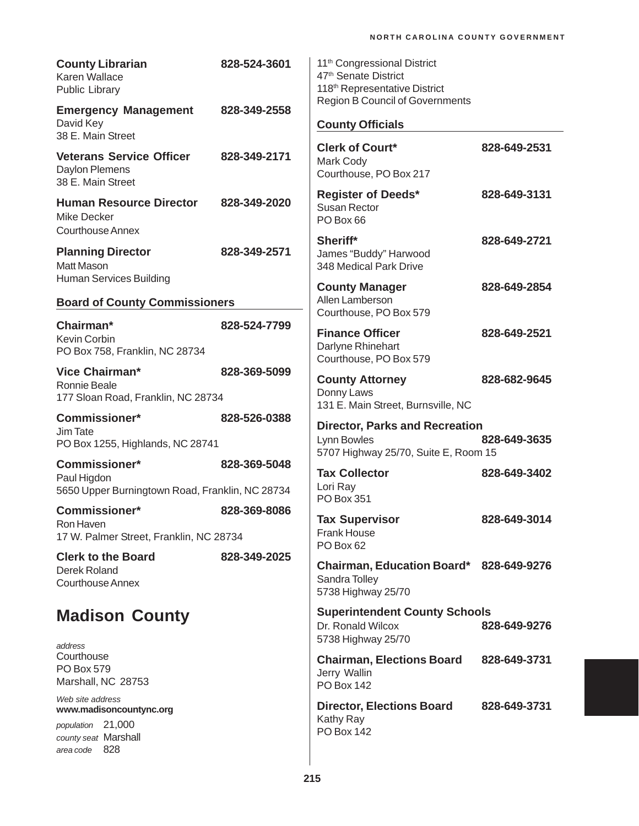| <b>County Librarian</b><br>Karen Wallace<br><b>Public Library</b>                                         | 828-524-3601 | 11 <sup>th</sup> Congressional District<br>47 <sup>th</sup> Senate District<br>118 <sup>th</sup> Representative District |              |
|-----------------------------------------------------------------------------------------------------------|--------------|--------------------------------------------------------------------------------------------------------------------------|--------------|
| <b>Emergency Management</b><br>David Key<br>38 E. Main Street                                             | 828-349-2558 | <b>Region B Council of Governments</b><br><b>County Officials</b>                                                        |              |
| <b>Veterans Service Officer</b><br>Daylon Plemens<br>38 E. Main Street                                    | 828-349-2171 | <b>Clerk of Court*</b><br>Mark Cody<br>Courthouse, PO Box 217                                                            | 828-649-2531 |
| <b>Human Resource Director</b><br><b>Mike Decker</b><br><b>Courthouse Annex</b>                           | 828-349-2020 | <b>Register of Deeds*</b><br><b>Susan Rector</b><br>PO Box 66                                                            | 828-649-3131 |
| <b>Planning Director</b><br><b>Matt Mason</b>                                                             | 828-349-2571 | Sheriff*<br>James "Buddy" Harwood<br>348 Medical Park Drive                                                              | 828-649-2721 |
| Human Services Building<br><b>Board of County Commissioners</b>                                           |              | <b>County Manager</b><br>Allen Lamberson                                                                                 | 828-649-2854 |
| Chairman*                                                                                                 | 828-524-7799 | Courthouse, PO Box 579                                                                                                   |              |
| Kevin Corbin<br>PO Box 758, Franklin, NC 28734                                                            |              | <b>Finance Officer</b><br>Darlyne Rhinehart<br>Courthouse, PO Box 579                                                    | 828-649-2521 |
| Vice Chairman*<br>Ronnie Beale<br>177 Sloan Road, Franklin, NC 28734                                      | 828-369-5099 | <b>County Attorney</b><br>Donny Laws<br>131 E. Main Street, Burnsville, NC                                               | 828-682-9645 |
| <b>Commissioner*</b><br>Jim Tate<br>PO Box 1255, Highlands, NC 28741                                      | 828-526-0388 | <b>Director, Parks and Recreation</b><br>Lynn Bowles<br>5707 Highway 25/70, Suite E, Room 15                             | 828-649-3635 |
| <b>Commissioner*</b><br>Paul Higdon<br>5650 Upper Burningtown Road, Franklin, NC 28734                    | 828-369-5048 | <b>Tax Collector</b><br>Lori Ray<br>PO Box 351                                                                           | 828-649-3402 |
| <b>Commissioner*</b><br>Ron Haven<br>17 W. Palmer Street, Franklin, NC 28734                              | 828-369-8086 | <b>Tax Supervisor</b><br><b>Frank House</b><br>PO Box 62                                                                 | 828-649-3014 |
| <b>Clerk to the Board</b><br>Derek Roland<br><b>Courthouse Annex</b>                                      | 828-349-2025 | Chairman, Education Board* 828-649-9276<br>Sandra Tolley<br>5738 Highway 25/70                                           |              |
| <b>Madison County</b>                                                                                     |              | <b>Superintendent County Schools</b><br>Dr. Ronald Wilcox<br>5738 Highway 25/70                                          | 828-649-9276 |
| address<br>Courthouse<br>PO Box 579<br>Marshall, NC 28753                                                 |              | <b>Chairman, Elections Board</b><br>Jerry Wallin<br><b>PO Box 142</b>                                                    | 828-649-3731 |
| Web site address<br>www.madisoncountync.org<br>population 21,000<br>county seat Marshall<br>area code 828 |              | <b>Director, Elections Board</b><br>Kathy Ray<br><b>PO Box 142</b>                                                       | 828-649-3731 |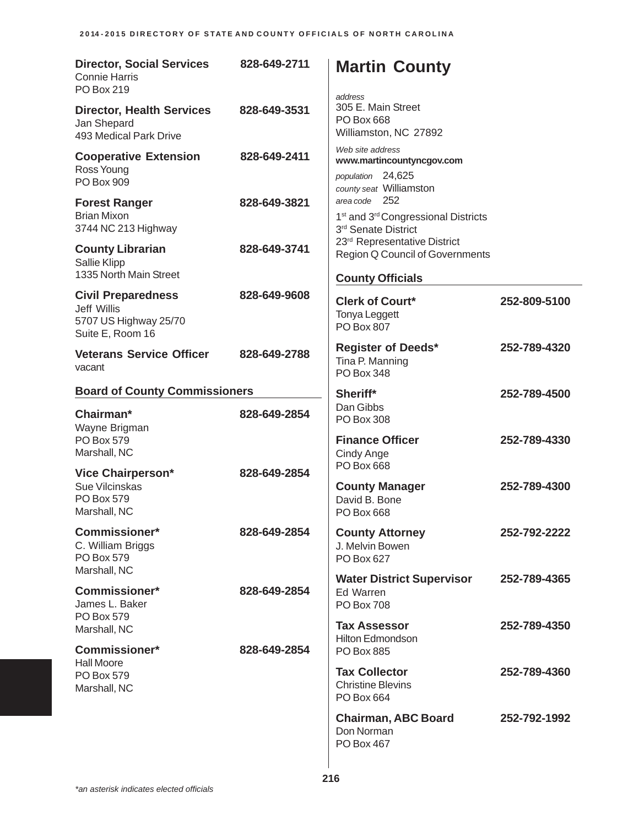| <b>Director, Social Services</b><br><b>Connie Harris</b><br>PO Box 219                | 828-649-2711                            | <b>Martin County</b><br>address                                                                        |              |
|---------------------------------------------------------------------------------------|-----------------------------------------|--------------------------------------------------------------------------------------------------------|--------------|
| <b>Director, Health Services</b><br>Jan Shepard<br>493 Medical Park Drive             | 828-649-3531                            | 305 E. Main Street<br>PO Box 668<br>Williamston, NC 27892                                              |              |
| <b>Cooperative Extension</b><br>Ross Young<br>PO Box 909                              | 828-649-2411                            | Web site address<br>www.martincountyncgov.com<br>population 24,625<br>county seat Williamston          |              |
| <b>Forest Ranger</b><br><b>Brian Mixon</b><br>3744 NC 213 Highway                     | 828-649-3821                            | area code 252<br>1 <sup>st</sup> and 3 <sup>rd</sup> Congressional Districts<br>3rd Senate District    |              |
| <b>County Librarian</b><br>Sallie Klipp<br>1335 North Main Street                     | 828-649-3741                            | 23 <sup>rd</sup> Representative District<br>Region Q Council of Governments<br><b>County Officials</b> |              |
| <b>Civil Preparedness</b><br>Jeff Willis<br>5707 US Highway 25/70<br>Suite E, Room 16 | 828-649-9608                            | <b>Clerk of Court*</b><br><b>Tonya Leggett</b><br><b>PO Box 807</b>                                    | 252-809-5100 |
| <b>Veterans Service Officer</b><br>vacant                                             | 828-649-2788                            | <b>Register of Deeds*</b><br>Tina P. Manning<br><b>PO Box 348</b>                                      | 252-789-4320 |
| <b>Board of County Commissioners</b>                                                  |                                         | Sheriff*                                                                                               | 252-789-4500 |
| Chairman*<br>Wayne Brigman                                                            | Dan Gibbs<br>828-649-2854<br>PO Box 308 |                                                                                                        |              |
| PO Box 579<br>Marshall, NC                                                            |                                         | <b>Finance Officer</b><br>Cindy Ange                                                                   | 252-789-4330 |
| <b>Vice Chairperson*</b><br>Sue Vilcinskas<br>PO Box 579<br>Marshall, NC              | 828-649-2854                            | PO Box 668<br><b>County Manager</b><br>David B. Bone<br><b>PO Box 668</b>                              | 252-789-4300 |
| <b>Commissioner*</b><br>C. William Briggs<br>PO Box 579                               | 828-649-2854                            | <b>County Attorney</b><br>J. Melvin Bowen<br>PO Box 627                                                | 252-792-2222 |
| Marshall, NC<br>Commissioner*<br>James L. Baker<br>PO Box 579                         | 828-649-2854                            | <b>Water District Supervisor</b><br>Ed Warren<br><b>PO Box 708</b>                                     | 252-789-4365 |
| Marshall, NC<br><b>Commissioner*</b>                                                  | 828-649-2854                            | <b>Tax Assessor</b><br><b>Hilton Edmondson</b>                                                         | 252-789-4350 |
| <b>Hall Moore</b><br>PO Box 579<br>Marshall, NC                                       |                                         | <b>PO Box 885</b><br><b>Tax Collector</b><br><b>Christine Blevins</b><br>PO Box 664                    | 252-789-4360 |
|                                                                                       |                                         | <b>Chairman, ABC Board</b><br>Don Norman<br>PO Box 467                                                 | 252-792-1992 |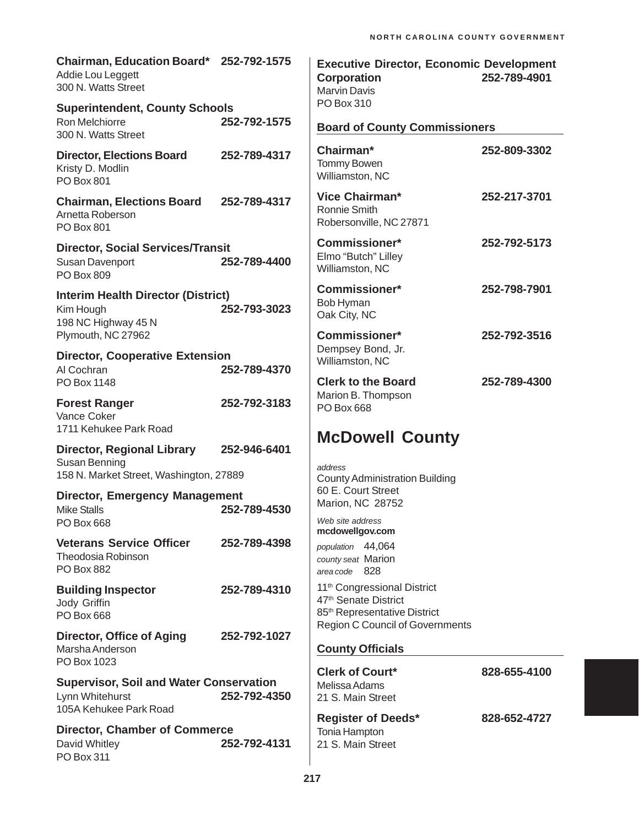| Chairman, Education Board* 252-792-1575<br>Addie Lou Leggett<br>300 N. Watts Street           |              | <b>Executive Director, Economic Development</b><br><b>Corporation</b><br><b>Marvin Davis</b>                            | 252-789-4901 |
|-----------------------------------------------------------------------------------------------|--------------|-------------------------------------------------------------------------------------------------------------------------|--------------|
| <b>Superintendent, County Schools</b><br>Ron Melchiorre<br>300 N. Watts Street                | 252-792-1575 | PO Box 310<br><b>Board of County Commissioners</b>                                                                      |              |
| <b>Director, Elections Board</b><br>Kristy D. Modlin<br><b>PO Box 801</b>                     | 252-789-4317 | Chairman*<br>Tommy Bowen<br>Williamston, NC                                                                             | 252-809-3302 |
| <b>Chairman, Elections Board</b><br>Arnetta Roberson<br><b>PO Box 801</b>                     | 252-789-4317 | <b>Vice Chairman*</b><br>Ronnie Smith<br>Robersonville, NC 27871                                                        | 252-217-3701 |
| <b>Director, Social Services/Transit</b><br>Susan Davenport<br>PO Box 809                     | 252-789-4400 | Commissioner*<br>Elmo "Butch" Lilley<br>Williamston, NC                                                                 | 252-792-5173 |
| <b>Interim Health Director (District)</b><br>Kim Hough<br>198 NC Highway 45 N                 | 252-793-3023 | <b>Commissioner*</b><br>Bob Hyman<br>Oak City, NC                                                                       | 252-798-7901 |
| Plymouth, NC 27962<br><b>Director, Cooperative Extension</b><br>Al Cochran                    | 252-789-4370 | Commissioner*<br>Dempsey Bond, Jr.<br>Williamston, NC                                                                   | 252-792-3516 |
| PO Box 1148<br><b>Forest Ranger</b><br>Vance Coker<br>1711 Kehukee Park Road                  | 252-792-3183 | <b>Clerk to the Board</b><br>Marion B. Thompson<br>PO Box 668                                                           | 252-789-4300 |
| <b>Director, Regional Library</b><br>Susan Benning<br>158 N. Market Street, Washington, 27889 | 252-946-6401 | <b>McDowell County</b><br>address<br><b>County Administration Building</b>                                              |              |
| <b>Director, Emergency Management</b><br><b>Mike Stalls</b><br><b>PO Box 668</b>              | 252-789-4530 | 60 E. Court Street<br>Marion, NC 28752<br>Web site address                                                              |              |
| <b>Veterans Service Officer</b><br><b>Theodosia Robinson</b><br><b>PO Box 882</b>             | 252-789-4398 | mcdowellgov.com<br>population 44,064<br>county seat Marion<br>area code 828                                             |              |
| <b>Building Inspector</b><br>Jody Griffin<br>PO Box 668                                       | 252-789-4310 | 11 <sup>th</sup> Congressional District<br>47 <sup>th</sup> Senate District<br>85 <sup>th</sup> Representative District |              |
| <b>Director, Office of Aging</b><br>Marsha Anderson<br>PO Box 1023                            | 252-792-1027 | <b>Region C Council of Governments</b><br><b>County Officials</b>                                                       |              |
| <b>Supervisor, Soil and Water Conservation</b><br>Lynn Whitehurst<br>105A Kehukee Park Road   | 252-792-4350 | <b>Clerk of Court*</b><br>Melissa Adams<br>21 S. Main Street                                                            | 828-655-4100 |
| <b>Director, Chamber of Commerce</b><br>David Whitley<br>PO Box 311                           | 252-792-4131 | <b>Register of Deeds*</b><br>Tonia Hampton<br>21 S. Main Street                                                         | 828-652-4727 |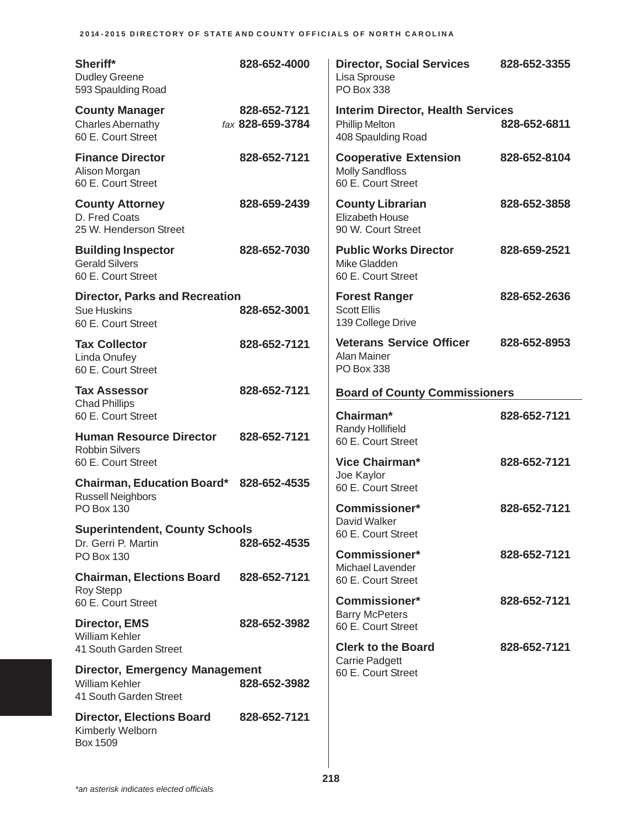| Sheriff*<br><b>Dudley Greene</b><br>593 Spaulding Road                                   | 828-652-4000                     | <b>Director, Social Services</b><br>Lisa Sprouse<br>PO Box 338                          | 828-652-3355 |
|------------------------------------------------------------------------------------------|----------------------------------|-----------------------------------------------------------------------------------------|--------------|
| <b>County Manager</b><br><b>Charles Abernathy</b><br>60 E. Court Street                  | 828-652-7121<br>fax 828-659-3784 | <b>Interim Director, Health Services</b><br><b>Phillip Melton</b><br>408 Spaulding Road | 828-652-6811 |
| <b>Finance Director</b><br>Alison Morgan<br>60 E. Court Street                           | 828-652-7121                     | <b>Cooperative Extension</b><br><b>Molly Sandfloss</b><br>60 E. Court Street            | 828-652-8104 |
| <b>County Attorney</b><br>D. Fred Coats<br>25 W. Henderson Street                        | 828-659-2439                     | <b>County Librarian</b><br><b>Elizabeth House</b><br>90 W. Court Street                 | 828-652-3858 |
| <b>Building Inspector</b><br><b>Gerald Silvers</b><br>60 E. Court Street                 | 828-652-7030                     | <b>Public Works Director</b><br>Mike Gladden<br>60 E. Court Street                      | 828-659-2521 |
| <b>Director, Parks and Recreation</b><br><b>Sue Huskins</b><br>60 E. Court Street        | 828-652-3001                     | <b>Forest Ranger</b><br><b>Scott Ellis</b><br>139 College Drive                         | 828-652-2636 |
| <b>Tax Collector</b><br>Linda Onufey<br>60 E. Court Street                               | 828-652-7121                     | <b>Veterans Service Officer</b><br>Alan Mainer<br>PO Box 338                            | 828-652-8953 |
| <b>Tax Assessor</b>                                                                      | 828-652-7121                     | <b>Board of County Commissioners</b>                                                    |              |
| <b>Chad Phillips</b><br>60 E. Court Street                                               |                                  | Chairman*                                                                               | 828-652-7121 |
| <b>Human Resource Director</b><br><b>Robbin Silvers</b><br>60 E. Court Street            | 828-652-7121                     | Randy Hollifield<br>60 E. Court Street<br>Vice Chairman*                                | 828-652-7121 |
| <b>Chairman, Education Board*</b>                                                        | 828-652-4535                     | Joe Kaylor<br>60 E. Court Street                                                        |              |
| <b>Russell Neighbors</b><br><b>PO Box 130</b>                                            |                                  | <b>Commissioner*</b>                                                                    | 828-652-7121 |
| <b>Superintendent, County Schools</b><br>Dr. Gerri P. Martin                             | 828-652-4535                     | David Walker<br>60 E. Court Street                                                      |              |
| PO Box 130                                                                               |                                  | <b>Commissioner*</b>                                                                    | 828-652-7121 |
| <b>Chairman, Elections Board</b><br><b>Roy Stepp</b>                                     | 828-652-7121                     | Michael Lavender<br>60 E. Court Street                                                  |              |
| 60 E. Court Street                                                                       |                                  | Commissioner*<br><b>Barry McPeters</b>                                                  | 828-652-7121 |
| <b>Director, EMS</b><br><b>William Kehler</b>                                            | 828-652-3982                     | 60 E. Court Street                                                                      |              |
| 41 South Garden Street                                                                   |                                  | <b>Clerk to the Board</b><br><b>Carrie Padgett</b>                                      | 828-652-7121 |
| <b>Director, Emergency Management</b><br><b>William Kehler</b><br>41 South Garden Street | 828-652-3982                     | 60 E. Court Street                                                                      |              |
| <b>Director, Elections Board</b><br>Kimberly Welborn<br>Box 1509                         | 828-652-7121                     |                                                                                         |              |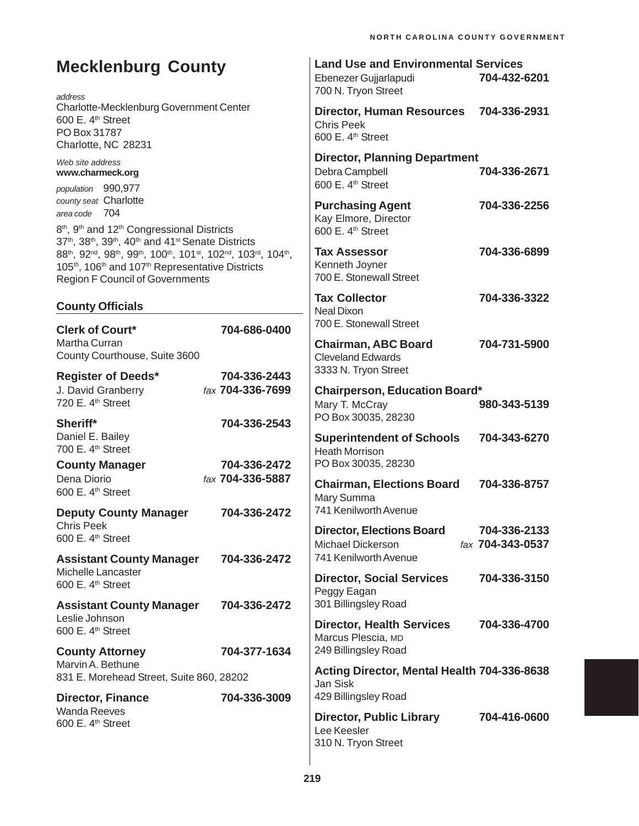| <b>Mecklenburg County</b>                                                                                                                                                                                                                                                                                       | <b>Land Use and Environmental Services</b><br>704-432-6201<br>Ebenezer Gujjarlapudi<br>700 N. Tryon Street                                         |
|-----------------------------------------------------------------------------------------------------------------------------------------------------------------------------------------------------------------------------------------------------------------------------------------------------------------|----------------------------------------------------------------------------------------------------------------------------------------------------|
| address<br>Charlotte-Mecklenburg Government Center<br>600 E. 4 <sup>th</sup> Street<br>PO Box 31787<br>Charlotte, NC 28231                                                                                                                                                                                      | <b>Director, Human Resources</b><br>704-336-2931<br><b>Chris Peek</b><br>600 E. 4 <sup>th</sup> Street                                             |
| Web site address<br>www.charmeck.org<br>population 990,977                                                                                                                                                                                                                                                      | <b>Director, Planning Department</b><br>Debra Campbell<br>704-336-2671<br>600 E. 4 <sup>th</sup> Street                                            |
| county seat Charlotte<br>area code 704<br>8 <sup>th</sup> , 9 <sup>th</sup> and 12 <sup>th</sup> Congressional Districts                                                                                                                                                                                        | <b>Purchasing Agent</b><br>704-336-2256<br>Kay Elmore, Director<br>600 E. 4 <sup>th</sup> Street                                                   |
| 37 <sup>th</sup> , 38 <sup>th</sup> , 39 <sup>th</sup> , 40 <sup>th</sup> and 41 <sup>st</sup> Senate Districts<br>88th, 92nd, 98th, 99th, 100th, 101st, 102nd, 103rd, 104th,<br>105 <sup>th</sup> , 106 <sup>th</sup> and 107 <sup>th</sup> Representative Districts<br><b>Region F Council of Governments</b> | 704-336-6899<br><b>Tax Assessor</b><br>Kenneth Joyner<br>700 E. Stonewall Street                                                                   |
| <b>County Officials</b>                                                                                                                                                                                                                                                                                         | <b>Tax Collector</b><br>704-336-3322<br><b>Neal Dixon</b><br>700 E. Stonewall Street                                                               |
| <b>Clerk of Court*</b><br>704-686-0400<br>Martha Curran<br>County Courthouse, Suite 3600                                                                                                                                                                                                                        | 704-731-5900<br><b>Chairman, ABC Board</b><br><b>Cleveland Edwards</b>                                                                             |
| 704-336-2443<br><b>Register of Deeds*</b><br>fax 704-336-7699<br>J. David Granberry<br>720 E. 4 <sup>th</sup> Street                                                                                                                                                                                            | 3333 N. Tryon Street<br><b>Chairperson, Education Board*</b><br>Mary T. McCray<br>980-343-5139                                                     |
| Sheriff*<br>704-336-2543<br>Daniel E. Bailey<br>700 E. 4 <sup>th</sup> Street                                                                                                                                                                                                                                   | PO Box 30035, 28230<br><b>Superintendent of Schools</b><br>704-343-6270<br><b>Heath Morrison</b><br>PO Box 30035, 28230                            |
| 704-336-2472<br><b>County Manager</b><br>Dena Diorio<br>fax 704-336-5887<br>600 E. 4 <sup>th</sup> Street                                                                                                                                                                                                       | <b>Chairman, Elections Board</b><br>704-336-8757<br>Mary Summa                                                                                     |
| <b>Deputy County Manager</b><br>704-336-2472<br><b>Chris Peek</b><br>600 E. 4 <sup>th</sup> Street                                                                                                                                                                                                              | 741 Kenilworth Avenue<br><b>Director, Elections Board</b><br>704-336-2133<br>fax 704-343-0537<br><b>Michael Dickerson</b><br>741 Kenilworth Avenue |
| <b>Assistant County Manager</b><br>704-336-2472<br>Michelle Lancaster<br>600 E. 4 <sup>th</sup> Street                                                                                                                                                                                                          | <b>Director, Social Services</b><br>704-336-3150<br>Peggy Eagan                                                                                    |
| <b>Assistant County Manager</b><br>704-336-2472<br>Leslie Johnson<br>600 E. 4 <sup>th</sup> Street                                                                                                                                                                                                              | 301 Billingsley Road<br><b>Director, Health Services</b><br>704-336-4700<br>Marcus Plescia, MD                                                     |
| 704-377-1634<br><b>County Attorney</b><br>Marvin A. Bethune<br>831 E. Morehead Street, Suite 860, 28202                                                                                                                                                                                                         | 249 Billingsley Road<br>Acting Director, Mental Health 704-336-8638                                                                                |
| <b>Director, Finance</b><br>704-336-3009<br><b>Wanda Reeves</b>                                                                                                                                                                                                                                                 | Jan Sisk<br>429 Billingsley Road                                                                                                                   |
| 600 E. 4 <sup>th</sup> Street                                                                                                                                                                                                                                                                                   | <b>Director, Public Library</b><br>704-416-0600<br>Lee Keesler<br>310 N. Tryon Street                                                              |

 $\overline{\phantom{a}}$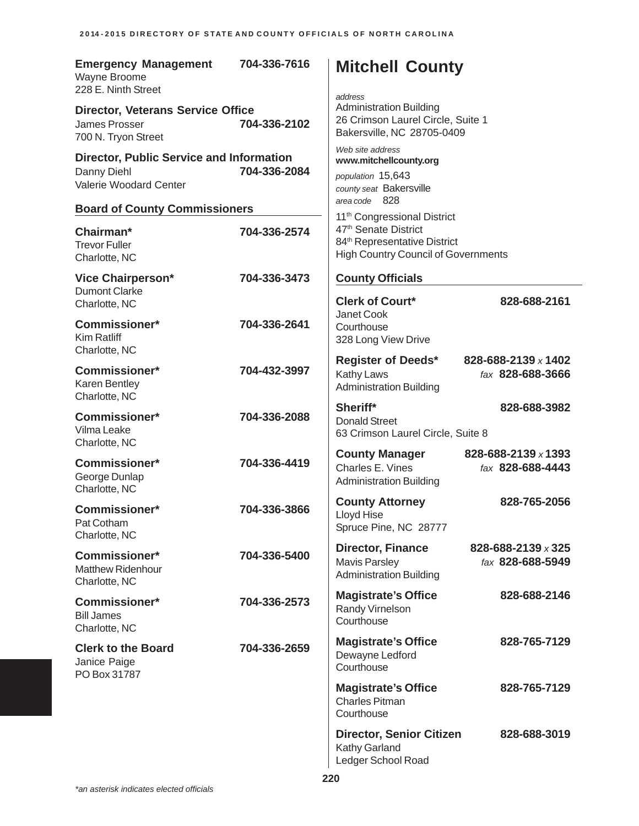| <b>Emergency Management</b><br>Wayne Broome<br>228 E. Ninth Street                               | 704-336-7616 | <b>Mitchell County</b><br>address                                                                                          |  |                                         |
|--------------------------------------------------------------------------------------------------|--------------|----------------------------------------------------------------------------------------------------------------------------|--|-----------------------------------------|
| <b>Director, Veterans Service Office</b><br>704-336-2102<br>James Prosser<br>700 N. Tryon Street |              | <b>Administration Building</b><br>26 Crimson Laurel Circle, Suite 1<br>Bakersville, NC 28705-0409                          |  |                                         |
| <b>Director, Public Service and Information</b><br>Danny Diehl<br>Valerie Woodard Center         | 704-336-2084 | Web site address<br>www.mitchellcounty.org<br>population 15,643<br>county seat Bakersville<br>area code 828                |  |                                         |
| <b>Board of County Commissioners</b>                                                             |              | 11 <sup>th</sup> Congressional District                                                                                    |  |                                         |
| Chairman*<br><b>Trevor Fuller</b><br>Charlotte, NC                                               | 704-336-2574 | 47 <sup>th</sup> Senate District<br>84 <sup>th</sup> Representative District<br><b>High Country Council of Governments</b> |  |                                         |
| <b>Vice Chairperson*</b><br><b>Dumont Clarke</b>                                                 | 704-336-3473 | <b>County Officials</b>                                                                                                    |  |                                         |
| Charlotte, NC                                                                                    |              | <b>Clerk of Court*</b>                                                                                                     |  | 828-688-2161                            |
| <b>Commissioner*</b><br>Kim Ratliff<br>Charlotte, NC                                             | 704-336-2641 | Janet Cook<br>Courthouse<br>328 Long View Drive                                                                            |  |                                         |
| <b>Commissioner*</b><br>Karen Bentley<br>Charlotte, NC                                           | 704-432-3997 | <b>Register of Deeds*</b><br>Kathy Laws<br><b>Administration Building</b>                                                  |  | 828-688-2139 x 1402<br>fax 828-688-3666 |
| <b>Commissioner*</b><br>Vilma Leake<br>Charlotte, NC                                             | 704-336-2088 | Sheriff*<br><b>Donald Street</b><br>63 Crimson Laurel Circle, Suite 8                                                      |  | 828-688-3982                            |
| Commissioner*<br>George Dunlap<br>Charlotte, NC                                                  | 704-336-4419 | <b>County Manager</b><br>Charles E. Vines<br><b>Administration Building</b>                                                |  | 828-688-2139 x 1393<br>fax 828-688-4443 |
| <b>Commissioner*</b><br>Pat Cotham<br>Charlotte, NC                                              | 704-336-3866 | <b>County Attorney</b><br>Lloyd Hise<br>Spruce Pine, NC 28777                                                              |  | 828-765-2056                            |
| Commissioner*<br><b>Matthew Ridenhour</b><br>Charlotte, NC                                       | 704-336-5400 | <b>Director, Finance</b><br><b>Mavis Parsley</b><br><b>Administration Building</b>                                         |  | 828-688-2139 x 325<br>fax 828-688-5949  |
| Commissioner*<br><b>Bill James</b><br>Charlotte, NC                                              | 704-336-2573 | <b>Magistrate's Office</b><br>Randy Virnelson<br>Courthouse                                                                |  | 828-688-2146                            |
| <b>Clerk to the Board</b><br>Janice Paige<br>PO Box 31787                                        | 704-336-2659 | <b>Magistrate's Office</b><br>Dewayne Ledford<br>Courthouse                                                                |  | 828-765-7129                            |
|                                                                                                  |              | <b>Magistrate's Office</b><br><b>Charles Pitman</b><br>Courthouse                                                          |  | 828-765-7129                            |
|                                                                                                  |              | <b>Director, Senior Citizen</b><br>Kathy Garland<br>Ledger School Road                                                     |  | 828-688-3019                            |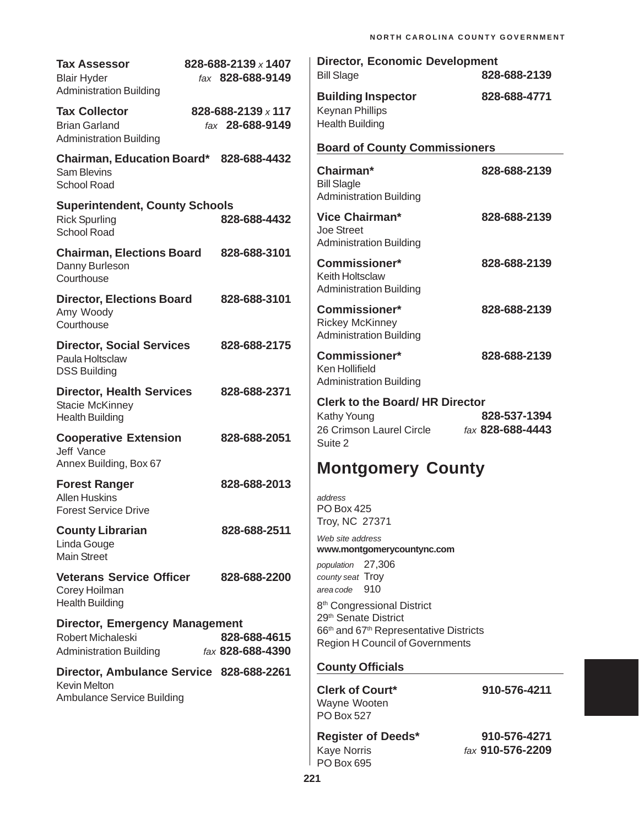| <b>Tax Assessor</b><br><b>Blair Hyder</b>                                                    | 828-688-2139 x 1407<br>fax 828-688-9149 | <b>Director, Economic Development</b><br><b>Bill Slage</b>                                                                                                     | 828-688-2139                     |
|----------------------------------------------------------------------------------------------|-----------------------------------------|----------------------------------------------------------------------------------------------------------------------------------------------------------------|----------------------------------|
| <b>Administration Building</b>                                                               |                                         | <b>Building Inspector</b>                                                                                                                                      | 828-688-4771                     |
| <b>Tax Collector</b><br><b>Brian Garland</b><br><b>Administration Building</b>               | 828-688-2139 x 117<br>fax 28-688-9149   | <b>Keynan Phillips</b><br><b>Health Building</b>                                                                                                               |                                  |
| Chairman, Education Board* 828-688-4432                                                      |                                         | <b>Board of County Commissioners</b>                                                                                                                           |                                  |
| <b>Sam Blevins</b><br><b>School Road</b>                                                     |                                         | Chairman*<br><b>Bill Slagle</b>                                                                                                                                | 828-688-2139                     |
| <b>Superintendent, County Schools</b>                                                        |                                         | <b>Administration Building</b>                                                                                                                                 |                                  |
| <b>Rick Spurling</b><br><b>School Road</b>                                                   | 828-688-4432                            | <b>Vice Chairman*</b><br>Joe Street<br><b>Administration Building</b>                                                                                          | 828-688-2139                     |
| <b>Chairman, Elections Board</b><br>Danny Burleson<br>Courthouse                             | 828-688-3101                            | <b>Commissioner*</b><br>Keith Holtsclaw                                                                                                                        | 828-688-2139                     |
| <b>Director, Elections Board</b><br>Amy Woody<br>Courthouse                                  | 828-688-3101                            | <b>Administration Building</b><br><b>Commissioner*</b><br><b>Rickey McKinney</b>                                                                               | 828-688-2139                     |
| <b>Director, Social Services</b><br>Paula Holtsclaw<br><b>DSS Building</b>                   | 828-688-2175                            | <b>Administration Building</b><br><b>Commissioner*</b><br>Ken Hollifield                                                                                       | 828-688-2139                     |
| <b>Director, Health Services</b><br><b>Stacie McKinney</b><br><b>Health Building</b>         | 828-688-2371                            | <b>Administration Building</b><br><b>Clerk to the Board/ HR Director</b><br>Kathy Young                                                                        | 828-537-1394                     |
| <b>Cooperative Extension</b><br>Jeff Vance<br>Annex Building, Box 67                         | 828-688-2051                            | 26 Crimson Laurel Circle<br>Suite 2                                                                                                                            | fax 828-688-4443                 |
|                                                                                              |                                         | <b>Montgomery County</b>                                                                                                                                       |                                  |
| <b>Forest Ranger</b><br><b>Allen Huskins</b><br><b>Forest Service Drive</b>                  | 828-688-2013                            | address<br><b>PO Box 425</b>                                                                                                                                   |                                  |
| <b>County Librarian</b>                                                                      | 828-688-2511                            | Troy, NC 27371                                                                                                                                                 |                                  |
| Linda Gouge<br><b>Main Street</b>                                                            |                                         | Web site address<br>www.montgomerycountync.com<br>population 27,306                                                                                            |                                  |
| <b>Veterans Service Officer</b><br>Corey Hoilman<br><b>Health Building</b>                   | 828-688-2200                            | county seat Troy<br>area code 910                                                                                                                              |                                  |
| <b>Director, Emergency Management</b><br>Robert Michaleski<br><b>Administration Building</b> | 828-688-4615<br>fax 828-688-4390        | 8 <sup>th</sup> Congressional District<br>29 <sup>th</sup> Senate District<br>66th and 67th Representative Districts<br><b>Region H Council of Governments</b> |                                  |
| Director, Ambulance Service 828-688-2261                                                     |                                         | <b>County Officials</b>                                                                                                                                        |                                  |
| Kevin Melton<br>Ambulance Service Building                                                   |                                         | <b>Clerk of Court*</b><br>Wayne Wooten<br>PO Box 527                                                                                                           | 910-576-4211                     |
|                                                                                              |                                         | <b>Register of Deeds*</b><br><b>Kaye Norris</b><br>PO Box 695                                                                                                  | 910-576-4271<br>fax 910-576-2209 |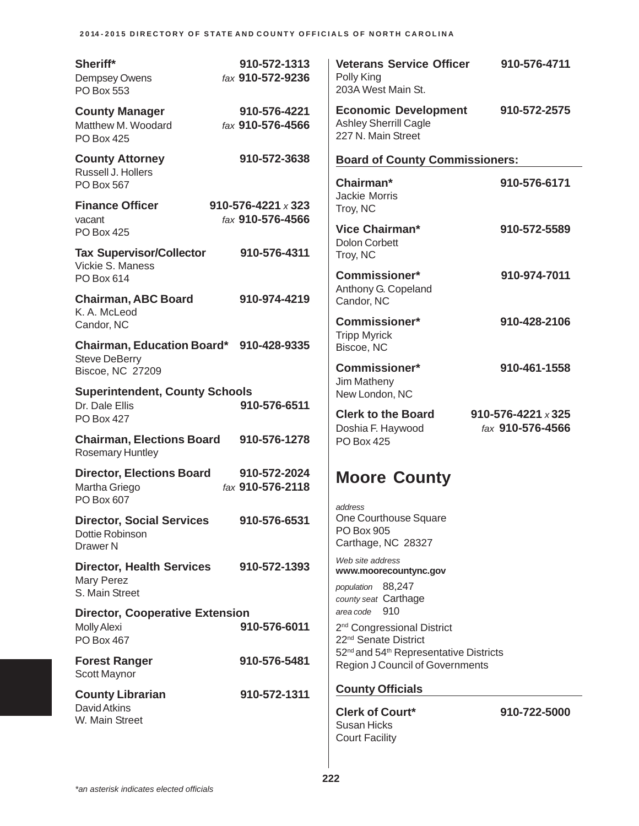| 2014-2015 DIRECTORY OF STATE AND COUNTY OFFICIALS OF NORTH CAROLINA |  |
|---------------------------------------------------------------------|--|
|---------------------------------------------------------------------|--|

| Sheriff*<br>Dempsey Owens<br>PO Box 553                                    | 910-572-1313<br>fax 910-572-9236              | <b>Veterans Service Officer</b><br>Polly King<br>203A West Main St.                                      | 910-576-4711                                  |
|----------------------------------------------------------------------------|-----------------------------------------------|----------------------------------------------------------------------------------------------------------|-----------------------------------------------|
| <b>County Manager</b><br>Matthew M. Woodard<br><b>PO Box 425</b>           | 910-576-4221<br>fax 910-576-4566              | <b>Economic Development</b><br><b>Ashley Sherrill Cagle</b><br>227 N. Main Street                        | 910-572-2575                                  |
| <b>County Attorney</b><br>Russell J. Hollers                               | 910-572-3638                                  | <b>Board of County Commissioners:</b>                                                                    |                                               |
| PO Box 567                                                                 |                                               | Chairman*<br><b>Jackie Morris</b>                                                                        | 910-576-6171                                  |
| <b>Finance Officer</b><br>vacant                                           | 910-576-4221 $\times$ 323<br>fax 910-576-4566 | Troy, NC                                                                                                 |                                               |
| <b>PO Box 425</b>                                                          |                                               | <b>Vice Chairman*</b><br><b>Dolon Corbett</b>                                                            | 910-572-5589                                  |
| <b>Tax Supervisor/Collector</b><br>Vickie S. Maness                        | 910-576-4311                                  | Troy, NC                                                                                                 |                                               |
| PO Box 614                                                                 |                                               | <b>Commissioner*</b><br>Anthony G. Copeland                                                              | 910-974-7011                                  |
| <b>Chairman, ABC Board</b><br>K. A. McLeod                                 | 910-974-4219                                  | Candor, NC                                                                                               |                                               |
| Candor, NC                                                                 |                                               | Commissioner*<br><b>Tripp Myrick</b>                                                                     | 910-428-2106                                  |
| <b>Chairman, Education Board*</b><br><b>Steve DeBerry</b>                  | 910-428-9335                                  | Biscoe, NC                                                                                               |                                               |
| <b>Biscoe, NC 27209</b>                                                    |                                               | <b>Commissioner*</b><br>Jim Matheny                                                                      | 910-461-1558                                  |
| <b>Superintendent, County Schools</b><br>Dr. Dale Ellis                    | 910-576-6511                                  | New London, NC                                                                                           |                                               |
| <b>PO Box 427</b>                                                          |                                               | <b>Clerk to the Board</b><br>Doshia F. Haywood                                                           | 910-576-4221 $\times$ 325<br>fax 910-576-4566 |
| <b>Chairman, Elections Board</b><br>Rosemary Huntley                       | 910-576-1278                                  | <b>PO Box 425</b>                                                                                        |                                               |
| <b>Director, Elections Board</b><br>Martha Griego<br>PO Box 607            | 910-572-2024<br>fax 910-576-2118              | <b>Moore County</b><br>address                                                                           |                                               |
| <b>Director, Social Services</b><br>Dottie Robinson<br>Drawer <sub>N</sub> | 910-576-6531                                  | One Courthouse Square<br><b>PO Box 905</b><br>Carthage, NC 28327                                         |                                               |
| <b>Director, Health Services</b>                                           | 910-572-1393                                  | Web site address<br>www.moorecountync.gov                                                                |                                               |
| Mary Perez<br>S. Main Street                                               |                                               | population 88,247<br>county seat Carthage                                                                |                                               |
| <b>Director, Cooperative Extension</b>                                     |                                               | area code 910                                                                                            |                                               |
| <b>Molly Alexi</b><br><b>PO Box 467</b>                                    | 910-576-6011                                  | 2 <sup>nd</sup> Congressional District<br>22 <sup>nd</sup> Senate District                               |                                               |
| <b>Forest Ranger</b><br>Scott Maynor                                       | 910-576-5481                                  | 52 <sup>nd</sup> and 54 <sup>th</sup> Representative Districts<br><b>Region J Council of Governments</b> |                                               |
| <b>County Librarian</b>                                                    | 910-572-1311                                  | <b>County Officials</b>                                                                                  |                                               |
| David Atkins<br>W. Main Street                                             |                                               | <b>Clerk of Court*</b><br><b>Susan Hicks</b><br><b>Court Facility</b>                                    | 910-722-5000                                  |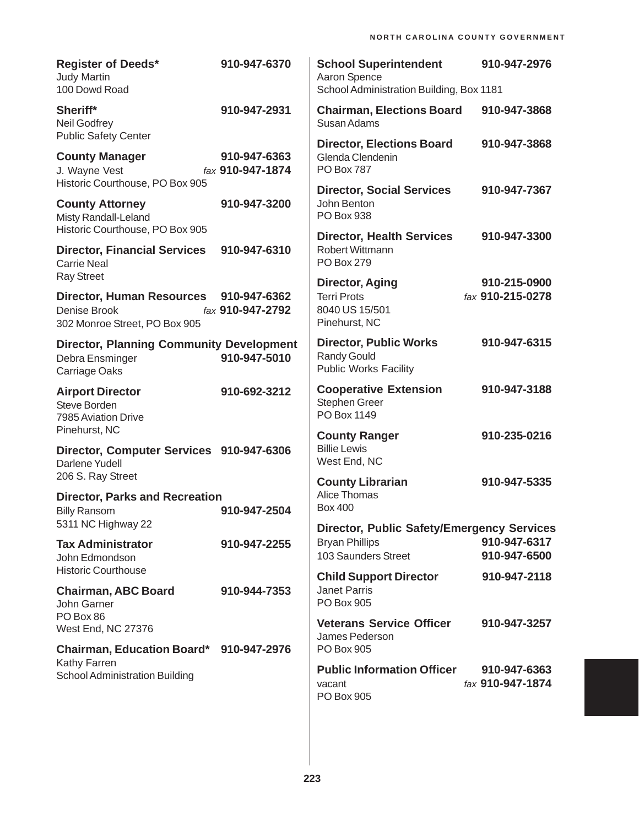| <b>Register of Deeds*</b><br><b>Judy Martin</b><br>100 Dowd Road                                       | 910-947-6370                     | <b>School Superintendent</b><br>Aaron Spence<br>School Administration Building, Box 1181          | 910-947-2976                     |
|--------------------------------------------------------------------------------------------------------|----------------------------------|---------------------------------------------------------------------------------------------------|----------------------------------|
| Sheriff*<br><b>Neil Godfrey</b><br><b>Public Safety Center</b>                                         | 910-947-2931                     | <b>Chairman, Elections Board</b><br>Susan Adams                                                   | 910-947-3868                     |
| <b>County Manager</b><br>J. Wayne Vest                                                                 | 910-947-6363<br>fax 910-947-1874 | <b>Director, Elections Board</b><br>Glenda Clendenin<br><b>PO Box 787</b>                         | 910-947-3868                     |
| Historic Courthouse, PO Box 905<br><b>County Attorney</b><br>Misty Randall-Leland                      | 910-947-3200                     | <b>Director, Social Services</b><br>John Benton<br>PO Box 938                                     | 910-947-7367                     |
| Historic Courthouse, PO Box 905<br><b>Director, Financial Services</b><br><b>Carrie Neal</b>           | 910-947-6310                     | <b>Director, Health Services</b><br><b>Robert Wittmann</b><br><b>PO Box 279</b>                   | 910-947-3300                     |
| <b>Ray Street</b><br><b>Director, Human Resources</b><br>Denise Brook<br>302 Monroe Street, PO Box 905 | 910-947-6362<br>fax 910-947-2792 | Director, Aging<br><b>Terri Prots</b><br>8040 US 15/501<br>Pinehurst, NC                          | 910-215-0900<br>fax 910-215-0278 |
| <b>Director, Planning Community Development</b><br>Debra Ensminger<br>Carriage Oaks                    | 910-947-5010                     | <b>Director, Public Works</b><br><b>Randy Gould</b><br><b>Public Works Facility</b>               | 910-947-6315                     |
| <b>Airport Director</b><br>Steve Borden<br>7985 Aviation Drive                                         | 910-692-3212                     | <b>Cooperative Extension</b><br>Stephen Greer<br>PO Box 1149                                      | 910-947-3188                     |
| Pinehurst, NC<br>Director, Computer Services 910-947-6306<br>Darlene Yudell                            |                                  | <b>County Ranger</b><br><b>Billie Lewis</b><br>West End, NC                                       | 910-235-0216                     |
| 206 S. Ray Street<br><b>Director, Parks and Recreation</b><br><b>Billy Ransom</b>                      | 910-947-2504                     | <b>County Librarian</b><br>Alice Thomas<br><b>Box 400</b>                                         | 910-947-5335                     |
| 5311 NC Highway 22<br><b>Tax Administrator</b><br>John Edmondson<br><b>Historic Courthouse</b>         | 910-947-2255                     | <b>Director, Public Safety/Emergency Services</b><br><b>Bryan Phillips</b><br>103 Saunders Street | 910-947-6317<br>910-947-6500     |
| <b>Chairman, ABC Board</b><br>John Garner                                                              | 910-944-7353                     | <b>Child Support Director</b><br><b>Janet Parris</b><br>PO Box 905                                | 910-947-2118                     |
| PO Box 86<br>West End, NC 27376                                                                        |                                  | <b>Veterans Service Officer</b><br>James Pederson                                                 | 910-947-3257                     |
| Chairman, Education Board* 910-947-2976<br>Kathy Farren<br>School Administration Building              |                                  | <b>PO Box 905</b><br><b>Public Information Officer</b><br>vacant<br>PO Box 905                    | 910-947-6363<br>fax 910-947-1874 |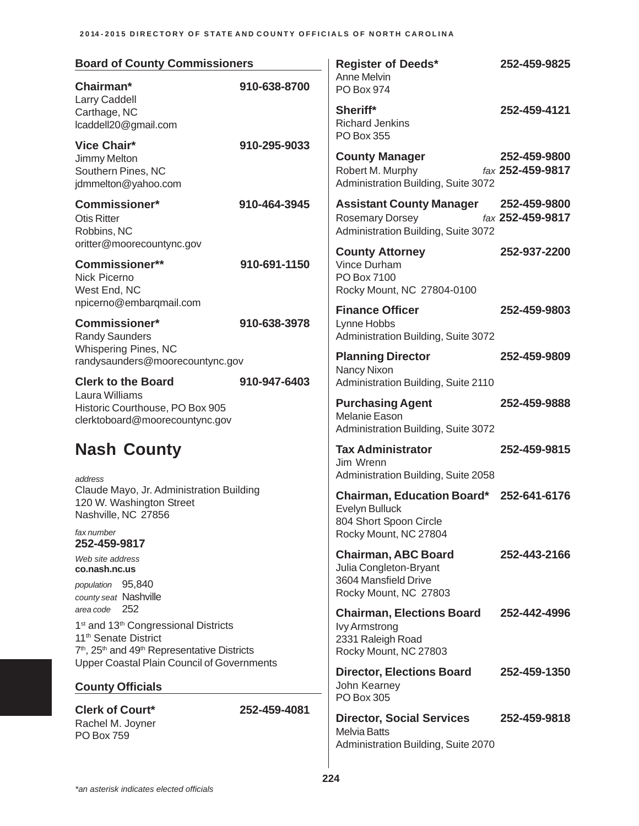| <b>Board of County Commissioners</b>                                                                                                                                                                                                                                                                                         |              | <b>Register of Deeds*</b>                                                                                              | 252-459-9825                     |  |
|------------------------------------------------------------------------------------------------------------------------------------------------------------------------------------------------------------------------------------------------------------------------------------------------------------------------------|--------------|------------------------------------------------------------------------------------------------------------------------|----------------------------------|--|
| Chairman*<br>Larry Caddell                                                                                                                                                                                                                                                                                                   | 910-638-8700 | Anne Melvin<br>PO Box 974                                                                                              |                                  |  |
| Carthage, NC<br>lcaddell20@gmail.com                                                                                                                                                                                                                                                                                         |              | Sheriff*<br><b>Richard Jenkins</b><br>PO Box 355                                                                       | 252-459-4121                     |  |
| <b>Vice Chair*</b><br>Jimmy Melton<br>Southern Pines, NC<br>jdmmelton@yahoo.com                                                                                                                                                                                                                                              | 910-295-9033 | <b>County Manager</b><br>Robert M. Murphy<br>Administration Building, Suite 3072                                       | 252-459-9800<br>fax 252-459-9817 |  |
| <b>Commissioner*</b><br><b>Otis Ritter</b><br>Robbins, NC<br>oritter@moorecountync.gov                                                                                                                                                                                                                                       | 910-464-3945 | <b>Assistant County Manager</b><br><b>Rosemary Dorsey</b><br>Administration Building, Suite 3072                       | 252-459-9800<br>fax 252-459-9817 |  |
| Commissioner**<br>Nick Picerno<br>West End, NC                                                                                                                                                                                                                                                                               | 910-691-1150 | <b>County Attorney</b><br>Vince Durham<br>PO Box 7100<br>Rocky Mount, NC 27804-0100                                    | 252-937-2200                     |  |
| npicerno@embarqmail.com<br><b>Commissioner*</b><br><b>Randy Saunders</b>                                                                                                                                                                                                                                                     | 910-638-3978 | <b>Finance Officer</b><br>Lynne Hobbs<br>Administration Building, Suite 3072                                           | 252-459-9803                     |  |
| Whispering Pines, NC<br>randysaunders@moorecountync.gov                                                                                                                                                                                                                                                                      |              | <b>Planning Director</b><br>Nancy Nixon                                                                                | 252-459-9809                     |  |
| <b>Clerk to the Board</b><br>Laura Williams<br>Historic Courthouse, PO Box 905<br>clerktoboard@moorecountync.gov                                                                                                                                                                                                             | 910-947-6403 | Administration Building, Suite 2110<br><b>Purchasing Agent</b><br>Melanie Eason<br>Administration Building, Suite 3072 | 252-459-9888                     |  |
| <b>Nash County</b>                                                                                                                                                                                                                                                                                                           |              | <b>Tax Administrator</b><br>Jim Wrenn<br>Administration Building, Suite 2058                                           | 252-459-9815                     |  |
| address<br>Claude Mayo, Jr. Administration Building<br>120 W. Washington Street<br>Nashville, NC 27856                                                                                                                                                                                                                       |              | Chairman, Education Board* 252-641-6176<br>Evelyn Bulluck<br>804 Short Spoon Circle                                    |                                  |  |
| fax number<br>252-459-9817                                                                                                                                                                                                                                                                                                   |              | Rocky Mount, NC 27804                                                                                                  |                                  |  |
| Web site address<br>co.nash.nc.us                                                                                                                                                                                                                                                                                            |              | <b>Chairman, ABC Board</b><br>Julia Congleton-Bryant                                                                   | 252-443-2166                     |  |
| population 95,840<br>county seat Nashville<br>area code 252<br>1 <sup>st</sup> and 13 <sup>th</sup> Congressional Districts<br>11 <sup>th</sup> Senate District<br>7 <sup>th</sup> , 25 <sup>th</sup> and 49 <sup>th</sup> Representative Districts<br>Upper Coastal Plain Council of Governments<br><b>County Officials</b> |              | 3604 Mansfield Drive<br>Rocky Mount, NC 27803<br><b>Chairman, Elections Board</b>                                      |                                  |  |
|                                                                                                                                                                                                                                                                                                                              |              | <b>Ivy Armstrong</b><br>2331 Raleigh Road<br>Rocky Mount, NC 27803                                                     | 252-442-4996                     |  |
|                                                                                                                                                                                                                                                                                                                              |              | <b>Director, Elections Board</b><br>John Kearney                                                                       | 252-459-1350                     |  |
| <b>Clerk of Court*</b>                                                                                                                                                                                                                                                                                                       | 252-459-4081 | PO Box 305                                                                                                             |                                  |  |
| Rachel M. Joyner<br><b>PO Box 759</b>                                                                                                                                                                                                                                                                                        |              | <b>Director, Social Services</b><br><b>Melvia Batts</b><br>Administration Building, Suite 2070                         | 252-459-9818                     |  |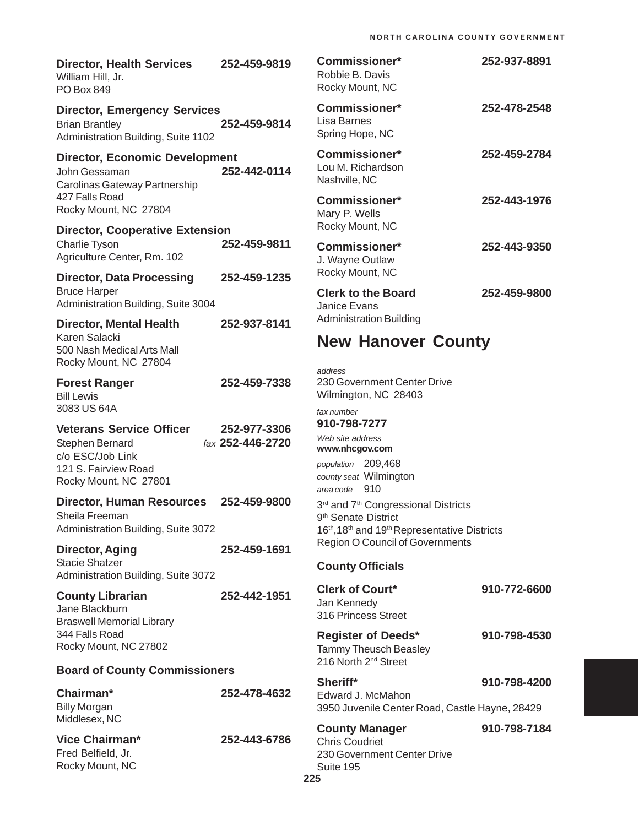| <b>Director, Health Services</b><br>William Hill, Jr.<br>PO Box 849                                 | 252-459-9819     | <b>Commissioner*</b><br>Robbie B. Davis<br>Rocky Mount, NC                                                             | 252-937-8891 |
|-----------------------------------------------------------------------------------------------------|------------------|------------------------------------------------------------------------------------------------------------------------|--------------|
| <b>Director, Emergency Services</b><br><b>Brian Brantley</b><br>Administration Building, Suite 1102 | 252-459-9814     | <b>Commissioner*</b><br>Lisa Barnes<br>Spring Hope, NC                                                                 | 252-478-2548 |
| <b>Director, Economic Development</b><br>John Gessaman<br>Carolinas Gateway Partnership             | 252-442-0114     | <b>Commissioner*</b><br>Lou M. Richardson<br>Nashville, NC                                                             | 252-459-2784 |
| 427 Falls Road<br>Rocky Mount, NC 27804                                                             |                  | <b>Commissioner*</b><br>Mary P. Wells                                                                                  | 252-443-1976 |
| <b>Director, Cooperative Extension</b><br>Charlie Tyson<br>Agriculture Center, Rm. 102              | 252-459-9811     | Rocky Mount, NC<br><b>Commissioner*</b><br>J. Wayne Outlaw                                                             | 252-443-9350 |
| <b>Director, Data Processing</b><br><b>Bruce Harper</b><br>Administration Building, Suite 3004      | 252-459-1235     | Rocky Mount, NC<br><b>Clerk to the Board</b><br>Janice Evans                                                           | 252-459-9800 |
| <b>Director, Mental Health</b><br>Karen Salacki                                                     | 252-937-8141     | <b>Administration Building</b><br><b>New Hanover County</b>                                                            |              |
| 500 Nash Medical Arts Mall<br>Rocky Mount, NC 27804                                                 |                  | address                                                                                                                |              |
| <b>Forest Ranger</b><br><b>Bill Lewis</b><br>3083 US 64A                                            | 252-459-7338     | 230 Government Center Drive<br>Wilmington, NC 28403                                                                    |              |
| <b>Veterans Service Officer</b>                                                                     | 252-977-3306     | fax number<br>910-798-7277                                                                                             |              |
| Stephen Bernard<br>c/o ESC/Job Link                                                                 | fax 252-446-2720 | Web site address<br>www.nhcgov.com                                                                                     |              |
| 121 S. Fairview Road<br>Rocky Mount, NC 27801                                                       |                  | population 209,468<br>county seat Wilmington<br>area code 910                                                          |              |
| <b>Director, Human Resources</b><br>Sheila Freeman<br>Administration Building, Suite 3072           | 252-459-9800     | 3rd and 7th Congressional Districts<br>9 <sup>th</sup> Senate District<br>16th, 18th and 19th Representative Districts |              |
| <b>Director, Aging</b>                                                                              | 252-459-1691     | Region O Council of Governments                                                                                        |              |
| <b>Stacie Shatzer</b><br>Administration Building, Suite 3072                                        |                  | <b>County Officials</b>                                                                                                |              |
| <b>County Librarian</b><br>Jane Blackburn<br><b>Braswell Memorial Library</b>                       | 252-442-1951     | <b>Clerk of Court*</b><br>Jan Kennedy<br>316 Princess Street                                                           | 910-772-6600 |
| 344 Falls Road<br>Rocky Mount, NC 27802                                                             |                  | <b>Register of Deeds*</b><br><b>Tammy Theusch Beasley</b><br>216 North 2 <sup>nd</sup> Street                          | 910-798-4530 |
| <b>Board of County Commissioners</b>                                                                |                  | Sheriff*                                                                                                               | 910-798-4200 |
| Chairman*<br><b>Billy Morgan</b><br>Middlesex, NC                                                   | 252-478-4632     | Edward J. McMahon<br>3950 Juvenile Center Road, Castle Hayne, 28429                                                    |              |
| <b>Vice Chairman*</b><br>Fred Belfield, Jr.<br>Rocky Mount, NC                                      | 252-443-6786     | <b>County Manager</b><br><b>Chris Coudriet</b><br>230 Government Center Drive<br>Suite 195                             | 910-798-7184 |
|                                                                                                     |                  | 225                                                                                                                    |              |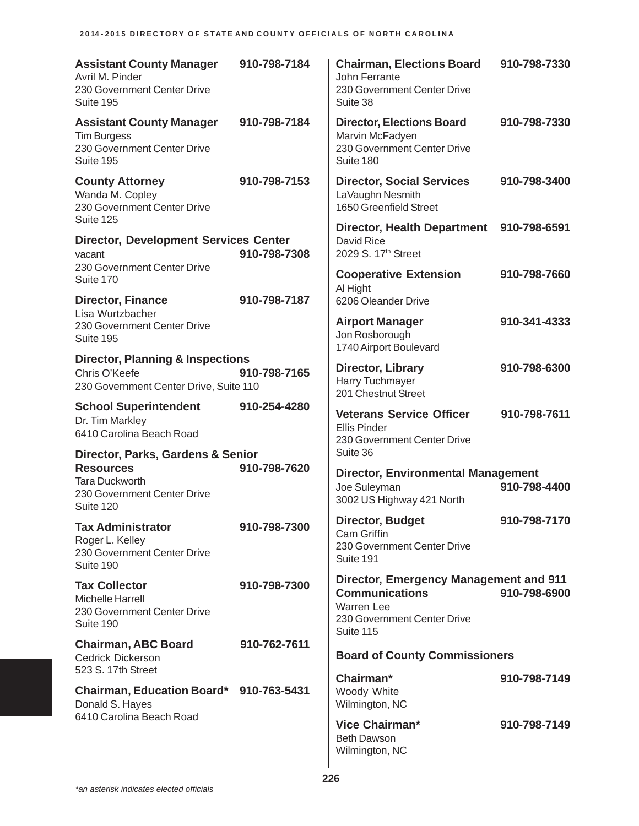| <b>Assistant County Manager</b><br>Avril M. Pinder<br>230 Government Center Drive<br>Suite 195                             | 910-798-7184 | <b>Chairman, Elections Board</b><br><b>John Ferrante</b><br>230 Government Center Drive<br>Suite 38                              | 910-798-7330 |
|----------------------------------------------------------------------------------------------------------------------------|--------------|----------------------------------------------------------------------------------------------------------------------------------|--------------|
| <b>Assistant County Manager</b><br><b>Tim Burgess</b><br>230 Government Center Drive<br>Suite 195                          | 910-798-7184 | <b>Director, Elections Board</b><br>Marvin McFadyen<br>230 Government Center Drive<br>Suite 180                                  | 910-798-7330 |
| <b>County Attorney</b><br>Wanda M. Copley<br>230 Government Center Drive<br>Suite 125                                      | 910-798-7153 | <b>Director, Social Services</b><br>LaVaughn Nesmith<br>1650 Greenfield Street                                                   | 910-798-3400 |
| <b>Director, Development Services Center</b><br>vacant                                                                     | 910-798-7308 | <b>Director, Health Department</b><br>David Rice<br>2029 S. 17th Street                                                          | 910-798-6591 |
| 230 Government Center Drive<br>Suite 170                                                                                   |              | <b>Cooperative Extension</b><br>Al Hight                                                                                         | 910-798-7660 |
| <b>Director, Finance</b><br>Lisa Wurtzbacher<br>230 Government Center Drive<br>Suite 195                                   | 910-798-7187 | 6206 Oleander Drive<br><b>Airport Manager</b><br>Jon Rosborough<br>1740 Airport Boulevard                                        | 910-341-4333 |
| <b>Director, Planning &amp; Inspections</b><br>Chris O'Keefe<br>230 Government Center Drive, Suite 110                     | 910-798-7165 | Director, Library<br><b>Harry Tuchmayer</b><br>201 Chestnut Street                                                               | 910-798-6300 |
| <b>School Superintendent</b><br>Dr. Tim Markley<br>6410 Carolina Beach Road                                                | 910-254-4280 | <b>Veterans Service Officer</b><br><b>Ellis Pinder</b><br>230 Government Center Drive                                            | 910-798-7611 |
| Director, Parks, Gardens & Senior<br><b>Resources</b><br><b>Tara Duckworth</b><br>230 Government Center Drive<br>Suite 120 | 910-798-7620 | Suite 36<br><b>Director, Environmental Management</b><br>Joe Suleyman<br>3002 US Highway 421 North                               | 910-798-4400 |
| <b>Tax Administrator</b><br>Roger L. Kelley<br>230 Government Center Drive<br>Suite 190                                    | 910-798-7300 | <b>Director, Budget</b><br><b>Cam Griffin</b><br>230 Government Center Drive<br>Suite 191                                        | 910-798-7170 |
| <b>Tax Collector</b><br>Michelle Harrell<br>230 Government Center Drive<br>Suite 190                                       | 910-798-7300 | <b>Director, Emergency Management and 911</b><br><b>Communications</b><br>Warren Lee<br>230 Government Center Drive<br>Suite 115 | 910-798-6900 |
| <b>Chairman, ABC Board</b><br><b>Cedrick Dickerson</b><br>523 S. 17th Street                                               | 910-762-7611 | <b>Board of County Commissioners</b>                                                                                             |              |
| Chairman, Education Board* 910-763-5431<br>Donald S. Hayes<br>6410 Carolina Beach Road                                     |              | Chairman*<br>Woody White<br>Wilmington, NC                                                                                       | 910-798-7149 |
|                                                                                                                            |              | Vice Chairman*<br><b>Beth Dawson</b><br>Wilmington, NC                                                                           | 910-798-7149 |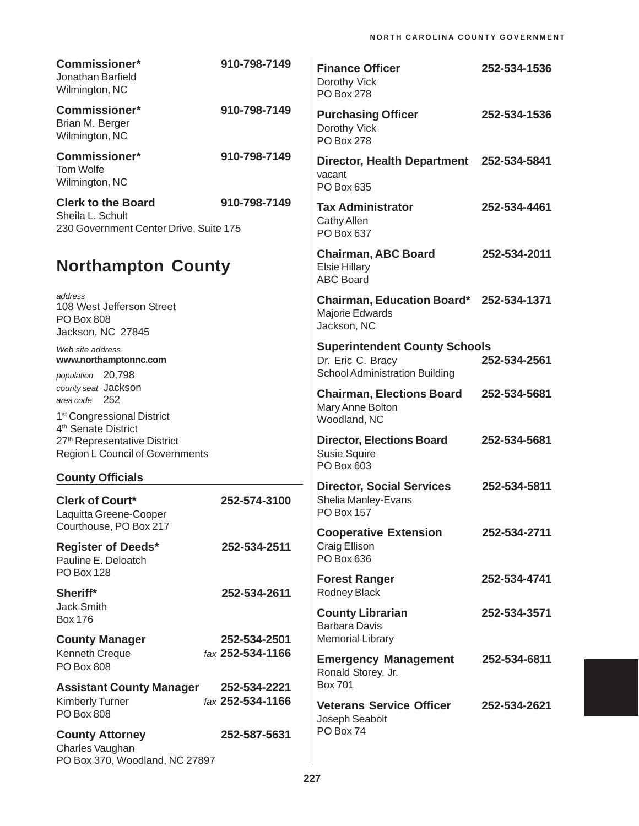| <b>Commissioner*</b><br>Jonathan Barfield<br>Wilmington, NC                                                    | 910-798-7149                     | <b>Finance Officer</b><br>Dorothy Vick<br><b>PO Box 278</b>                                        | 252-534-1536 |
|----------------------------------------------------------------------------------------------------------------|----------------------------------|----------------------------------------------------------------------------------------------------|--------------|
| <b>Commissioner*</b><br>Brian M. Berger<br>Wilmington, NC                                                      | 910-798-7149                     | <b>Purchasing Officer</b><br>Dorothy Vick<br><b>PO Box 278</b>                                     | 252-534-1536 |
| <b>Commissioner*</b><br>Tom Wolfe<br>Wilmington, NC                                                            | 910-798-7149                     | <b>Director, Health Department</b><br>vacant<br>PO Box 635                                         | 252-534-5841 |
| <b>Clerk to the Board</b><br>Sheila L. Schult<br>230 Government Center Drive, Suite 175                        | 910-798-7149                     | <b>Tax Administrator</b><br>Cathy Allen<br>PO Box 637                                              | 252-534-4461 |
| <b>Northampton County</b>                                                                                      |                                  | <b>Chairman, ABC Board</b><br><b>Elsie Hillary</b><br><b>ABC Board</b>                             | 252-534-2011 |
| address<br>108 West Jefferson Street<br><b>PO Box 808</b><br>Jackson, NC 27845                                 |                                  | Chairman, Education Board* 252-534-1371<br>Majorie Edwards<br>Jackson, NC                          |              |
| Web site address<br>www.northamptonnc.com<br>population 20,798                                                 |                                  | <b>Superintendent County Schools</b><br>Dr. Eric C. Bracy<br><b>School Administration Building</b> | 252-534-2561 |
| county seat Jackson<br>area code 252<br>1 <sup>st</sup> Congressional District                                 |                                  | <b>Chairman, Elections Board</b><br>Mary Anne Bolton<br>Woodland, NC                               | 252-534-5681 |
| 4 <sup>th</sup> Senate District<br>27 <sup>th</sup> Representative District<br>Region L Council of Governments |                                  | <b>Director, Elections Board</b><br><b>Susie Squire</b><br>PO Box 603                              | 252-534-5681 |
| <b>County Officials</b>                                                                                        |                                  | <b>Director, Social Services</b>                                                                   | 252-534-5811 |
| <b>Clerk of Court*</b><br>Laquitta Greene-Cooper                                                               | 252-574-3100                     | Shelia Manley-Evans<br><b>PO Box 157</b>                                                           |              |
| Courthouse, PO Box 217<br><b>Register of Deeds*</b><br>Pauline E. Deloatch                                     | 252-534-2511                     | <b>Cooperative Extension</b><br>Craig Ellison<br>PO Box 636                                        | 252-534-2711 |
| <b>PO Box 128</b><br>Sheriff*                                                                                  | 252-534-2611                     | <b>Forest Ranger</b><br>Rodney Black                                                               | 252-534-4741 |
| <b>Jack Smith</b><br><b>Box 176</b>                                                                            |                                  | <b>County Librarian</b><br><b>Barbara Davis</b>                                                    | 252-534-3571 |
| <b>County Manager</b>                                                                                          | 252-534-2501                     | <b>Memorial Library</b>                                                                            |              |
| Kenneth Creque<br><b>PO Box 808</b>                                                                            | fax 252-534-1166                 | <b>Emergency Management</b><br>Ronald Storey, Jr.<br><b>Box 701</b>                                | 252-534-6811 |
| <b>Assistant County Manager</b><br><b>Kimberly Turner</b><br><b>PO Box 808</b>                                 | 252-534-2221<br>fax 252-534-1166 | <b>Veterans Service Officer</b><br>Joseph Seabolt                                                  | 252-534-2621 |
| <b>County Attorney</b><br>Charles Vaughan<br>PO Box 370, Woodland, NC 27897                                    | 252-587-5631                     | PO Box 74                                                                                          |              |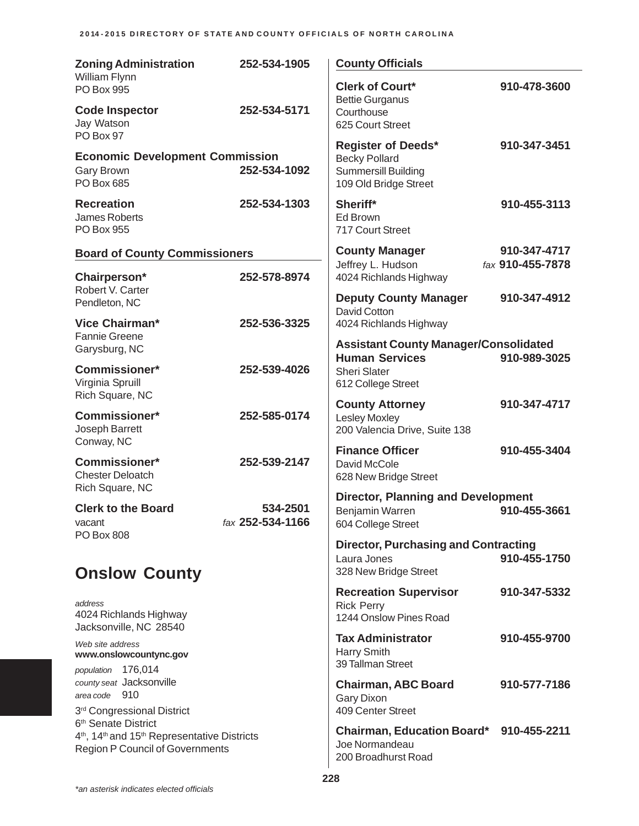| <b>Zoning Administration</b>                                                                                                                                  | 252-534-1905                 | <b>County Officials</b>                                                                                  |                                  |
|---------------------------------------------------------------------------------------------------------------------------------------------------------------|------------------------------|----------------------------------------------------------------------------------------------------------|----------------------------------|
| William Flynn<br>PO Box 995                                                                                                                                   |                              | <b>Clerk of Court*</b><br><b>Bettie Gurganus</b>                                                         | 910-478-3600                     |
| <b>Code Inspector</b><br>Jay Watson<br>PO Box 97                                                                                                              | 252-534-5171                 | Courthouse<br>625 Court Street                                                                           |                                  |
| <b>Economic Development Commission</b><br><b>Gary Brown</b><br>PO Box 685                                                                                     | 252-534-1092                 | <b>Register of Deeds*</b><br><b>Becky Pollard</b><br><b>Summersill Building</b><br>109 Old Bridge Street | 910-347-3451                     |
| <b>Recreation</b><br>James Roberts<br><b>PO Box 955</b>                                                                                                       | 252-534-1303                 | Sheriff*<br>Ed Brown<br>717 Court Street                                                                 | 910-455-3113                     |
| <b>Board of County Commissioners</b>                                                                                                                          |                              | <b>County Manager</b><br>Jeffrey L. Hudson                                                               | 910-347-4717<br>fax 910-455-7878 |
| Chairperson*<br>Robert V. Carter                                                                                                                              | 252-578-8974                 | 4024 Richlands Highway<br><b>Deputy County Manager</b>                                                   | 910-347-4912                     |
| Pendleton, NC<br>Vice Chairman*                                                                                                                               | 252-536-3325                 | <b>David Cotton</b><br>4024 Richlands Highway                                                            |                                  |
| <b>Fannie Greene</b><br>Garysburg, NC                                                                                                                         |                              | <b>Assistant County Manager/Consolidated</b><br><b>Human Services</b>                                    | 910-989-3025                     |
| <b>Commissioner*</b><br>Virginia Spruill                                                                                                                      | 252-539-4026                 | <b>Sheri Slater</b><br>612 College Street                                                                |                                  |
| Rich Square, NC<br><b>Commissioner*</b><br>Joseph Barrett                                                                                                     | 252-585-0174                 | <b>County Attorney</b><br><b>Lesley Moxley</b><br>200 Valencia Drive, Suite 138                          | 910-347-4717                     |
| Conway, NC<br>Commissioner*<br><b>Chester Deloatch</b>                                                                                                        | 252-539-2147                 | <b>Finance Officer</b><br>David McCole<br>628 New Bridge Street                                          | 910-455-3404                     |
| Rich Square, NC<br><b>Clerk to the Board</b><br>vacant                                                                                                        | 534-2501<br>fax 252-534-1166 | <b>Director, Planning and Development</b><br>Benjamin Warren<br>604 College Street                       | 910-455-3661                     |
| PO Box 808<br><b>Onslow County</b>                                                                                                                            |                              | <b>Director, Purchasing and Contracting</b><br>Laura Jones<br>328 New Bridge Street                      | 910-455-1750                     |
| address<br>4024 Richlands Highway<br>Jacksonville, NC 28540                                                                                                   |                              | <b>Recreation Supervisor</b><br><b>Rick Perry</b><br>1244 Onslow Pines Road                              | 910-347-5332                     |
| Web site address<br>www.onslowcountync.gov<br>population 176,014                                                                                              |                              | <b>Tax Administrator</b><br>Harry Smith<br>39 Tallman Street                                             | 910-455-9700                     |
| county seat Jacksonville<br>area code 910<br>3rd Congressional District                                                                                       |                              | <b>Chairman, ABC Board</b><br>Gary Dixon<br>409 Center Street                                            | 910-577-7186                     |
| 6 <sup>th</sup> Senate District<br>4 <sup>th</sup> , 14 <sup>th</sup> and 15 <sup>th</sup> Representative Districts<br><b>Region P Council of Governments</b> |                              | Chairman, Education Board* 910-455-2211<br>Joe Normandeau<br>200 Broadhurst Road                         |                                  |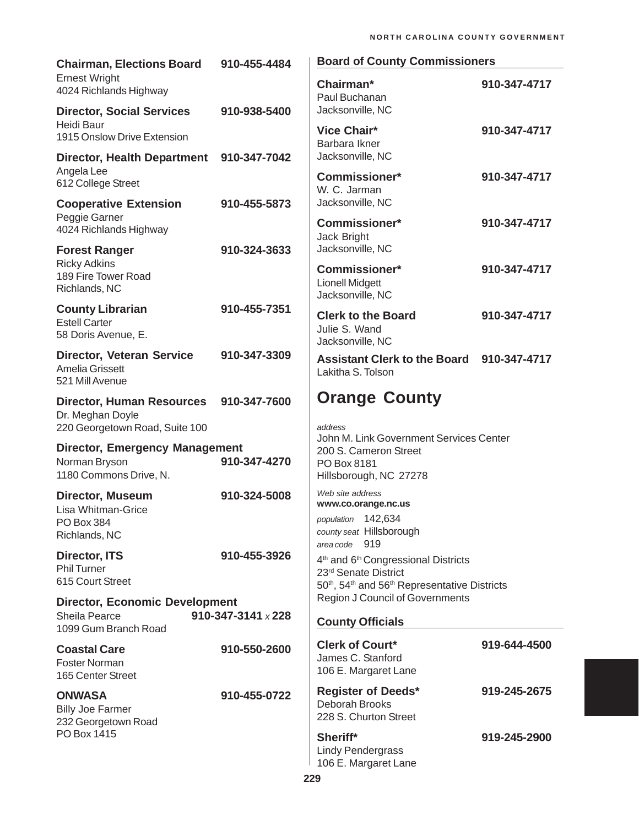| <b>Chairman, Elections Board</b>                                       | 910-455-4484       | <b>Board of County Commissioners</b>                                                                                                                                     |              |  |
|------------------------------------------------------------------------|--------------------|--------------------------------------------------------------------------------------------------------------------------------------------------------------------------|--------------|--|
| <b>Ernest Wright</b><br>4024 Richlands Highway                         |                    | Chairman*<br>Paul Buchanan                                                                                                                                               | 910-347-4717 |  |
| <b>Director, Social Services</b><br>Heidi Baur                         | 910-938-5400       | Jacksonville, NC                                                                                                                                                         |              |  |
| 1915 Onslow Drive Extension                                            |                    | Vice Chair*<br>Barbara Ikner                                                                                                                                             | 910-347-4717 |  |
| <b>Director, Health Department</b>                                     | 910-347-7042       | Jacksonville, NC                                                                                                                                                         |              |  |
| Angela Lee<br>612 College Street                                       |                    | <b>Commissioner*</b><br>W. C. Jarman                                                                                                                                     | 910-347-4717 |  |
| <b>Cooperative Extension</b><br>Peggie Garner                          | 910-455-5873       | Jacksonville, NC                                                                                                                                                         |              |  |
| 4024 Richlands Highway                                                 |                    | <b>Commissioner*</b><br>Jack Bright                                                                                                                                      | 910-347-4717 |  |
| <b>Forest Ranger</b>                                                   | 910-324-3633       | Jacksonville, NC                                                                                                                                                         |              |  |
| <b>Ricky Adkins</b><br>189 Fire Tower Road<br>Richlands, NC            |                    | <b>Commissioner*</b><br><b>Lionell Midgett</b><br>Jacksonville, NC                                                                                                       | 910-347-4717 |  |
| <b>County Librarian</b><br><b>Estell Carter</b>                        | 910-455-7351       | <b>Clerk to the Board</b>                                                                                                                                                | 910-347-4717 |  |
| 58 Doris Avenue, E.                                                    |                    | Julie S. Wand<br>Jacksonville, NC                                                                                                                                        |              |  |
| <b>Director, Veteran Service</b><br>Amelia Grissett<br>521 Mill Avenue | 910-347-3309       | <b>Assistant Clerk to the Board</b><br>Lakitha S. Tolson                                                                                                                 | 910-347-4717 |  |
| <b>Director, Human Resources</b><br>Dr. Meghan Doyle                   | 910-347-7600       | <b>Orange County</b>                                                                                                                                                     |              |  |
| 220 Georgetown Road, Suite 100                                         |                    | address<br>John M. Link Government Services Center                                                                                                                       |              |  |
| <b>Director, Emergency Management</b><br>Norman Bryson                 | 910-347-4270       | 200 S. Cameron Street<br>PO Box 8181                                                                                                                                     |              |  |
| 1180 Commons Drive, N.                                                 |                    | Hillsborough, NC 27278                                                                                                                                                   |              |  |
| <b>Director, Museum</b><br>Lisa Whitman-Grice                          | 910-324-5008       | Web site address<br>www.co.orange.nc.us                                                                                                                                  |              |  |
| PO Box 384                                                             |                    | population 142,634<br>county seat Hillsborough                                                                                                                           |              |  |
| Richlands, NC                                                          |                    | area code 919                                                                                                                                                            |              |  |
| Director, ITS<br><b>Phil Turner</b><br>615 Court Street                | 910-455-3926       | 4 <sup>th</sup> and 6 <sup>th</sup> Congressional Districts<br>23rd Senate District<br>50 <sup>th</sup> , 54 <sup>th</sup> and 56 <sup>th</sup> Representative Districts |              |  |
| <b>Director, Economic Development</b>                                  |                    | <b>Region J Council of Governments</b>                                                                                                                                   |              |  |
| Sheila Pearce<br>1099 Gum Branch Road                                  | 910-347-3141 x 228 | <b>County Officials</b>                                                                                                                                                  |              |  |
| <b>Coastal Care</b><br><b>Foster Norman</b><br>165 Center Street       | 910-550-2600       | <b>Clerk of Court*</b><br>James C. Stanford<br>106 E. Margaret Lane                                                                                                      | 919-644-4500 |  |
| <b>ONWASA</b><br><b>Billy Joe Farmer</b><br>232 Georgetown Road        | 910-455-0722       | <b>Register of Deeds*</b><br>Deborah Brooks<br>228 S. Churton Street                                                                                                     | 919-245-2675 |  |
| PO Box 1415                                                            |                    | Sheriff*<br><b>Lindy Pendergrass</b><br>106 E. Margaret Lane                                                                                                             | 919-245-2900 |  |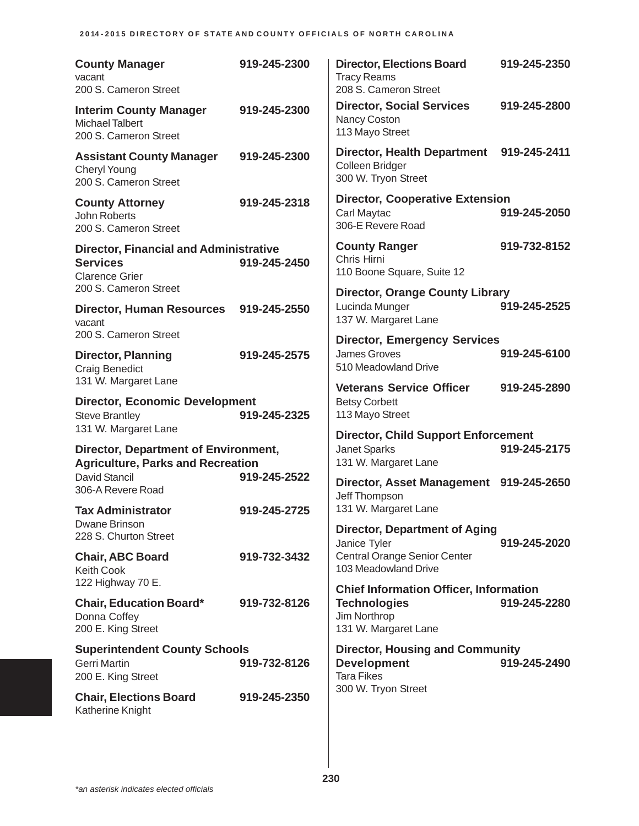| <b>County Manager</b><br>vacant<br>200 S. Cameron Street                                                                                              | 919-245-2300 | <b>Director, Elections Board</b><br><b>Tracy Reams</b><br>208 S. Cameron Street                                               | 919-245-2350 |
|-------------------------------------------------------------------------------------------------------------------------------------------------------|--------------|-------------------------------------------------------------------------------------------------------------------------------|--------------|
| <b>Interim County Manager</b><br><b>Michael Talbert</b><br>200 S. Cameron Street                                                                      | 919-245-2300 | <b>Director, Social Services</b><br>Nancy Coston<br>113 Mayo Street                                                           | 919-245-2800 |
| <b>Assistant County Manager</b><br><b>Cheryl Young</b><br>200 S. Cameron Street                                                                       | 919-245-2300 | <b>Director, Health Department</b><br>Colleen Bridger<br>300 W. Tryon Street                                                  | 919-245-2411 |
| <b>County Attorney</b><br>John Roberts<br>200 S. Cameron Street                                                                                       | 919-245-2318 | <b>Director, Cooperative Extension</b><br>Carl Maytac<br>306-E Revere Road                                                    | 919-245-2050 |
| <b>Director, Financial and Administrative</b><br><b>Services</b><br><b>Clarence Grier</b>                                                             | 919-245-2450 | <b>County Ranger</b><br>Chris Hirni<br>110 Boone Square, Suite 12                                                             | 919-732-8152 |
| 200 S. Cameron Street<br><b>Director, Human Resources</b><br>vacant                                                                                   | 919-245-2550 | <b>Director, Orange County Library</b><br>Lucinda Munger<br>137 W. Margaret Lane                                              | 919-245-2525 |
| 200 S. Cameron Street<br><b>Director, Planning</b><br><b>Craig Benedict</b>                                                                           | 919-245-2575 | <b>Director, Emergency Services</b><br><b>James Groves</b><br>510 Meadowland Drive                                            | 919-245-6100 |
| 131 W. Margaret Lane<br><b>Director, Economic Development</b><br><b>Steve Brantley</b>                                                                | 919-245-2325 | <b>Veterans Service Officer</b><br><b>Betsy Corbett</b><br>113 Mayo Street                                                    | 919-245-2890 |
| 131 W. Margaret Lane<br><b>Director, Department of Environment,</b><br><b>Agriculture, Parks and Recreation</b><br>David Stancil<br>306-A Revere Road | 919-245-2522 | <b>Director, Child Support Enforcement</b><br>Janet Sparks<br>131 W. Margaret Lane<br>Director, Asset Management 919-245-2650 | 919-245-2175 |
| <b>Tax Administrator</b><br>Dwane Brinson<br>228 S. Churton Street                                                                                    | 919-245-2725 | Jeff Thompson<br>131 W. Margaret Lane<br><b>Director, Department of Aging</b>                                                 |              |
| <b>Chair, ABC Board</b><br><b>Keith Cook</b><br>122 Highway 70 E.                                                                                     | 919-732-3432 | Janice Tyler<br><b>Central Orange Senior Center</b><br>103 Meadowland Drive                                                   | 919-245-2020 |
| <b>Chair, Education Board*</b><br>Donna Coffey<br>200 E. King Street                                                                                  | 919-732-8126 | <b>Chief Information Officer, Information</b><br><b>Technologies</b><br>Jim Northrop<br>131 W. Margaret Lane                  | 919-245-2280 |
| <b>Superintendent County Schools</b><br><b>Gerri Martin</b><br>200 E. King Street                                                                     | 919-732-8126 | <b>Director, Housing and Community</b><br><b>Development</b><br><b>Tara Fikes</b>                                             | 919-245-2490 |
| <b>Chair, Elections Board</b><br>Katherine Knight                                                                                                     | 919-245-2350 | 300 W. Tryon Street                                                                                                           |              |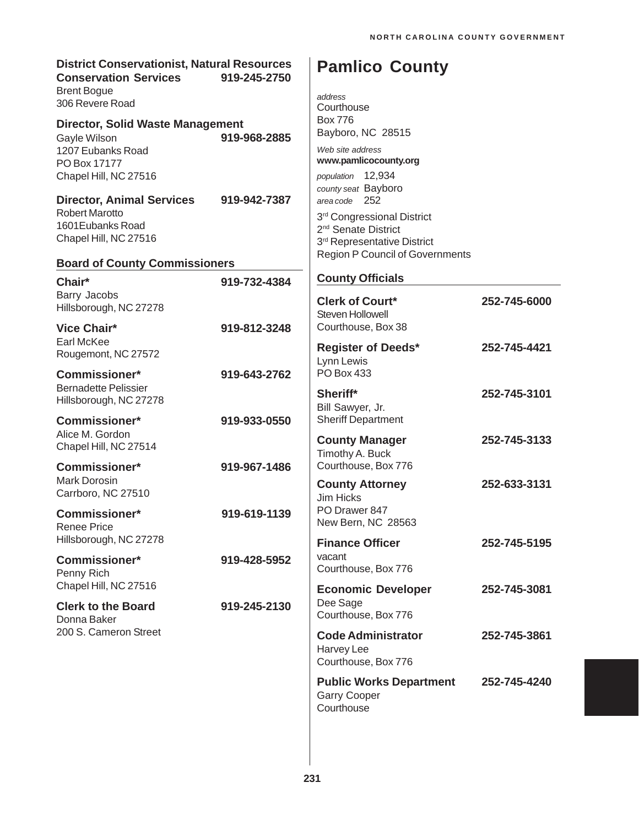| <b>District Conservationist, Natural Resources</b><br><b>Conservation Services</b><br>919-245-2750<br><b>Brent Bogue</b> |              | <b>Pamlico County</b>                                                                                                     |              |  |
|--------------------------------------------------------------------------------------------------------------------------|--------------|---------------------------------------------------------------------------------------------------------------------------|--------------|--|
| 306 Revere Road                                                                                                          |              | address<br>Courthouse                                                                                                     |              |  |
| <b>Director, Solid Waste Management</b><br>Gayle Wilson                                                                  | 919-968-2885 | <b>Box 776</b><br>Bayboro, NC 28515                                                                                       |              |  |
| 1207 Eubanks Road<br>PO Box 17177<br>Chapel Hill, NC 27516                                                               |              | Web site address<br>www.pamlicocounty.org<br>population 12,934<br>county seat Bayboro                                     |              |  |
| <b>Director, Animal Services</b><br><b>Robert Marotto</b><br>1601 Eubanks Road<br>Chapel Hill, NC 27516                  | 919-942-7387 | area code 252<br>3rd Congressional District<br>2 <sup>nd</sup> Senate District<br>3 <sup>rd</sup> Representative District |              |  |
| <b>Board of County Commissioners</b>                                                                                     |              | <b>Region P Council of Governments</b>                                                                                    |              |  |
| Chair*                                                                                                                   | 919-732-4384 | <b>County Officials</b>                                                                                                   |              |  |
| Barry Jacobs<br>Hillsborough, NC 27278                                                                                   |              | <b>Clerk of Court*</b><br>Steven Hollowell                                                                                | 252-745-6000 |  |
| <b>Vice Chair*</b><br>Earl McKee<br>Rougemont, NC 27572                                                                  | 919-812-3248 | Courthouse, Box 38<br><b>Register of Deeds*</b><br>Lynn Lewis                                                             | 252-745-4421 |  |
| <b>Commissioner*</b>                                                                                                     | 919-643-2762 | <b>PO Box 433</b>                                                                                                         |              |  |
| <b>Bernadette Pelissier</b><br>Hillsborough, NC 27278                                                                    |              | Sheriff*<br>Bill Sawyer, Jr.                                                                                              | 252-745-3101 |  |
| <b>Commissioner*</b><br>Alice M. Gordon<br>Chapel Hill, NC 27514                                                         | 919-933-0550 | <b>Sheriff Department</b><br><b>County Manager</b>                                                                        | 252-745-3133 |  |
| Commissioner*                                                                                                            | 919-967-1486 | Timothy A. Buck<br>Courthouse, Box 776                                                                                    |              |  |
| <b>Mark Dorosin</b><br>Carrboro, NC 27510                                                                                |              | <b>County Attorney</b><br>Jim Hicks                                                                                       | 252-633-3131 |  |
| <b>Commissioner*</b><br><b>Renee Price</b>                                                                               | 919-619-1139 | PO Drawer 847<br>New Bern, NC 28563                                                                                       |              |  |
| Hillsborough, NC 27278                                                                                                   |              | <b>Finance Officer</b>                                                                                                    | 252-745-5195 |  |
| <b>Commissioner*</b><br>Penny Rich                                                                                       | 919-428-5952 | vacant<br>Courthouse, Box 776                                                                                             |              |  |
| Chapel Hill, NC 27516<br><b>Clerk to the Board</b><br>Donna Baker<br>200 S. Cameron Street                               | 919-245-2130 | <b>Economic Developer</b><br>Dee Sage<br>Courthouse, Box 776                                                              | 252-745-3081 |  |
|                                                                                                                          |              | <b>Code Administrator</b><br>Harvey Lee<br>Courthouse, Box 776                                                            | 252-745-3861 |  |
|                                                                                                                          |              | <b>Public Works Department</b><br><b>Garry Cooper</b><br>Courthouse                                                       | 252-745-4240 |  |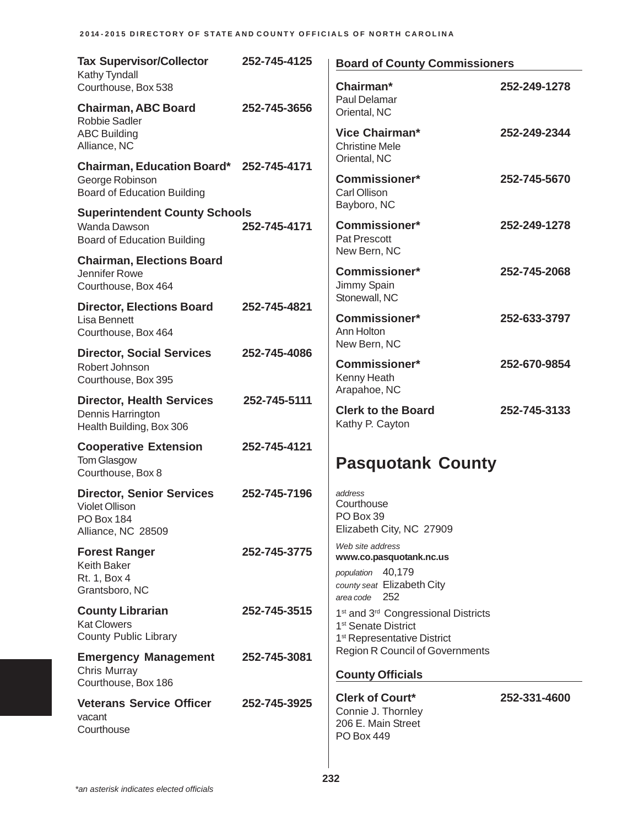| <b>Tax Supervisor/Collector</b>                                                                      | 252-745-4125 | <b>Board of County Commissioners</b>                                                                                                      |              |  |
|------------------------------------------------------------------------------------------------------|--------------|-------------------------------------------------------------------------------------------------------------------------------------------|--------------|--|
| Kathy Tyndall<br>Courthouse, Box 538                                                                 |              | Chairman*                                                                                                                                 | 252-249-1278 |  |
| <b>Chairman, ABC Board</b><br>Robbie Sadler                                                          | 252-745-3656 | Paul Delamar<br>Oriental, NC                                                                                                              |              |  |
| <b>ABC Building</b><br>Alliance, NC                                                                  |              | <b>Vice Chairman*</b><br><b>Christine Mele</b><br>Oriental, NC                                                                            | 252-249-2344 |  |
| Chairman, Education Board* 252-745-4171<br>George Robinson<br><b>Board of Education Building</b>     |              | <b>Commissioner*</b><br>Carl Ollison                                                                                                      | 252-745-5670 |  |
| <b>Superintendent County Schools</b>                                                                 |              | Bayboro, NC                                                                                                                               |              |  |
| Wanda Dawson<br><b>Board of Education Building</b>                                                   | 252-745-4171 | <b>Commissioner*</b><br>Pat Prescott                                                                                                      | 252-249-1278 |  |
| <b>Chairman, Elections Board</b><br>Jennifer Rowe                                                    |              | New Bern, NC<br><b>Commissioner*</b>                                                                                                      | 252-745-2068 |  |
| Courthouse, Box 464                                                                                  |              | Jimmy Spain<br>Stonewall, NC                                                                                                              |              |  |
| <b>Director, Elections Board</b><br><b>Lisa Bennett</b>                                              | 252-745-4821 | <b>Commissioner*</b>                                                                                                                      | 252-633-3797 |  |
| Courthouse, Box 464                                                                                  |              | Ann Holton<br>New Bern, NC                                                                                                                |              |  |
| <b>Director, Social Services</b><br>Robert Johnson                                                   | 252-745-4086 | <b>Commissioner*</b>                                                                                                                      | 252-670-9854 |  |
| Courthouse, Box 395                                                                                  |              | Kenny Heath<br>Arapahoe, NC                                                                                                               |              |  |
| <b>Director, Health Services</b><br>Dennis Harrington<br>Health Building, Box 306                    | 252-745-5111 | <b>Clerk to the Board</b><br>Kathy P. Cayton                                                                                              | 252-745-3133 |  |
| <b>Cooperative Extension</b>                                                                         | 252-745-4121 |                                                                                                                                           |              |  |
| <b>Tom Glasgow</b><br>Courthouse, Box 8                                                              |              | <b>Pasquotank County</b>                                                                                                                  |              |  |
| <b>Director, Senior Services</b><br><b>Violet Ollison</b><br><b>PO Box 184</b><br>Alliance, NC 28509 | 252-745-7196 | address<br>Courthouse<br>PO Box 39<br>Elizabeth City, NC 27909                                                                            |              |  |
| <b>Forest Ranger</b>                                                                                 | 252-745-3775 | Web site address<br>www.co.pasquotank.nc.us                                                                                               |              |  |
| <b>Keith Baker</b><br>Rt. 1, Box 4<br>Grantsboro, NC                                                 |              | population 40,179<br>county seat Elizabeth City<br>area code 252                                                                          |              |  |
| <b>County Librarian</b><br><b>Kat Clowers</b><br><b>County Public Library</b>                        | 252-745-3515 | 1 <sup>st</sup> and 3 <sup>rd</sup> Congressional Districts<br>1 <sup>st</sup> Senate District<br>1 <sup>st</sup> Representative District |              |  |
| <b>Emergency Management</b>                                                                          | 252-745-3081 | <b>Region R Council of Governments</b>                                                                                                    |              |  |
| Chris Murray<br>Courthouse, Box 186                                                                  |              | <b>County Officials</b>                                                                                                                   |              |  |
| <b>Veterans Service Officer</b><br>vacant<br>Courthouse                                              | 252-745-3925 | <b>Clerk of Court*</b><br>Connie J. Thornley<br>206 E. Main Street<br>PO Box 449                                                          | 252-331-4600 |  |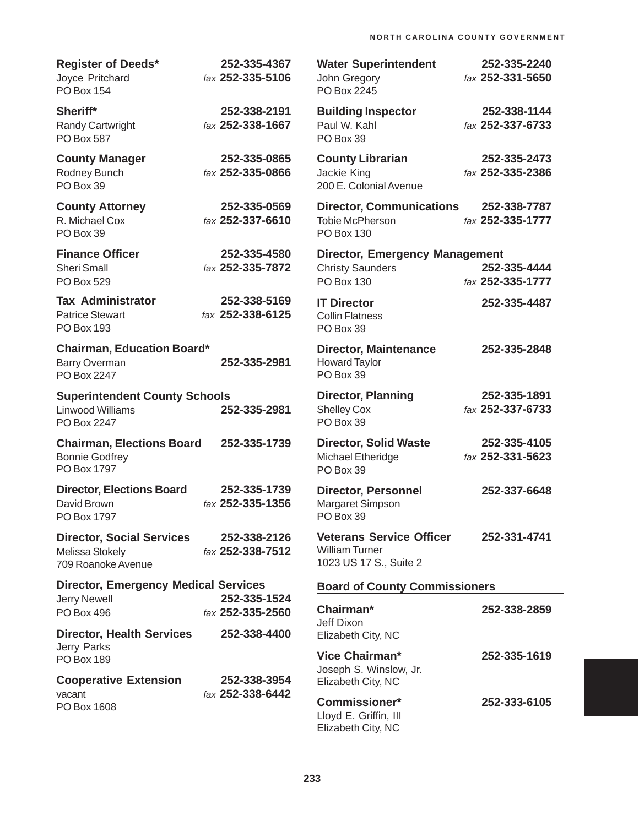| <b>Register of Deeds*</b><br>Joyce Pritchard<br><b>PO Box 154</b>         | 252-335-4367<br>fax 252-335-5106 | <b>Water Superintendent</b><br>John Gregory<br>PO Box 2245                            | 252-335-2240<br>fax 252-331-5650 |
|---------------------------------------------------------------------------|----------------------------------|---------------------------------------------------------------------------------------|----------------------------------|
| Sheriff*<br>Randy Cartwright<br><b>PO Box 587</b>                         | 252-338-2191<br>fax 252-338-1667 | <b>Building Inspector</b><br>Paul W. Kahl<br>PO Box 39                                | 252-338-1144<br>fax 252-337-6733 |
| <b>County Manager</b><br>Rodney Bunch<br>PO Box 39                        | 252-335-0865<br>fax 252-335-0866 | <b>County Librarian</b><br>Jackie King<br>200 E. Colonial Avenue                      | 252-335-2473<br>fax 252-335-2386 |
| <b>County Attorney</b><br>R. Michael Cox<br>PO Box 39                     | 252-335-0569<br>fax 252-337-6610 | <b>Director, Communications</b><br><b>Tobie McPherson</b><br>PO Box 130               | 252-338-7787<br>fax 252-335-1777 |
| <b>Finance Officer</b><br><b>Sheri Small</b><br>PO Box 529                | 252-335-4580<br>fax 252-335-7872 | <b>Director, Emergency Management</b><br><b>Christy Saunders</b><br><b>PO Box 130</b> | 252-335-4444<br>fax 252-335-1777 |
| <b>Tax Administrator</b><br><b>Patrice Stewart</b><br><b>PO Box 193</b>   | 252-338-5169<br>fax 252-338-6125 | <b>IT Director</b><br><b>Collin Flatness</b><br>PO Box 39                             | 252-335-4487                     |
| <b>Chairman, Education Board*</b><br><b>Barry Overman</b><br>PO Box 2247  | 252-335-2981                     | <b>Director, Maintenance</b><br><b>Howard Taylor</b><br>PO Box 39                     | 252-335-2848                     |
| <b>Superintendent County Schools</b><br>Linwood Williams<br>PO Box 2247   | 252-335-2981                     | <b>Director, Planning</b><br><b>Shelley Cox</b><br>PO Box 39                          | 252-335-1891<br>fax 252-337-6733 |
| <b>Chairman, Elections Board</b><br><b>Bonnie Godfrey</b><br>PO Box 1797  | 252-335-1739                     | <b>Director, Solid Waste</b><br>Michael Etheridge<br>PO Box 39                        | 252-335-4105<br>fax 252-331-5623 |
| <b>Director, Elections Board</b><br>David Brown<br>PO Box 1797            | 252-335-1739<br>fax 252-335-1356 | <b>Director, Personnel</b><br>Margaret Simpson<br>PO Box 39                           | 252-337-6648                     |
| <b>Director, Social Services</b><br>Melissa Stokely<br>709 Roanoke Avenue | 252-338-2126<br>fax 252-338-7512 | <b>Veterans Service Officer</b><br><b>William Turner</b><br>1023 US 17 S., Suite 2    | 252-331-4741                     |
| <b>Director, Emergency Medical Services</b>                               |                                  | <b>Board of County Commissioners</b>                                                  |                                  |
| <b>Jerry Newell</b><br><b>PO Box 496</b>                                  | 252-335-1524<br>fax 252-335-2560 | Chairman*                                                                             | 252-338-2859                     |
| <b>Director, Health Services</b>                                          | 252-338-4400                     | Jeff Dixon<br>Elizabeth City, NC                                                      |                                  |
| Jerry Parks<br><b>PO Box 189</b>                                          |                                  | Vice Chairman*<br>Joseph S. Winslow, Jr.                                              | 252-335-1619                     |
| <b>Cooperative Extension</b><br>vacant                                    | 252-338-3954<br>fax 252-338-6442 | Elizabeth City, NC                                                                    |                                  |
| PO Box 1608                                                               |                                  | <b>Commissioner*</b><br>Lloyd E. Griffin, III<br>Elizabeth City, NC                   | 252-333-6105                     |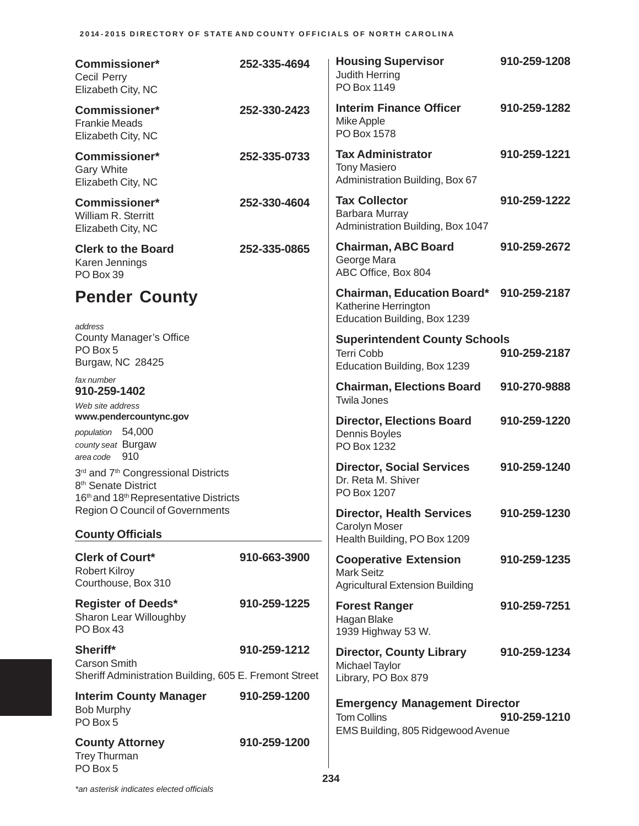## **2014-2015 DIRECTORY OF STATE AND COUNTY OFFICIALS OF NORTH CAROLINA**

| <b>Commissioner*</b><br>Cecil Perry<br>Elizabeth City, NC                                                                                     | 252-335-4694 | <b>Housing Supervisor</b><br>Judith Herring<br>PO Box 1149                                       | 910-259-1208 |
|-----------------------------------------------------------------------------------------------------------------------------------------------|--------------|--------------------------------------------------------------------------------------------------|--------------|
| <b>Commissioner*</b><br><b>Frankie Meads</b><br>Elizabeth City, NC                                                                            | 252-330-2423 | <b>Interim Finance Officer</b><br>Mike Apple<br>PO Box 1578                                      | 910-259-1282 |
| Commissioner*<br>Gary White<br>Elizabeth City, NC                                                                                             | 252-335-0733 | <b>Tax Administrator</b><br><b>Tony Masiero</b><br>Administration Building, Box 67               | 910-259-1221 |
| <b>Commissioner*</b><br>William R. Sterritt<br>Elizabeth City, NC                                                                             | 252-330-4604 | <b>Tax Collector</b><br>Barbara Murray<br>Administration Building, Box 1047                      | 910-259-1222 |
| <b>Clerk to the Board</b><br>Karen Jennings<br>PO Box 39                                                                                      | 252-335-0865 | <b>Chairman, ABC Board</b><br>George Mara<br>ABC Office, Box 804                                 | 910-259-2672 |
| <b>Pender County</b><br>address                                                                                                               |              | Chairman, Education Board* 910-259-2187<br>Katherine Herrington<br>Education Building, Box 1239  |              |
| <b>County Manager's Office</b><br>PO Box 5<br>Burgaw, NC 28425                                                                                |              | <b>Superintendent County Schools</b><br><b>Terri Cobb</b><br>Education Building, Box 1239        | 910-259-2187 |
| fax number<br>910-259-1402<br>Web site address                                                                                                |              | <b>Chairman, Elections Board</b><br><b>Twila Jones</b>                                           | 910-270-9888 |
| www.pendercountync.gov<br>population 54,000<br>county seat Burgaw                                                                             |              | <b>Director, Elections Board</b><br>Dennis Boyles<br>PO Box 1232                                 | 910-259-1220 |
| area code 910<br>3rd and 7 <sup>th</sup> Congressional Districts<br>8 <sup>th</sup> Senate District<br>16th and 18th Representative Districts |              | <b>Director, Social Services</b><br>Dr. Reta M. Shiver<br>PO Box 1207                            | 910-259-1240 |
| <b>Region O Council of Governments</b>                                                                                                        |              | <b>Director, Health Services</b><br>Carolyn Moser                                                | 910-259-1230 |
| <b>County Officials</b>                                                                                                                       |              | Health Building, PO Box 1209                                                                     |              |
| <b>Clerk of Court*</b><br><b>Robert Kilroy</b><br>Courthouse, Box 310                                                                         | 910-663-3900 | <b>Cooperative Extension</b><br><b>Mark Seitz</b><br><b>Agricultural Extension Building</b>      | 910-259-1235 |
| <b>Register of Deeds*</b><br>Sharon Lear Willoughby<br>PO Box 43                                                                              | 910-259-1225 | <b>Forest Ranger</b><br>Hagan Blake<br>1939 Highway 53 W.                                        | 910-259-7251 |
| Sheriff*<br><b>Carson Smith</b><br>Sheriff Administration Building, 605 E. Fremont Street                                                     | 910-259-1212 | <b>Director, County Library</b><br>Michael Taylor<br>Library, PO Box 879                         | 910-259-1234 |
| <b>Interim County Manager</b><br><b>Bob Murphy</b><br>PO Box 5                                                                                | 910-259-1200 | <b>Emergency Management Director</b><br><b>Tom Collins</b><br>EMS Building, 805 Ridgewood Avenue | 910-259-1210 |
| <b>County Attorney</b><br>Trey Thurman<br>PO Box 5                                                                                            | 910-259-1200 |                                                                                                  |              |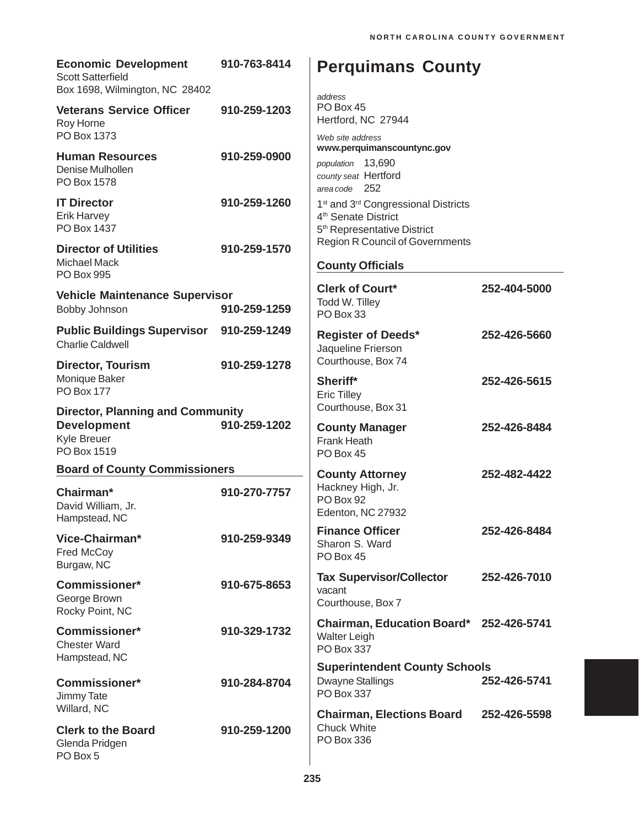| <b>Economic Development</b><br><b>Scott Satterfield</b><br>Box 1698, Wilmington, NC 28402   | 910-763-8414 | <b>Perquimans County</b><br>address                                                                                                       |              |
|---------------------------------------------------------------------------------------------|--------------|-------------------------------------------------------------------------------------------------------------------------------------------|--------------|
| <b>Veterans Service Officer</b><br>Roy Horne<br>PO Box 1373                                 | 910-259-1203 | PO Box 45<br>Hertford, NC 27944<br>Web site address                                                                                       |              |
| <b>Human Resources</b><br>Denise Mulhollen<br>PO Box 1578                                   | 910-259-0900 | www.perquimanscountync.gov<br>population 13,690<br>county seat Hertford<br>area code 252                                                  |              |
| <b>IT Director</b><br><b>Erik Harvey</b><br>PO Box 1437                                     | 910-259-1260 | 1 <sup>st</sup> and 3 <sup>rd</sup> Congressional Districts<br>4 <sup>th</sup> Senate District<br>5 <sup>th</sup> Representative District |              |
| <b>Director of Utilities</b><br>Michael Mack<br><b>PO Box 995</b>                           | 910-259-1570 | <b>Region R Council of Governments</b><br><b>County Officials</b>                                                                         |              |
| <b>Vehicle Maintenance Supervisor</b><br>Bobby Johnson                                      | 910-259-1259 | <b>Clerk of Court*</b><br>Todd W. Tilley<br>PO Box 33                                                                                     | 252-404-5000 |
| <b>Public Buildings Supervisor</b><br><b>Charlie Caldwell</b>                               | 910-259-1249 | <b>Register of Deeds*</b><br>Jaqueline Frierson                                                                                           | 252-426-5660 |
| <b>Director, Tourism</b><br>Monique Baker<br><b>PO Box 177</b>                              | 910-259-1278 | Courthouse, Box 74<br>Sheriff*<br><b>Eric Tilley</b>                                                                                      | 252-426-5615 |
| <b>Director, Planning and Community</b><br><b>Development</b><br>Kyle Breuer<br>PO Box 1519 | 910-259-1202 | Courthouse, Box 31<br><b>County Manager</b><br><b>Frank Heath</b><br>PO Box 45                                                            | 252-426-8484 |
| <b>Board of County Commissioners</b>                                                        |              | <b>County Attorney</b>                                                                                                                    | 252-482-4422 |
| Chairman*<br>David William, Jr.<br>Hampstead, NC                                            | 910-270-7757 | Hackney High, Jr.<br>PO Box 92<br>Edenton, NC 27932                                                                                       |              |
| Vice-Chairman*<br>Fred McCoy<br>Burgaw, NC                                                  | 910-259-9349 | <b>Finance Officer</b><br>Sharon S. Ward<br>PO Box 45                                                                                     | 252-426-8484 |
| <b>Commissioner*</b><br>George Brown<br>Rocky Point, NC                                     | 910-675-8653 | <b>Tax Supervisor/Collector</b><br>vacant<br>Courthouse, Box 7                                                                            | 252-426-7010 |
| <b>Commissioner*</b><br><b>Chester Ward</b><br>Hampstead, NC                                | 910-329-1732 | Chairman, Education Board* 252-426-5741<br><b>Walter Leigh</b><br>PO Box 337                                                              |              |
| <b>Commissioner*</b><br>Jimmy Tate                                                          | 910-284-8704 | <b>Superintendent County Schools</b><br><b>Dwayne Stallings</b><br>PO Box 337                                                             | 252-426-5741 |
| Willard, NC<br><b>Clerk to the Board</b><br>Glenda Pridgen<br>PO Box 5                      | 910-259-1200 | <b>Chairman, Elections Board</b><br><b>Chuck White</b><br>PO Box 336                                                                      | 252-426-5598 |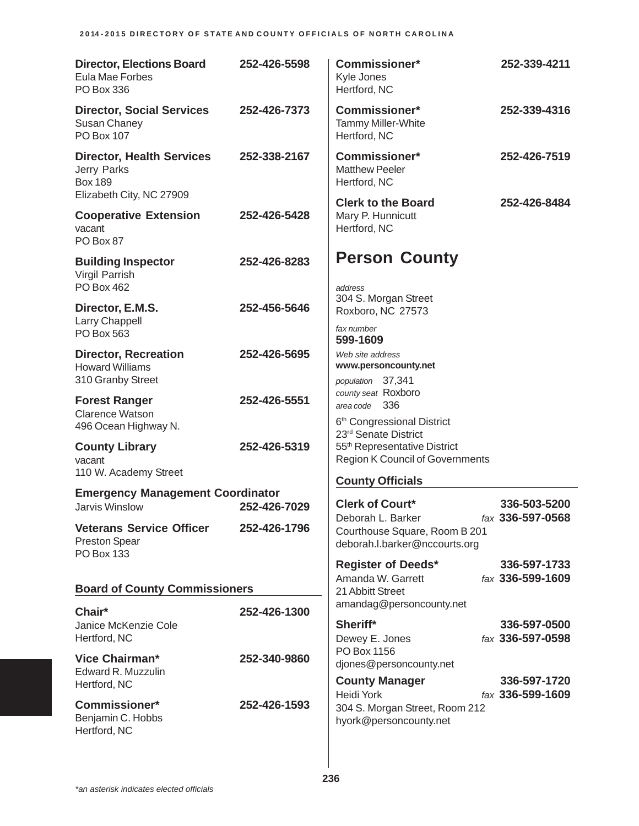| <b>Director, Elections Board</b><br>Eula Mae Forbes<br>PO Box 336                             | 252-426-5598 | Commissioner*<br>Kyle Jones<br>Hertford, NC                                                                | 252-339-4211                     |
|-----------------------------------------------------------------------------------------------|--------------|------------------------------------------------------------------------------------------------------------|----------------------------------|
| <b>Director, Social Services</b><br>Susan Chaney<br><b>PO Box 107</b>                         | 252-426-7373 | <b>Commissioner*</b><br><b>Tammy Miller-White</b><br>Hertford, NC                                          | 252-339-4316                     |
| <b>Director, Health Services</b><br>Jerry Parks<br><b>Box 189</b><br>Elizabeth City, NC 27909 | 252-338-2167 | <b>Commissioner*</b><br><b>Matthew Peeler</b><br>Hertford, NC                                              | 252-426-7519                     |
| <b>Cooperative Extension</b><br>vacant<br>PO Box 87                                           | 252-426-5428 | <b>Clerk to the Board</b><br>Mary P. Hunnicutt<br>Hertford, NC                                             | 252-426-8484                     |
| <b>Building Inspector</b><br>Virgil Parrish<br>PO Box 462                                     | 252-426-8283 | <b>Person County</b><br>address                                                                            |                                  |
| Director, E.M.S.<br>Larry Chappell<br>PO Box 563                                              | 252-456-5646 | 304 S. Morgan Street<br>Roxboro, NC 27573<br>fax number                                                    |                                  |
| <b>Director, Recreation</b><br><b>Howard Williams</b><br>310 Granby Street                    | 252-426-5695 | 599-1609<br>Web site address<br>www.personcounty.net<br>population 37,341                                  |                                  |
| <b>Forest Ranger</b><br><b>Clarence Watson</b><br>496 Ocean Highway N.                        | 252-426-5551 | county seat Roxboro<br>area code 336<br>6 <sup>th</sup> Congressional District                             |                                  |
| <b>County Library</b><br>vacant<br>110 W. Academy Street                                      | 252-426-5319 | 23rd Senate District<br>55 <sup>th</sup> Representative District<br><b>Region K Council of Governments</b> |                                  |
| <b>Emergency Management Coordinator</b>                                                       |              | <b>County Officials</b>                                                                                    |                                  |
| Jarvis Winslow                                                                                | 252-426-7029 | <b>Clerk of Court*</b>                                                                                     | 336-503-5200<br>fax 336-597-0568 |
| <b>Veterans Service Officer</b><br><b>Preston Spear</b><br><b>PO Box 133</b>                  | 252-426-1796 | Deborah L. Barker<br>Courthouse Square, Room B 201<br>deborah.l.barker@nccourts.org                        |                                  |
|                                                                                               |              | <b>Register of Deeds*</b><br>Amanda W. Garrett                                                             | 336-597-1733<br>fax 336-599-1609 |
| <b>Board of County Commissioners</b>                                                          |              | 21 Abbitt Street                                                                                           |                                  |
| Chair*<br>Janice McKenzie Cole                                                                | 252-426-1300 | amandag@personcounty.net<br>Sheriff*                                                                       | 336-597-0500                     |
| Hertford, NC<br><b>Vice Chairman*</b><br>Edward R. Muzzulin                                   | 252-340-9860 | Dewey E. Jones<br>PO Box 1156<br>djones@personcounty.net                                                   | fax 336-597-0598                 |
| Hertford, NC                                                                                  |              | <b>County Manager</b><br><b>Heidi York</b>                                                                 | 336-597-1720<br>fax 336-599-1609 |
| <b>Commissioner*</b><br>Benjamin C. Hobbs<br>Hertford, NC                                     | 252-426-1593 | 304 S. Morgan Street, Room 212<br>hyork@personcounty.net                                                   |                                  |
|                                                                                               |              |                                                                                                            |                                  |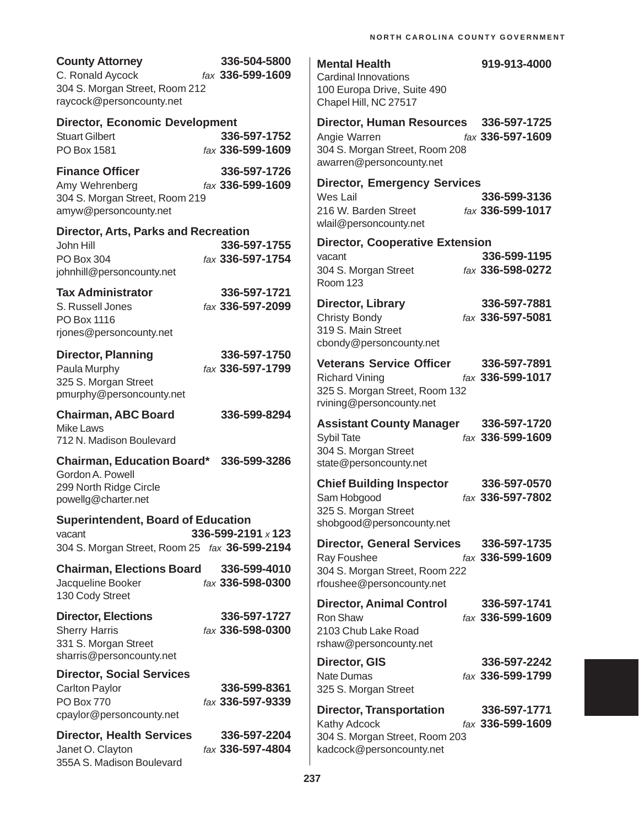| <b>County Attorney</b><br>C. Ronald Aycock<br>304 S. Morgan Street, Room 212<br>raycock@personcounty.net   | 336-504-5800<br>fax 336-599-1609 | <b>Mental Health</b><br><b>Cardinal Innovations</b><br>100 Europa Drive, Suite 490<br>Chapel Hill, NC 27517            | 919-913-4000                                     |
|------------------------------------------------------------------------------------------------------------|----------------------------------|------------------------------------------------------------------------------------------------------------------------|--------------------------------------------------|
| <b>Director, Economic Development</b><br><b>Stuart Gilbert</b><br>PO Box 1581                              | 336-597-1752<br>fax 336-599-1609 | Director, Human Resources 336-597-1725<br>Angie Warren<br>304 S. Morgan Street, Room 208<br>awarren@personcounty.net   | fax 336-597-1609                                 |
| <b>Finance Officer</b><br>Amy Wehrenberg<br>304 S. Morgan Street, Room 219<br>amyw@personcounty.net        | 336-597-1726<br>fax 336-599-1609 | <b>Director, Emergency Services</b><br>Wes Lail<br>216 W. Barden Street                                                | 336-599-3136<br>fax 336-599-1017                 |
| Director, Arts, Parks and Recreation<br>John Hill<br>PO Box 304<br>johnhill@personcounty.net               | 336-597-1755<br>fax 336-597-1754 | wlail@personcounty.net<br><b>Director, Cooperative Extension</b><br>vacant<br>304 S. Morgan Street<br><b>Room 123</b>  | 336-599-1195<br>fax 336-598-0272                 |
| <b>Tax Administrator</b><br>S. Russell Jones<br>PO Box 1116<br>rjones@personcounty.net                     | 336-597-1721<br>fax 336-597-2099 | <b>Director, Library</b><br><b>Christy Bondy</b><br>319 S. Main Street<br>cbondy@personcounty.net                      | 336-597-7881<br>fax 336-597-5081                 |
| <b>Director, Planning</b><br>Paula Murphy<br>325 S. Morgan Street<br>pmurphy@personcounty.net              | 336-597-1750<br>fax 336-597-1799 | <b>Veterans Service Officer</b><br><b>Richard Vining</b><br>325 S. Morgan Street, Room 132<br>rvining@personcounty.net | 336-597-7891<br>fax 336-599-1017                 |
| <b>Chairman, ABC Board</b><br><b>Mike Laws</b><br>712 N. Madison Boulevard                                 | 336-599-8294                     | <b>Assistant County Manager</b><br><b>Sybil Tate</b><br>304 S. Morgan Street                                           | 336-597-1720<br>fax 336-599-1609                 |
| <b>Chairman, Education Board*</b><br>Gordon A. Powell<br>299 North Ridge Circle<br>powellg@charter.net     | 336-599-3286                     | state@personcounty.net<br><b>Chief Building Inspector</b><br>Sam Hobgood                                               | 336-597-0570<br>fax 336-597-7802                 |
| <b>Superintendent, Board of Education</b><br>vacant<br>304 S. Morgan Street, Room 25 fax 36-599-2194       | 336-599-2191 x 123               | 325 S. Morgan Street<br>shobgood@personcounty.net<br><b>Director, General Services</b>                                 | 336-597-1735                                     |
| <b>Chairman, Elections Board</b><br>Jacqueline Booker<br>130 Cody Street                                   | 336-599-4010<br>fax 336-598-0300 | Ray Foushee<br>304 S. Morgan Street, Room 222<br>rfoushee@personcounty.net                                             | fax 336-599-1609                                 |
| <b>Director, Elections</b><br><b>Sherry Harris</b><br>331 S. Morgan Street<br>sharris@personcounty.net     | 336-597-1727<br>fax 336-598-0300 | <b>Director, Animal Control</b><br>Ron Shaw<br>2103 Chub Lake Road<br>rshaw@personcounty.net                           | 336-597-1741<br>fax 336-599-1609                 |
| <b>Director, Social Services</b><br><b>Carlton Paylor</b><br><b>PO Box 770</b><br>cpaylor@personcounty.net | 336-599-8361<br>fax 336-597-9339 | <b>Director, GIS</b><br><b>Nate Dumas</b><br>325 S. Morgan Street<br><b>Director, Transportation</b>                   | 336-597-2242<br>fax 336-599-1799<br>336-597-1771 |
| <b>Director, Health Services</b><br>Janet O. Clayton<br>355A S. Madison Boulevard                          | 336-597-2204<br>fax 336-597-4804 | Kathy Adcock<br>304 S. Morgan Street, Room 203<br>kadcock@personcounty.net                                             | fax 336-599-1609                                 |

| <b>Street</b> |  |
|---------------|--|
| าsportatio    |  |

| 336-597-1771                    |
|---------------------------------|
| $\frac{1}{4}$ (ax 336-599-1609) |
|                                 |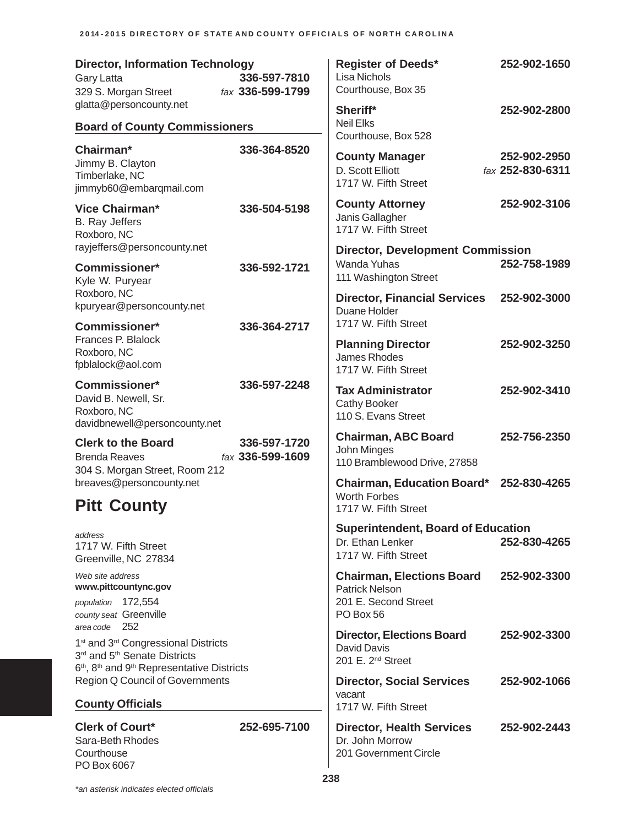| <b>Director, Information Technology</b><br>Gary Latta<br>329 S. Morgan Street                                                                | 336-597-7810<br>fax 336-599-1799 | <b>Register of Deeds*</b><br><b>Lisa Nichols</b><br>Courthouse, Box 35                         | 252-902-1650                     |
|----------------------------------------------------------------------------------------------------------------------------------------------|----------------------------------|------------------------------------------------------------------------------------------------|----------------------------------|
| glatta@personcounty.net<br><b>Board of County Commissioners</b>                                                                              |                                  | Sheriff*<br><b>Neil Elks</b><br>Courthouse, Box 528                                            | 252-902-2800                     |
| Chairman*<br>Jimmy B. Clayton<br>Timberlake, NC<br>jimmyb60@embarqmail.com                                                                   | 336-364-8520                     | <b>County Manager</b><br>D. Scott Elliott<br>1717 W. Fifth Street                              | 252-902-2950<br>fax 252-830-6311 |
| <b>Vice Chairman*</b><br>B. Ray Jeffers<br>Roxboro, NC                                                                                       | 336-504-5198                     | <b>County Attorney</b><br>Janis Gallagher<br>1717 W. Fifth Street                              | 252-902-3106                     |
| rayjeffers@personcounty.net<br>Commissioner*<br>Kyle W. Puryear                                                                              | 336-592-1721                     | <b>Director, Development Commission</b><br>Wanda Yuhas<br>111 Washington Street                | 252-758-1989                     |
| Roxboro, NC<br>kpuryear@personcounty.net                                                                                                     |                                  | <b>Director, Financial Services</b><br>Duane Holder<br>1717 W. Fifth Street                    | 252-902-3000                     |
| <b>Commissioner*</b><br>Frances P. Blalock<br>Roxboro, NC<br>fpblalock@aol.com                                                               | 336-364-2717                     | <b>Planning Director</b><br><b>James Rhodes</b><br>1717 W. Fifth Street                        | 252-902-3250                     |
| <b>Commissioner*</b><br>David B. Newell, Sr.<br>Roxboro, NC<br>davidbnewell@personcounty.net                                                 | 336-597-2248                     | <b>Tax Administrator</b><br><b>Cathy Booker</b><br>110 S. Evans Street                         | 252-902-3410                     |
| <b>Clerk to the Board</b><br><b>Brenda Reaves</b><br>304 S. Morgan Street, Room 212                                                          | 336-597-1720<br>fax 336-599-1609 | <b>Chairman, ABC Board</b><br>John Minges<br>110 Bramblewood Drive, 27858                      | 252-756-2350                     |
| breaves@personcounty.net<br><b>Pitt County</b>                                                                                               |                                  | <b>Chairman, Education Board*</b><br>Worth Forbes<br>1717 W. Fifth Street                      | 252-830-4265                     |
| address<br>1717 W. Fifth Street<br>Greenville, NC 27834                                                                                      |                                  | <b>Superintendent, Board of Education</b><br>Dr. Ethan Lenker<br>1717 W. Fifth Street          | 252-830-4265                     |
| Web site address<br>www.pittcountync.gov<br>population 172,554<br>county seat Greenville                                                     |                                  | <b>Chairman, Elections Board</b><br><b>Patrick Nelson</b><br>201 E. Second Street<br>PO Box 56 | 252-902-3300                     |
| 252<br>area code<br>1 <sup>st</sup> and 3 <sup>rd</sup> Congressional Districts<br>3rd and 5th Senate Districts                              |                                  | <b>Director, Elections Board</b><br>David Davis<br>201 E. 2 <sup>nd</sup> Street               | 252-902-3300                     |
| 6 <sup>th</sup> , 8 <sup>th</sup> and 9 <sup>th</sup> Representative Districts<br>Region Q Council of Governments<br><b>County Officials</b> |                                  | <b>Director, Social Services</b><br>vacant<br>1717 W. Fifth Street                             | 252-902-1066                     |
| <b>Clerk of Court*</b><br>Sara-Beth Rhodes<br>Courthouse<br>PO Box 6067                                                                      | 252-695-7100                     | <b>Director, Health Services</b><br>Dr. John Morrow<br>201 Government Circle                   | 252-902-2443                     |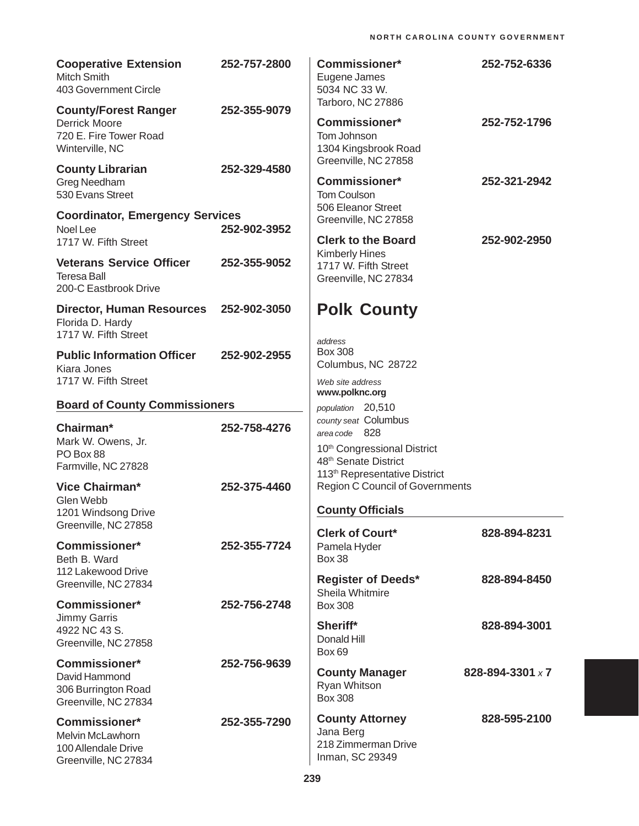| <b>Cooperative Extension</b><br><b>Mitch Smith</b><br>403 Government Circle                      | 252-757-2800 | <b>Commissioner*</b><br>Eugene James<br>5034 NC 33 W.                                                                         | 252-752-6336     |
|--------------------------------------------------------------------------------------------------|--------------|-------------------------------------------------------------------------------------------------------------------------------|------------------|
| <b>County/Forest Ranger</b><br><b>Derrick Moore</b><br>720 E. Fire Tower Road<br>Winterville, NC | 252-355-9079 | Tarboro, NC 27886<br><b>Commissioner*</b><br>Tom Johnson<br>1304 Kingsbrook Road                                              | 252-752-1796     |
| <b>County Librarian</b><br>Greg Needham<br>530 Evans Street                                      | 252-329-4580 | Greenville, NC 27858<br><b>Commissioner*</b><br><b>Tom Coulson</b>                                                            | 252-321-2942     |
| <b>Coordinator, Emergency Services</b><br>Noel Lee<br>1717 W. Fifth Street                       | 252-902-3952 | 506 Eleanor Street<br>Greenville, NC 27858<br><b>Clerk to the Board</b>                                                       | 252-902-2950     |
| <b>Veterans Service Officer</b><br><b>Teresa Ball</b><br>200-C Eastbrook Drive                   | 252-355-9052 | <b>Kimberly Hines</b><br>1717 W. Fifth Street<br>Greenville, NC 27834                                                         |                  |
| <b>Director, Human Resources</b><br>Florida D. Hardy<br>1717 W. Fifth Street                     | 252-902-3050 | <b>Polk County</b>                                                                                                            |                  |
| <b>Public Information Officer</b><br>Kiara Jones<br>1717 W. Fifth Street                         | 252-902-2955 | address<br><b>Box 308</b><br>Columbus, NC 28722<br>Web site address                                                           |                  |
| <b>Board of County Commissioners</b>                                                             |              | www.polknc.org                                                                                                                |                  |
| Chairman*<br>Mark W. Owens, Jr.<br>PO Box 88<br>Farmville, NC 27828                              | 252-758-4276 | population 20,510<br>county seat Columbus<br>area code 828<br>10th Congressional District<br>48 <sup>th</sup> Senate District |                  |
| Vice Chairman*<br>Glen Webb<br>1201 Windsong Drive                                               | 252-375-4460 | 113 <sup>th</sup> Representative District<br><b>Region C Council of Governments</b><br><b>County Officials</b>                |                  |
| Greenville, NC 27858<br><b>Commissioner*</b><br>Beth B. Ward                                     | 252-355-7724 | <b>Clerk of Court*</b><br>Pamela Hyder<br><b>Box 38</b>                                                                       | 828-894-8231     |
| 112 Lakewood Drive<br>Greenville, NC 27834<br><b>Commissioner*</b>                               | 252-756-2748 | <b>Register of Deeds*</b><br>Sheila Whitmire<br><b>Box 308</b>                                                                | 828-894-8450     |
| Jimmy Garris<br>4922 NC 43 S.<br>Greenville, NC 27858                                            |              | Sheriff*<br>Donald Hill<br>Box 69                                                                                             | 828-894-3001     |
| <b>Commissioner*</b><br>David Hammond<br>306 Burrington Road<br>Greenville, NC 27834             | 252-756-9639 | <b>County Manager</b><br>Ryan Whitson<br><b>Box 308</b>                                                                       | 828-894-3301 x 7 |
| <b>Commissioner*</b><br><b>Melvin McLawhorn</b><br>100 Allendale Drive<br>Greenville, NC 27834   | 252-355-7290 | <b>County Attorney</b><br>Jana Berg<br>218 Zimmerman Drive<br>Inman, SC 29349                                                 | 828-595-2100     |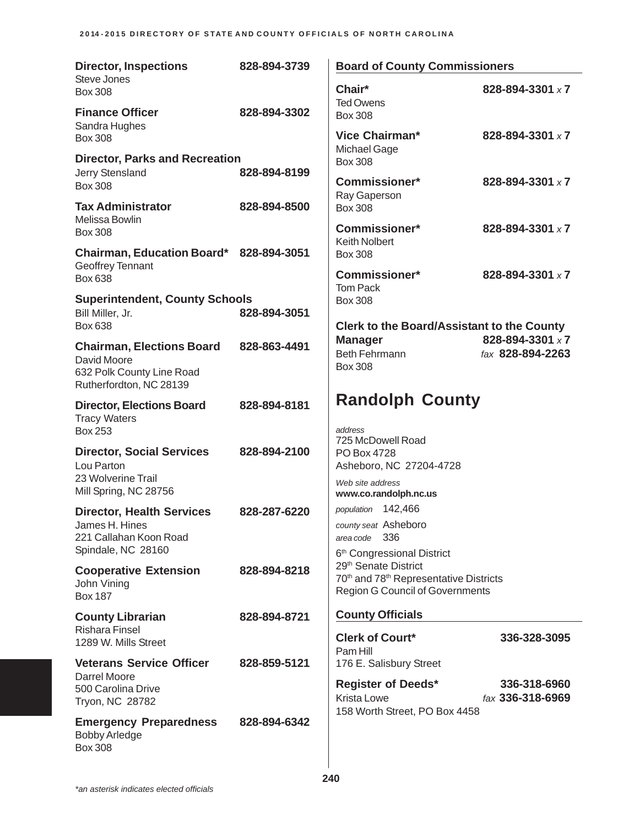| <b>Director, Inspections</b>                                | 828-894-3739 | <b>Board of County Commissioners</b>                                             |                                  |
|-------------------------------------------------------------|--------------|----------------------------------------------------------------------------------|----------------------------------|
| Steve Jones<br><b>Box 308</b>                               |              | Chair*<br><b>Ted Owens</b>                                                       | 828-894-3301 x 7                 |
| <b>Finance Officer</b><br>Sandra Hughes                     | 828-894-3302 | <b>Box 308</b>                                                                   |                                  |
| <b>Box 308</b>                                              |              | <b>Vice Chairman*</b><br>Michael Gage                                            | 828-894-3301 x 7                 |
| <b>Director, Parks and Recreation</b>                       | 828-894-8199 | <b>Box 308</b>                                                                   |                                  |
| Jerry Stensland<br><b>Box 308</b>                           |              | Commissioner*<br>Ray Gaperson                                                    | 828-894-3301 x 7                 |
| <b>Tax Administrator</b><br>Melissa Bowlin                  | 828-894-8500 | <b>Box 308</b>                                                                   |                                  |
| <b>Box 308</b>                                              |              | Commissioner*<br><b>Keith Nolbert</b>                                            | 828-894-3301 x 7                 |
| Chairman, Education Board* 828-894-3051<br>Geoffrey Tennant |              | <b>Box 308</b>                                                                   |                                  |
| Box 638                                                     |              | <b>Commissioner*</b><br><b>Tom Pack</b>                                          | 828-894-3301 x 7                 |
| <b>Superintendent, County Schools</b><br>Bill Miller, Jr.   | 828-894-3051 | <b>Box 308</b>                                                                   |                                  |
| <b>Box 638</b>                                              |              | <b>Clerk to the Board/Assistant to the County</b>                                | 828-894-3301 x7                  |
| <b>Chairman, Elections Board</b><br>David Moore             | 828-863-4491 | <b>Manager</b><br><b>Beth Fehrmann</b>                                           | fax 828-894-2263                 |
| 632 Polk County Line Road<br>Rutherfordton, NC 28139        |              | <b>Box 308</b>                                                                   |                                  |
| <b>Director, Elections Board</b>                            | 828-894-8181 | <b>Randolph County</b>                                                           |                                  |
| <b>Tracy Waters</b><br><b>Box 253</b>                       |              | address                                                                          |                                  |
| <b>Director, Social Services</b>                            | 828-894-2100 | 725 McDowell Road<br>PO Box 4728                                                 |                                  |
| Lou Parton<br>23 Wolverine Trail                            |              | Asheboro, NC 27204-4728                                                          |                                  |
| Mill Spring, NC 28756                                       |              | Web site address<br>www.co.randolph.nc.us                                        |                                  |
| <b>Director, Health Services</b>                            | 828-287-6220 | population 142,466<br>county seat Asheboro                                       |                                  |
| James H. Hines<br>221 Callahan Koon Road                    |              | - 336<br>area code                                                               |                                  |
| Spindale, NC 28160                                          |              | 6 <sup>th</sup> Congressional District<br>29 <sup>th</sup> Senate District       |                                  |
| <b>Cooperative Extension</b><br>John Vining                 | 828-894-8218 | 70th and 78th Representative Districts<br><b>Region G Council of Governments</b> |                                  |
| <b>Box 187</b>                                              |              |                                                                                  |                                  |
| <b>County Librarian</b><br><b>Rishara Finsel</b>            | 828-894-8721 | <b>County Officials</b>                                                          |                                  |
| 1289 W. Mills Street                                        |              | <b>Clerk of Court*</b><br>Pam Hill                                               | 336-328-3095                     |
| <b>Veterans Service Officer</b><br>Darrel Moore             | 828-859-5121 | 176 E. Salisbury Street                                                          |                                  |
| 500 Carolina Drive<br>Tryon, NC 28782                       |              | <b>Register of Deeds*</b><br>Krista Lowe                                         | 336-318-6960<br>fax 336-318-6969 |
| <b>Emergency Preparedness</b>                               | 828-894-6342 | 158 Worth Street, PO Box 4458                                                    |                                  |
| <b>Bobby Arledge</b><br><b>Box 308</b>                      |              |                                                                                  |                                  |
|                                                             |              |                                                                                  |                                  |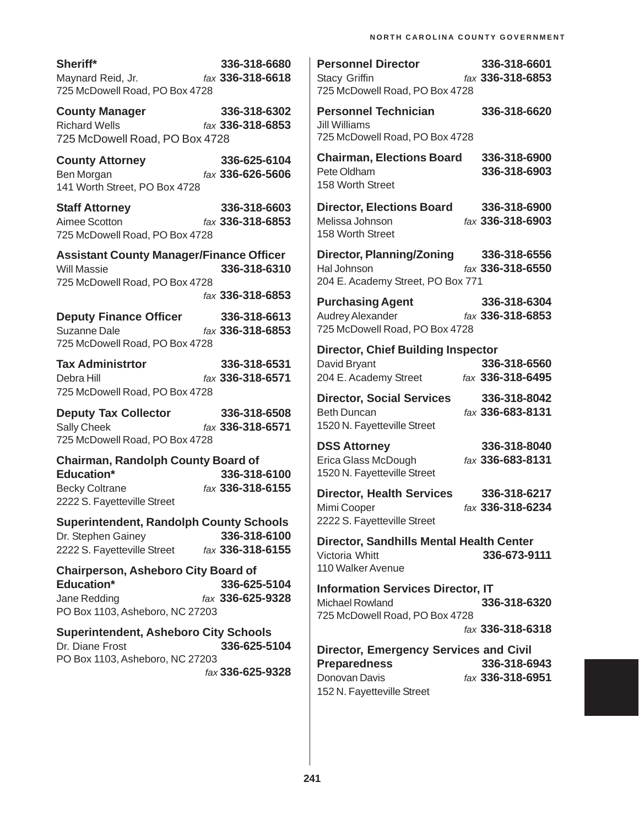| Sheriff*                       | 336-318-6680                   |
|--------------------------------|--------------------------------|
| Maynard Reid, Jr.              | $\frac{5}{2}$ fax 336-318-6618 |
| 725 McDowell Road, PO Box 4728 |                                |

**County Manager 336-318-6302** Richard Wells *fax* **336-318-6853** 725 McDowell Road, PO Box 4728

**County Attorney 336-625-6104** Ben Morgan *fax* **336-626-5606** 141 Worth Street, PO Box 4728

**Staff Attorney 336-318-6603** Aimee Scotton *fax* **336-318-6853** 725 McDowell Road, PO Box 4728

**Assistant County Manager/Finance Officer** Will Massie **336-318-6310** 725 McDowell Road, PO Box 4728

*fax* **336-318-6853**

**Deputy Finance Officer 336-318-6613** Suzanne Dale *fax* **336-318-6853** 725 McDowell Road, PO Box 4728

**Tax Administrtor 336-318-6531** Debra Hill *fax* **336-318-6571** 725 McDowell Road, PO Box 4728

**Deputy Tax Collector 336-318-6508** Sally Cheek *fax* **336-318-6571** 725 McDowell Road, PO Box 4728

**Chairman, Randolph County Board of Education\* 336-318-6100** Becky Coltrane *fax* **336-318-6155** 2222 S. Fayetteville Street

**Superintendent, Randolph County Schools** Dr. Stephen Gainey **336-318-6100** 2222 S. Fayetteville Street *fax* **336-318-6155**

**Chairperson, Asheboro City Board of Education\* 336-625-5104** Jane Redding *fax* **336-625-9328** PO Box 1103, Asheboro, NC 27203

**Superintendent, Asheboro City Schools** Dr. Diane Frost **336-625-5104** PO Box 1103, Asheboro, NC 27203 *fax* **336-625-9328**

| <b>Personnel Director</b><br>Stacy Griffin<br>725 McDowell Road, PO Box 4728                         | 336-318-6601<br>fax 336-318-6853        |
|------------------------------------------------------------------------------------------------------|-----------------------------------------|
| <b>Personnel Technician</b><br>Jill Williams<br>725 McDowell Road, PO Box 4728                       | 336-318-6620                            |
| <b>Chairman, Elections Board</b><br>Pete Oldham<br>158 Worth Street                                  | 336-318-6900<br>336-318-6903            |
| <b>Director, Elections Board</b><br>Melissa Johnson<br>158 Worth Street                              | 336-318-6900<br>fax 336-318-6903        |
| <b>Director, Planning/Zoning</b><br>Hal Johnson<br>204 E. Academy Street, PO Box 771                 | 336-318-6556<br>fax 336-318-6550        |
| <b>Purchasing Agent</b><br><b>Audrey Alexander</b><br>725 McDowell Road, PO Box 4728                 | 336-318-6304<br>fax 336-318-6853        |
| <b>Director, Chief Building Inspector</b><br>David Bryant<br>204 E. Academy Street                   | 336-318-6560<br>fax 336-318-6495        |
| <b>Director, Social Services</b><br><b>Beth Duncan</b><br>1520 N. Fayetteville Street                | 336-318-8042<br>fax <b>336-683-8131</b> |
| <b>DSS Attorney</b><br>Erica Glass McDough<br>1520 N. Fayetteville Street                            | 336-318-8040<br>fax 336-683-8131        |
| <b>Director, Health Services</b><br>Mimi Cooper<br>2222 S. Fayetteville Street                       | 336-318-6217<br>fax 336-318-6234        |
| <b>Director, Sandhills Mental Health Center</b><br>Victoria Whitt<br>110 Walker Avenue               | 336-673-9111                            |
| <b>Information Services Director, IT</b><br><b>Michael Rowland</b><br>725 McDowell Road, PO Box 4728 | 336-318-6320<br>fax 336-318-6318        |
| <b>Director, Emergency Services and Civil</b><br><b>Preparedness</b><br>Donovan Davis                | 336-318-6943<br>fax 336-318-6951        |

152 N. Fayetteville Street

**241**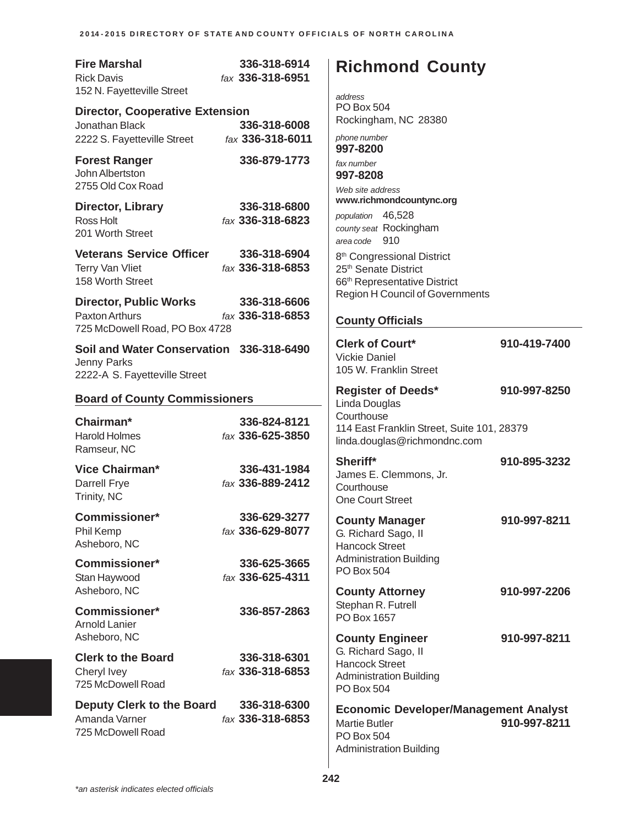| <b>Fire Marshal</b><br><b>Rick Davis</b><br>152 N. Fayetteville Street                   | 336-318-6914<br>fax 336-318-6951 | <b>Richmond County</b><br>address                                                                                      |              |
|------------------------------------------------------------------------------------------|----------------------------------|------------------------------------------------------------------------------------------------------------------------|--------------|
| <b>Director, Cooperative Extension</b><br>Jonathan Black<br>2222 S. Fayetteville Street  | 336-318-6008<br>fax 336-318-6011 | <b>PO Box 504</b><br>Rockingham, NC 28380<br>phone number<br>997-8200                                                  |              |
| <b>Forest Ranger</b><br>John Albertston<br>2755 Old Cox Road                             | 336-879-1773                     | fax number<br>997-8208<br>Web site address                                                                             |              |
| Director, Library<br>Ross Holt<br>201 Worth Street                                       | 336-318-6800<br>fax 336-318-6823 | www.richmondcountync.org<br>population 46,528<br>county seat Rockingham<br>area code 910                               |              |
| <b>Veterans Service Officer</b><br>Terry Van Vliet<br>158 Worth Street                   | 336-318-6904<br>fax 336-318-6853 | 8 <sup>th</sup> Congressional District<br>25 <sup>th</sup> Senate District<br>66 <sup>th</sup> Representative District |              |
| <b>Director, Public Works</b><br>Paxton Arthurs<br>725 McDowell Road, PO Box 4728        | 336-318-6606<br>fax 336-318-6853 | <b>Region H Council of Governments</b><br><b>County Officials</b>                                                      |              |
| Soil and Water Conservation 336-318-6490<br>Jenny Parks<br>2222-A S. Fayetteville Street |                                  | <b>Clerk of Court*</b><br><b>Vickie Daniel</b><br>105 W. Franklin Street                                               | 910-419-7400 |
| <b>Board of County Commissioners</b>                                                     |                                  | <b>Register of Deeds*</b><br>Linda Douglas                                                                             | 910-997-8250 |
| Chairman*<br><b>Harold Holmes</b><br>Ramseur, NC                                         | 336-824-8121<br>fax 336-625-3850 | Courthouse<br>114 East Franklin Street, Suite 101, 28379<br>linda.douglas@richmondnc.com                               |              |
| Vice Chairman*<br>Darrell Frye<br>Trinity, NC                                            | 336-431-1984<br>fax 336-889-2412 | Sheriff*<br>James E. Clemmons, Jr.<br>Courthouse<br><b>One Court Street</b>                                            | 910-895-3232 |
| <b>Commissioner*</b><br>Phil Kemp<br>Asheboro, NC                                        | 336-629-3277<br>fax 336-629-8077 | <b>County Manager</b><br>G. Richard Sago, II<br><b>Hancock Street</b>                                                  | 910-997-8211 |
| Commissioner*<br>Stan Haywood                                                            | 336-625-3665<br>fax 336-625-4311 | <b>Administration Building</b><br>PO Box 504                                                                           |              |
| Asheboro, NC<br><b>Commissioner*</b><br><b>Arnold Lanier</b>                             | 336-857-2863                     | <b>County Attorney</b><br>Stephan R. Futrell<br>PO Box 1657                                                            | 910-997-2206 |
| Asheboro, NC<br><b>Clerk to the Board</b><br>Cheryl Ivey<br>725 McDowell Road            | 336-318-6301<br>fax 336-318-6853 | <b>County Engineer</b><br>G. Richard Sago, II<br><b>Hancock Street</b><br><b>Administration Building</b><br>PO Box 504 | 910-997-8211 |
| Deputy Clerk to the Board<br>Amanda Varner<br>725 McDowell Road                          | 336-318-6300<br>fax 336-318-6853 | <b>Economic Developer/Management Analyst</b><br><b>Martie Butler</b><br>PO Box 504<br><b>Administration Building</b>   | 910-997-8211 |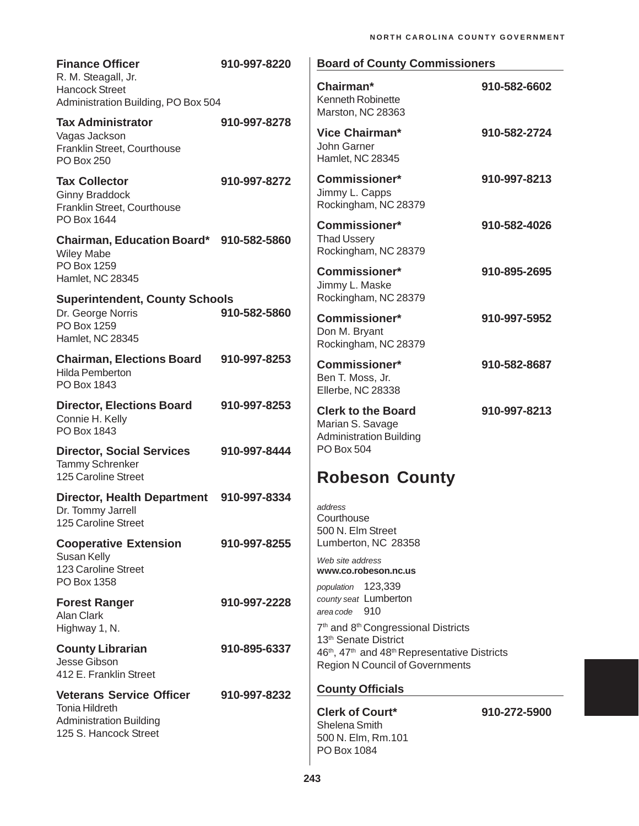| <b>Finance Officer</b>                                                                        | 910-997-8220 | <b>Board of County Commissioners</b>                                                                                                                                                                                           |              |
|-----------------------------------------------------------------------------------------------|--------------|--------------------------------------------------------------------------------------------------------------------------------------------------------------------------------------------------------------------------------|--------------|
| R. M. Steagall, Jr.<br><b>Hancock Street</b><br>Administration Building, PO Box 504           |              | Chairman*<br>Kenneth Robinette<br>Marston, NC 28363                                                                                                                                                                            | 910-582-6602 |
| <b>Tax Administrator</b><br>Vagas Jackson<br>Franklin Street, Courthouse<br>PO Box 250        | 910-997-8278 | Vice Chairman*<br>John Garner<br>Hamlet, NC 28345                                                                                                                                                                              | 910-582-2724 |
| <b>Tax Collector</b><br><b>Ginny Braddock</b><br>Franklin Street, Courthouse<br>PO Box 1644   | 910-997-8272 | <b>Commissioner*</b><br>Jimmy L. Capps<br>Rockingham, NC 28379                                                                                                                                                                 | 910-997-8213 |
| Chairman, Education Board* 910-582-5860<br><b>Wiley Mabe</b>                                  |              | <b>Commissioner*</b><br><b>Thad Ussery</b><br>Rockingham, NC 28379                                                                                                                                                             | 910-582-4026 |
| PO Box 1259<br>Hamlet, NC 28345                                                               |              | <b>Commissioner*</b><br>Jimmy L. Maske                                                                                                                                                                                         | 910-895-2695 |
| <b>Superintendent, County Schools</b><br>Dr. George Norris<br>PO Box 1259<br>Hamlet, NC 28345 | 910-582-5860 | Rockingham, NC 28379<br><b>Commissioner*</b><br>Don M. Bryant<br>Rockingham, NC 28379                                                                                                                                          | 910-997-5952 |
| <b>Chairman, Elections Board</b><br><b>Hilda Pemberton</b><br>PO Box 1843                     | 910-997-8253 | <b>Commissioner*</b><br>Ben T. Moss, Jr.<br>Ellerbe, NC 28338                                                                                                                                                                  | 910-582-8687 |
| <b>Director, Elections Board</b><br>Connie H. Kelly<br>PO Box 1843                            | 910-997-8253 | <b>Clerk to the Board</b><br>Marian S. Savage<br><b>Administration Building</b>                                                                                                                                                | 910-997-8213 |
| <b>Director, Social Services</b><br><b>Tammy Schrenker</b><br>125 Caroline Street             | 910-997-8444 | PO Box 504<br><b>Robeson County</b>                                                                                                                                                                                            |              |
| <b>Director, Health Department</b><br>Dr. Tommy Jarrell<br>125 Caroline Street                | 910-997-8334 | address<br>Courthouse<br>500 N. Elm Street                                                                                                                                                                                     |              |
| <b>Cooperative Extension</b><br>Susan Kelly                                                   | 910-997-8255 | Lumberton, NC 28358<br>Web site address                                                                                                                                                                                        |              |
| 123 Caroline Street<br>PO Box 1358                                                            |              | www.co.robeson.nc.us<br>population 123,339                                                                                                                                                                                     |              |
| <b>Forest Ranger</b><br>Alan Clark                                                            | 910-997-2228 | county seat Lumberton<br>area code 910                                                                                                                                                                                         |              |
| Highway 1, N.<br><b>County Librarian</b><br>Jesse Gibson                                      | 910-895-6337 | 7 <sup>th</sup> and 8 <sup>th</sup> Congressional Districts<br>13 <sup>th</sup> Senate District<br>46 <sup>th</sup> , 47 <sup>th</sup> and 48 <sup>th</sup> Representative Districts<br><b>Region N Council of Governments</b> |              |
| 412 E. Franklin Street<br><b>Veterans Service Officer</b>                                     | 910-997-8232 | <b>County Officials</b>                                                                                                                                                                                                        |              |
| <b>Tonia Hildreth</b><br><b>Administration Building</b><br>125 S. Hancock Street              |              | <b>Clerk of Court*</b><br>Shelena Smith<br>500 N. Elm, Rm.101<br>PO Box 1084                                                                                                                                                   | 910-272-5900 |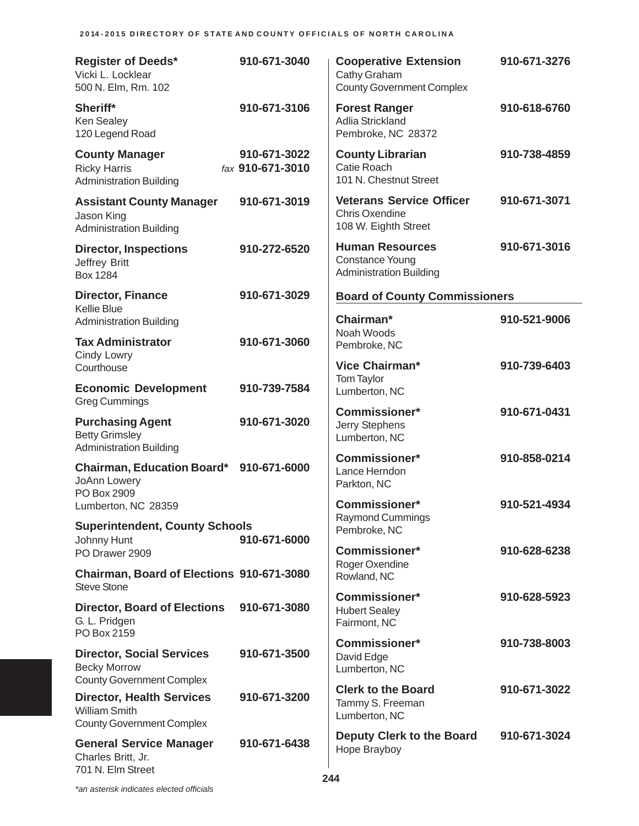| <b>Register of Deeds*</b><br>Vicki L. Locklear<br>500 N. Elm, Rm. 102                        | 910-671-3040                     | <b>Cooperative Extension</b><br>Cathy Graham<br><b>County Government Complex</b>   | 910-671-3276 |
|----------------------------------------------------------------------------------------------|----------------------------------|------------------------------------------------------------------------------------|--------------|
| Sheriff*<br>Ken Sealey<br>120 Legend Road                                                    | 910-671-3106                     | <b>Forest Ranger</b><br>Adlia Strickland<br>Pembroke, NC 28372                     | 910-618-6760 |
| <b>County Manager</b><br><b>Ricky Harris</b><br><b>Administration Building</b>               | 910-671-3022<br>fax 910-671-3010 | <b>County Librarian</b><br>Catie Roach<br>101 N. Chestnut Street                   | 910-738-4859 |
| <b>Assistant County Manager</b><br>Jason King<br><b>Administration Building</b>              | 910-671-3019                     | <b>Veterans Service Officer</b><br><b>Chris Oxendine</b><br>108 W. Eighth Street   | 910-671-3071 |
| <b>Director, Inspections</b><br>Jeffrey Britt<br>Box 1284                                    | 910-272-6520                     | <b>Human Resources</b><br><b>Constance Young</b><br><b>Administration Building</b> | 910-671-3016 |
| <b>Director, Finance</b>                                                                     | 910-671-3029                     | <b>Board of County Commissioners</b>                                               |              |
| <b>Kellie Blue</b><br><b>Administration Building</b>                                         |                                  | Chairman*<br>Noah Woods                                                            | 910-521-9006 |
| <b>Tax Administrator</b><br>Cindy Lowry                                                      | 910-671-3060                     | Pembroke, NC                                                                       |              |
| Courthouse                                                                                   |                                  | Vice Chairman*<br>Tom Taylor                                                       | 910-739-6403 |
| <b>Economic Development</b><br><b>Greg Cummings</b>                                          | 910-739-7584                     | Lumberton, NC                                                                      |              |
| <b>Purchasing Agent</b><br><b>Betty Grimsley</b><br><b>Administration Building</b>           | 910-671-3020                     | <b>Commissioner*</b><br>Jerry Stephens<br>Lumberton, NC                            | 910-671-0431 |
| <b>Chairman, Education Board*</b><br>JoAnn Lowery<br>PO Box 2909                             | 910-671-6000                     | <b>Commissioner*</b><br>Lance Herndon<br>Parkton, NC                               | 910-858-0214 |
| Lumberton, NC 28359                                                                          |                                  | <b>Commissioner*</b><br>Raymond Cummings                                           | 910-521-4934 |
| <b>Superintendent, County Schools</b><br>Johnny Hunt                                         | 910-671-6000                     | Pembroke, NC                                                                       |              |
| PO Drawer 2909                                                                               |                                  | <b>Commissioner*</b><br>Roger Oxendine                                             | 910-628-6238 |
| Chairman, Board of Elections 910-671-3080<br><b>Steve Stone</b>                              |                                  | Rowland, NC<br>Commissioner*                                                       |              |
| <b>Director, Board of Elections</b><br>G. L. Pridgen<br>PO Box 2159                          | 910-671-3080                     | <b>Hubert Sealey</b><br>Fairmont, NC                                               | 910-628-5923 |
| <b>Director, Social Services</b><br><b>Becky Morrow</b><br><b>County Government Complex</b>  | 910-671-3500                     | Commissioner*<br>David Edge<br>Lumberton, NC                                       | 910-738-8003 |
| <b>Director, Health Services</b><br><b>William Smith</b><br><b>County Government Complex</b> | 910-671-3200                     | <b>Clerk to the Board</b><br>Tammy S. Freeman<br>Lumberton, NC                     | 910-671-3022 |
| <b>General Service Manager</b><br>Charles Britt, Jr.<br>701 N. Elm Street                    | 910-671-6438                     | <b>Deputy Clerk to the Board</b><br>Hope Brayboy                                   | 910-671-3024 |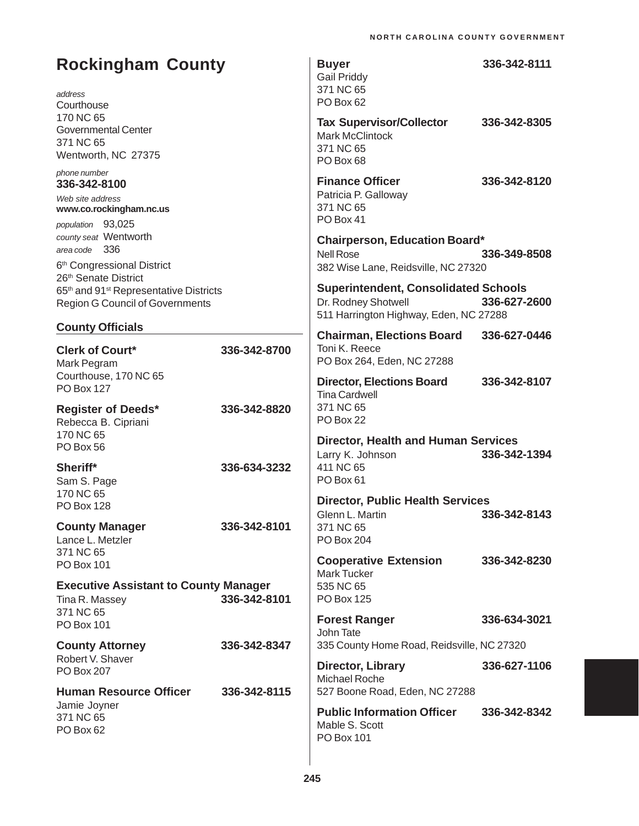| <b>Rockingham County</b><br>address<br>Courthouse                                                                    |              | <b>Buyer</b><br><b>Gail Priddy</b><br>371 NC 65<br>PO Box 62                                                 | 336-342-8111 |
|----------------------------------------------------------------------------------------------------------------------|--------------|--------------------------------------------------------------------------------------------------------------|--------------|
| 170 NC 65<br><b>Governmental Center</b><br>371 NC 65<br>Wentworth, NC 27375                                          |              | <b>Tax Supervisor/Collector</b><br><b>Mark McClintock</b><br>371 NC 65<br>PO Box 68                          | 336-342-8305 |
| phone number<br>336-342-8100<br>Web site address<br>www.co.rockingham.nc.us<br>population 93,025                     |              | <b>Finance Officer</b><br>Patricia P. Galloway<br>371 NC 65<br>PO Box 41                                     | 336-342-8120 |
| county seat Wentworth<br>area code 336<br>6 <sup>th</sup> Congressional District<br>26 <sup>th</sup> Senate District |              | <b>Chairperson, Education Board*</b><br><b>Nell Rose</b><br>382 Wise Lane, Reidsville, NC 27320              | 336-349-8508 |
| 65th and 91 <sup>st</sup> Representative Districts<br><b>Region G Council of Governments</b>                         |              | <b>Superintendent, Consolidated Schools</b><br>Dr. Rodney Shotwell<br>511 Harrington Highway, Eden, NC 27288 | 336-627-2600 |
| <b>County Officials</b><br><b>Clerk of Court*</b><br>Mark Pegram                                                     | 336-342-8700 | <b>Chairman, Elections Board</b><br>Toni K. Reece<br>PO Box 264, Eden, NC 27288                              | 336-627-0446 |
| Courthouse, 170 NC 65<br><b>PO Box 127</b>                                                                           |              | <b>Director, Elections Board</b><br><b>Tina Cardwell</b>                                                     | 336-342-8107 |
| <b>Register of Deeds*</b><br>Rebecca B. Cipriani<br>170 NC 65                                                        | 336-342-8820 | 371 NC 65<br>PO Box 22                                                                                       |              |
| PO Box 56<br>Sheriff*<br>Sam S. Page                                                                                 | 336-634-3232 | <b>Director, Health and Human Services</b><br>Larry K. Johnson<br>411 NC 65<br>PO Box 61                     | 336-342-1394 |
| 170 NC 65<br><b>PO Box 128</b><br><b>County Manager</b>                                                              | 336-342-8101 | <b>Director, Public Health Services</b><br>Glenn L. Martin<br>371 NC 65                                      | 336-342-8143 |
| Lance L. Metzler<br>371 NC 65                                                                                        |              | PO Box 204<br><b>Cooperative Extension</b>                                                                   | 336-342-8230 |
| <b>PO Box 101</b><br><b>Executive Assistant to County Manager</b><br>Tina R. Massey                                  | 336-342-8101 | <b>Mark Tucker</b><br>535 NC 65<br>PO Box 125                                                                |              |
| 371 NC 65<br>PO Box 101                                                                                              |              | <b>Forest Ranger</b><br>John Tate                                                                            | 336-634-3021 |
| <b>County Attorney</b><br>Robert V. Shaver<br>PO Box 207                                                             | 336-342-8347 | 335 County Home Road, Reidsville, NC 27320<br>Director, Library<br><b>Michael Roche</b>                      | 336-627-1106 |
| <b>Human Resource Officer</b>                                                                                        | 336-342-8115 | 527 Boone Road, Eden, NC 27288                                                                               |              |
| Jamie Joyner<br>371 NC 65<br>PO Box 62                                                                               |              | <b>Public Information Officer</b><br>Mable S. Scott<br>PO Box 101                                            | 336-342-8342 |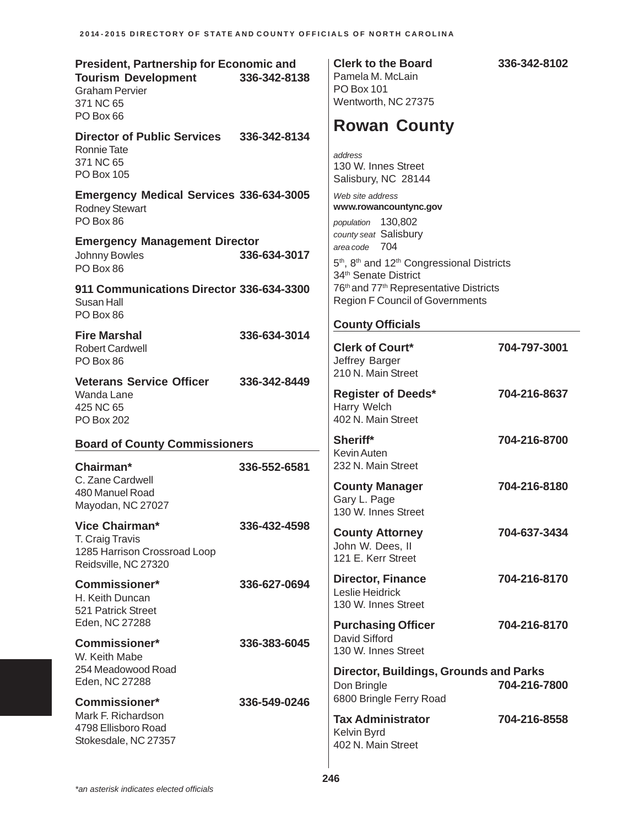| <b>President, Partnership for Economic and</b><br><b>Tourism Development</b><br><b>Graham Pervier</b><br>371 NC 65<br>PO Box 66 | 336-342-8138 | <b>Clerk to the Board</b><br>Pamela M. McLain<br><b>PO Box 101</b><br>Wentworth, NC 27375                                                                    | 336-342-8102 |
|---------------------------------------------------------------------------------------------------------------------------------|--------------|--------------------------------------------------------------------------------------------------------------------------------------------------------------|--------------|
| <b>Director of Public Services</b><br><b>Ronnie Tate</b><br>371 NC 65<br><b>PO Box 105</b>                                      | 336-342-8134 | <b>Rowan County</b><br>address<br>130 W. Innes Street<br>Salisbury, NC 28144                                                                                 |              |
| <b>Emergency Medical Services 336-634-3005</b><br><b>Rodney Stewart</b><br>PO Box 86                                            |              | Web site address<br>www.rowancountync.gov<br>population 130,802                                                                                              |              |
| <b>Emergency Management Director</b><br>Johnny Bowles<br>PO Box 86                                                              | 336-634-3017 | county seat Salisbury<br>area code 704<br>5 <sup>th</sup> , 8 <sup>th</sup> and 12 <sup>th</sup> Congressional Districts<br>34 <sup>th</sup> Senate District |              |
| 911 Communications Director 336-634-3300<br>Susan Hall<br>PO Box 86                                                             |              | 76th and 77th Representative Districts<br><b>Region F Council of Governments</b><br><b>County Officials</b>                                                  |              |
| <b>Fire Marshal</b><br><b>Robert Cardwell</b><br>PO Box 86                                                                      | 336-634-3014 | <b>Clerk of Court*</b><br>Jeffrey Barger                                                                                                                     | 704-797-3001 |
| <b>Veterans Service Officer</b><br>Wanda Lane<br>425 NC 65<br><b>PO Box 202</b>                                                 | 336-342-8449 | 210 N. Main Street<br><b>Register of Deeds*</b><br>Harry Welch<br>402 N. Main Street                                                                         | 704-216-8637 |
| <b>Board of County Commissioners</b>                                                                                            |              | Sheriff*<br><b>Kevin Auten</b>                                                                                                                               | 704-216-8700 |
| Chairman*<br>C. Zane Cardwell<br>480 Manuel Road<br>Mayodan, NC 27027                                                           | 336-552-6581 | 232 N. Main Street<br><b>County Manager</b><br>Gary L. Page<br>130 W. Innes Street                                                                           | 704-216-8180 |
| <b>Vice Chairman*</b><br>T. Craig Travis<br>1285 Harrison Crossroad Loop<br>Reidsville, NC 27320                                | 336-432-4598 | <b>County Attorney</b><br>John W. Dees, II<br>121 E. Kerr Street                                                                                             | 704-637-3434 |
| <b>Commissioner*</b><br>H. Keith Duncan<br>521 Patrick Street<br>Eden, NC 27288                                                 | 336-627-0694 | <b>Director, Finance</b><br>Leslie Heidrick<br>130 W. Innes Street                                                                                           | 704-216-8170 |
| <b>Commissioner*</b><br>W. Keith Mabe                                                                                           | 336-383-6045 | <b>Purchasing Officer</b><br>David Sifford<br>130 W. Innes Street                                                                                            | 704-216-8170 |
| 254 Meadowood Road<br>Eden, NC 27288                                                                                            |              | <b>Director, Buildings, Grounds and Parks</b><br>Don Bringle<br>6800 Bringle Ferry Road                                                                      | 704-216-7800 |
| <b>Commissioner*</b><br>Mark F. Richardson<br>4798 Ellisboro Road<br>Stokesdale, NC 27357                                       | 336-549-0246 | <b>Tax Administrator</b><br>Kelvin Byrd<br>402 N. Main Street                                                                                                | 704-216-8558 |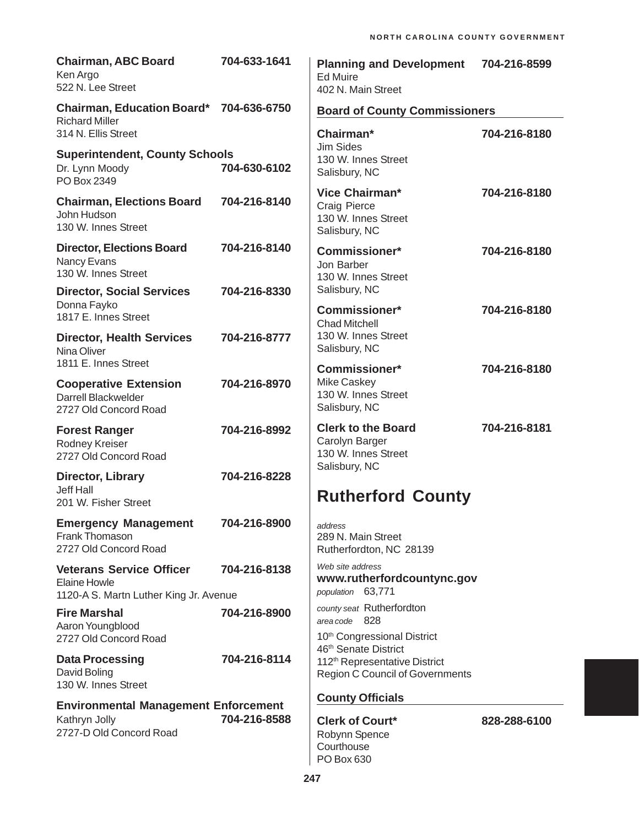| <b>Chairman, ABC Board</b><br>Ken Argo<br>522 N. Lee Street                               | 704-633-1641 | <b>Planning and Development</b><br><b>Ed Muire</b><br>402 N. Main Street                                    | 704-216-8599 |
|-------------------------------------------------------------------------------------------|--------------|-------------------------------------------------------------------------------------------------------------|--------------|
| <b>Chairman, Education Board*</b><br><b>Richard Miller</b>                                | 704-636-6750 | <b>Board of County Commissioners</b>                                                                        |              |
| 314 N. Ellis Street                                                                       |              | Chairman*                                                                                                   | 704-216-8180 |
| <b>Superintendent, County Schools</b><br>Dr. Lynn Moody<br>PO Box 2349                    | 704-630-6102 | <b>Jim Sides</b><br>130 W. Innes Street<br>Salisbury, NC                                                    |              |
| <b>Chairman, Elections Board</b><br>John Hudson<br>130 W. Innes Street                    | 704-216-8140 | Vice Chairman*<br><b>Craig Pierce</b><br>130 W. Innes Street<br>Salisbury, NC                               | 704-216-8180 |
| <b>Director, Elections Board</b><br>Nancy Evans<br>130 W. Innes Street                    | 704-216-8140 | <b>Commissioner*</b><br>Jon Barber<br>130 W. Innes Street                                                   | 704-216-8180 |
| <b>Director, Social Services</b><br>Donna Fayko                                           | 704-216-8330 | Salisbury, NC                                                                                               |              |
| 1817 E. Innes Street                                                                      |              | <b>Commissioner*</b><br><b>Chad Mitchell</b>                                                                | 704-216-8180 |
| <b>Director, Health Services</b><br>Nina Oliver                                           | 704-216-8777 | 130 W. Innes Street<br>Salisbury, NC                                                                        |              |
| 1811 E. Innes Street<br><b>Cooperative Extension</b>                                      | 704-216-8970 | <b>Commissioner*</b><br><b>Mike Caskey</b>                                                                  | 704-216-8180 |
| Darrell Blackwelder<br>2727 Old Concord Road                                              |              | 130 W. Innes Street<br>Salisbury, NC                                                                        |              |
| <b>Forest Ranger</b><br>Rodney Kreiser<br>2727 Old Concord Road                           | 704-216-8992 | <b>Clerk to the Board</b><br>Carolyn Barger<br>130 W. Innes Street                                          | 704-216-8181 |
| Director, Library                                                                         | 704-216-8228 | Salisbury, NC                                                                                               |              |
| <b>Jeff Hall</b><br>201 W. Fisher Street                                                  |              | <b>Rutherford County</b>                                                                                    |              |
| <b>Emergency Management</b><br>Frank Thomason<br>2727 Old Concord Road                    | 704-216-8900 | address<br>289 N. Main Street<br>Rutherfordton, NC 28139                                                    |              |
| <b>Veterans Service Officer</b><br>Elaine Howle<br>1120-A S. Martn Luther King Jr. Avenue | 704-216-8138 | Web site address<br>www.rutherfordcountync.gov<br>population 63,771                                         |              |
| <b>Fire Marshal</b>                                                                       | 704-216-8900 | county seat Rutherfordton<br>area code 828                                                                  |              |
| Aaron Youngblood<br>2727 Old Concord Road                                                 |              | 10th Congressional District                                                                                 |              |
| <b>Data Processing</b><br>David Boling<br>130 W. Innes Street                             | 704-216-8114 | 46th Senate District<br>112 <sup>th</sup> Representative District<br><b>Region C Council of Governments</b> |              |
| <b>Environmental Management Enforcement</b>                                               |              | <b>County Officials</b>                                                                                     |              |
| Kathryn Jolly<br>2727-D Old Concord Road                                                  | 704-216-8588 | <b>Clerk of Court*</b><br>Robynn Spence<br>Courthouse<br>PO Box 630                                         | 828-288-6100 |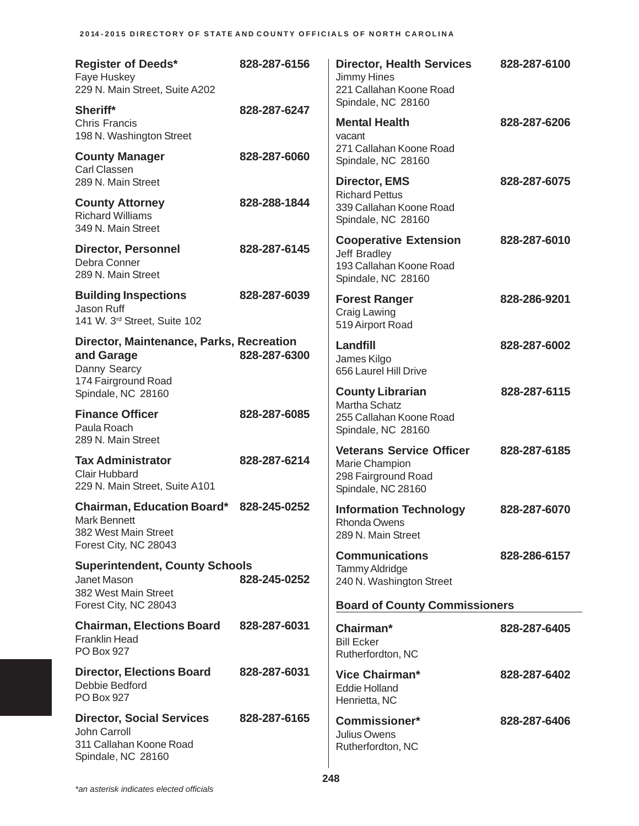| <b>Register of Deeds*</b><br>Faye Huskey<br>229 N. Main Street, Suite A202                         | 828-287-6156 | <b>Director, Health Services</b><br><b>Jimmy Hines</b><br>221 Callahan Koone Road<br>Spindale, NC 28160 | 828-287-6100 |
|----------------------------------------------------------------------------------------------------|--------------|---------------------------------------------------------------------------------------------------------|--------------|
| Sheriff*<br><b>Chris Francis</b><br>198 N. Washington Street                                       | 828-287-6247 | <b>Mental Health</b><br>vacant                                                                          | 828-287-6206 |
| <b>County Manager</b><br>Carl Classen<br>289 N. Main Street                                        | 828-287-6060 | 271 Callahan Koone Road<br>Spindale, NC 28160<br><b>Director, EMS</b>                                   | 828-287-6075 |
| <b>County Attorney</b><br><b>Richard Williams</b><br>349 N. Main Street                            | 828-288-1844 | <b>Richard Pettus</b><br>339 Callahan Koone Road<br>Spindale, NC 28160                                  |              |
| <b>Director, Personnel</b><br>Debra Conner<br>289 N. Main Street                                   | 828-287-6145 | <b>Cooperative Extension</b><br>Jeff Bradley<br>193 Callahan Koone Road<br>Spindale, NC 28160           | 828-287-6010 |
| <b>Building Inspections</b><br>Jason Ruff<br>141 W. 3rd Street, Suite 102                          | 828-287-6039 | <b>Forest Ranger</b><br><b>Craig Lawing</b><br>519 Airport Road                                         | 828-286-9201 |
| Director, Maintenance, Parks, Recreation<br>and Garage<br>Danny Searcy<br>174 Fairground Road      | 828-287-6300 | Landfill<br>James Kilgo<br>656 Laurel Hill Drive                                                        | 828-287-6002 |
| Spindale, NC 28160                                                                                 |              | <b>County Librarian</b><br>Martha Schatz                                                                | 828-287-6115 |
| <b>Finance Officer</b><br>Paula Roach<br>289 N. Main Street                                        | 828-287-6085 | 255 Callahan Koone Road<br>Spindale, NC 28160                                                           |              |
| <b>Tax Administrator</b><br><b>Clair Hubbard</b><br>229 N. Main Street, Suite A101                 | 828-287-6214 | <b>Veterans Service Officer</b><br>Marie Champion<br>298 Fairground Road<br>Spindale, NC 28160          | 828-287-6185 |
| <b>Chairman, Education Board*</b><br>Mark Bennett<br>382 West Main Street<br>Forest City, NC 28043 | 828-245-0252 | <b>Information Technology</b><br>Rhonda Owens<br>289 N. Main Street                                     | 828-287-6070 |
| <b>Superintendent, County Schools</b><br>Janet Mason<br>382 West Main Street                       | 828-245-0252 | <b>Communications</b><br><b>Tammy Aldridge</b><br>240 N. Washington Street                              | 828-286-6157 |
| Forest City, NC 28043                                                                              |              | <b>Board of County Commissioners</b>                                                                    |              |
| <b>Chairman, Elections Board</b><br><b>Franklin Head</b><br><b>PO Box 927</b>                      | 828-287-6031 | Chairman*<br><b>Bill Ecker</b><br>Rutherfordton, NC                                                     | 828-287-6405 |
| <b>Director, Elections Board</b><br>Debbie Bedford<br>PO Box 927                                   | 828-287-6031 | Vice Chairman*<br><b>Eddie Holland</b><br>Henrietta, NC                                                 | 828-287-6402 |
| <b>Director, Social Services</b><br>John Carroll<br>311 Callahan Koone Road<br>Spindale, NC 28160  | 828-287-6165 | <b>Commissioner*</b><br>Julius Owens<br>Rutherfordton, NC                                               | 828-287-6406 |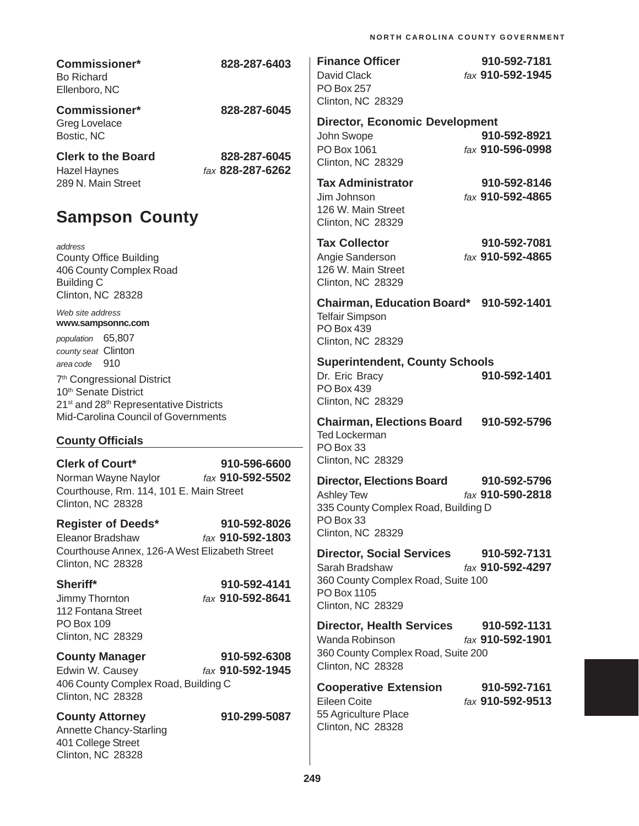| <b>Commissioner*</b><br><b>Bo Richard</b><br>Ellenboro, NC                                                                                                    | 828-287-6403                     | <b>Finance Officer</b><br>David Clack<br><b>PO Box 257</b><br>Clinton, NC 28329                                              | 910-592-7181<br>fax 910-592-1945 |
|---------------------------------------------------------------------------------------------------------------------------------------------------------------|----------------------------------|------------------------------------------------------------------------------------------------------------------------------|----------------------------------|
| <b>Commissioner*</b><br>Greg Lovelace<br>Bostic, NC                                                                                                           | 828-287-6045                     | <b>Director, Economic Development</b><br>John Swope                                                                          | 910-592-8921                     |
| <b>Clerk to the Board</b><br><b>Hazel Haynes</b><br>289 N. Main Street                                                                                        | 828-287-6045<br>fax 828-287-6262 | PO Box 1061<br><b>Clinton, NC 28329</b><br><b>Tax Administrator</b>                                                          | fax 910-596-0998<br>910-592-8146 |
| <b>Sampson County</b>                                                                                                                                         |                                  | Jim Johnson<br>126 W. Main Street<br>Clinton, NC 28329                                                                       | fax 910-592-4865                 |
| address<br><b>County Office Building</b><br>406 County Complex Road<br><b>Building C</b><br>Clinton, NC 28328                                                 |                                  | <b>Tax Collector</b><br>Angie Sanderson<br>126 W. Main Street<br><b>Clinton, NC 28329</b>                                    | 910-592-7081<br>fax 910-592-4865 |
| Web site address<br>www.sampsonnc.com<br>population 65,807<br>county seat Clinton                                                                             |                                  | Chairman, Education Board* 910-592-1401<br><b>Telfair Simpson</b><br>PO Box 439<br>Clinton, NC 28329                         |                                  |
| area code 910<br>7 <sup>th</sup> Congressional District<br>10 <sup>th</sup> Senate District<br>21 <sup>st</sup> and 28 <sup>th</sup> Representative Districts |                                  | <b>Superintendent, County Schools</b><br>Dr. Eric Bracy<br><b>PO Box 439</b><br>Clinton, NC 28329                            | 910-592-1401                     |
| Mid-Carolina Council of Governments<br><b>County Officials</b>                                                                                                |                                  | <b>Chairman, Elections Board</b><br><b>Ted Lockerman</b><br>PO Box 33                                                        | 910-592-5796                     |
| <b>Clerk of Court*</b><br>Norman Wayne Naylor<br>Courthouse, Rm. 114, 101 E. Main Street<br>Clinton, NC 28328                                                 | 910-596-6600<br>fax 910-592-5502 | <b>Clinton, NC 28329</b><br><b>Director, Elections Board</b><br><b>Ashley Tew</b><br>335 County Complex Road, Building D     | 910-592-5796<br>fax 910-590-2818 |
| <b>Register of Deeds*</b><br>Eleanor Bradshaw<br>Courthouse Annex, 126-A West Elizabeth Street                                                                | 910-592-8026<br>fax 910-592-1803 | PO Box 33<br>Clinton, NC 28329                                                                                               |                                  |
| Clinton, NC 28328<br>Sheriff*<br>Jimmy Thornton<br>112 Fontana Street                                                                                         | 910-592-4141<br>fax 910-592-8641 | <b>Director, Social Services</b><br>Sarah Bradshaw<br>360 County Complex Road, Suite 100<br>PO Box 1105<br>Clinton, NC 28329 | 910-592-7131<br>fax 910-592-4297 |
| PO Box 109<br>Clinton, NC 28329                                                                                                                               |                                  | <b>Director, Health Services</b><br>Wanda Robinson                                                                           | 910-592-1131<br>fax 910-592-1901 |
| <b>County Manager</b><br>Edwin W. Causey                                                                                                                      | 910-592-6308<br>fax 910-592-1945 | 360 County Complex Road, Suite 200<br>Clinton, NC 28328                                                                      |                                  |
| 406 County Complex Road, Building C<br>Clinton, NC 28328                                                                                                      |                                  | <b>Cooperative Extension</b><br>Eileen Coite                                                                                 | 910-592-7161<br>fax 910-592-9513 |
| <b>County Attorney</b><br>Annette Chancy-Starling<br>401 College Street<br>Clinton, NC 28328                                                                  | 910-299-5087                     | 55 Agriculture Place<br>Clinton, NC 28328                                                                                    |                                  |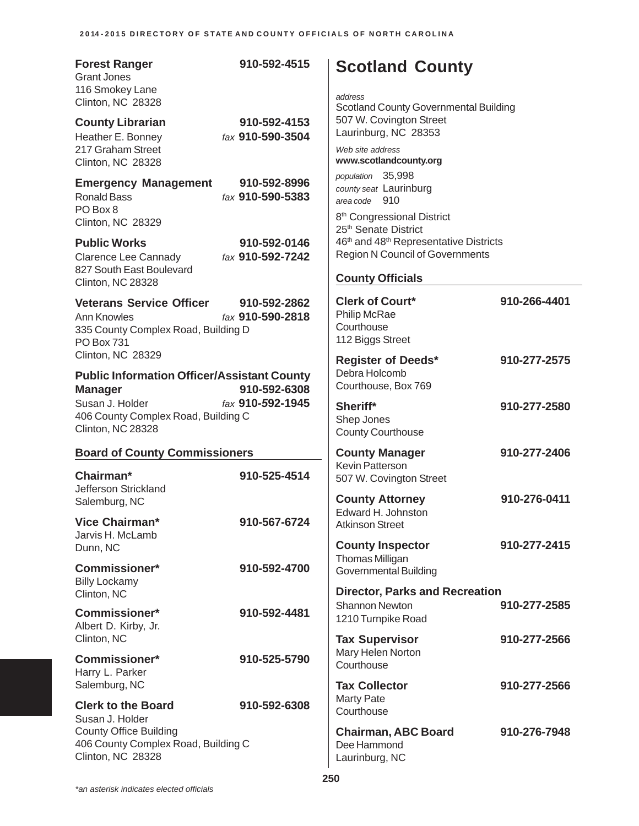| <b>Forest Ranger</b><br><b>Grant Jones</b><br>116 Smokey Lane<br>Clinton, NC 28328                                                                                                                           | 910-592-4515                     | <b>Scotland County</b><br>address<br><b>Scotland County Governmental Building</b>                                    |              |
|--------------------------------------------------------------------------------------------------------------------------------------------------------------------------------------------------------------|----------------------------------|----------------------------------------------------------------------------------------------------------------------|--------------|
| <b>County Librarian</b><br>Heather E. Bonney<br>217 Graham Street<br>Clinton, NC 28328                                                                                                                       | 910-592-4153<br>fax 910-590-3504 | 507 W. Covington Street<br>Laurinburg, NC 28353<br>Web site address<br>www.scotlandcounty.org                        |              |
| <b>Emergency Management</b><br><b>Ronald Bass</b><br>PO Box 8<br>Clinton, NC 28329                                                                                                                           | 910-592-8996<br>fax 910-590-5383 | population 35,998<br>county seat Laurinburg<br>area code 910<br>8 <sup>th</sup> Congressional District               |              |
| <b>Public Works</b><br><b>Clarence Lee Cannady</b><br>827 South East Boulevard                                                                                                                               | 910-592-0146<br>fax 910-592-7242 | 25 <sup>th</sup> Senate District<br>46th and 48th Representative Districts<br><b>Region N Council of Governments</b> |              |
| Clinton, NC 28328                                                                                                                                                                                            |                                  | <b>County Officials</b>                                                                                              |              |
| <b>Veterans Service Officer</b><br><b>Ann Knowles</b><br>335 County Complex Road, Building D<br><b>PO Box 731</b>                                                                                            | 910-592-2862<br>fax 910-590-2818 | <b>Clerk of Court*</b><br><b>Philip McRae</b><br>Courthouse<br>112 Biggs Street                                      | 910-266-4401 |
| Clinton, NC 28329<br><b>Public Information Officer/Assistant County</b><br>910-592-6308<br><b>Manager</b><br>fax 910-592-1945<br>Susan J. Holder<br>406 County Complex Road, Building C<br>Clinton, NC 28328 |                                  | <b>Register of Deeds*</b><br>Debra Holcomb<br>Courthouse, Box 769                                                    | 910-277-2575 |
|                                                                                                                                                                                                              |                                  | Sheriff*<br>Shep Jones<br><b>County Courthouse</b>                                                                   | 910-277-2580 |
| <b>Board of County Commissioners</b>                                                                                                                                                                         |                                  | <b>County Manager</b>                                                                                                | 910-277-2406 |
| Chairman*<br>Jefferson Strickland                                                                                                                                                                            | 910-525-4514                     | Kevin Patterson<br>507 W. Covington Street<br><b>County Attorney</b>                                                 | 910-276-0411 |
| Salemburg, NC<br><b>Vice Chairman*</b><br>Jarvis H. McLamb                                                                                                                                                   | 910-567-6724                     | Edward H. Johnston<br><b>Atkinson Street</b>                                                                         |              |
| Dunn, NC<br><b>Commissioner*</b>                                                                                                                                                                             | 910-592-4700                     | <b>County Inspector</b><br>Thomas Milligan<br><b>Governmental Building</b>                                           | 910-277-2415 |
| <b>Billy Lockamy</b><br>Clinton, NC                                                                                                                                                                          |                                  | <b>Director, Parks and Recreation</b>                                                                                |              |
| <b>Commissioner*</b><br>Albert D. Kirby, Jr.                                                                                                                                                                 | 910-592-4481                     | <b>Shannon Newton</b><br>1210 Turnpike Road                                                                          | 910-277-2585 |
| Clinton, NC<br><b>Commissioner*</b>                                                                                                                                                                          | 910-525-5790                     | <b>Tax Supervisor</b><br>Mary Helen Norton<br>Courthouse                                                             | 910-277-2566 |
| Harry L. Parker<br>Salemburg, NC                                                                                                                                                                             |                                  | <b>Tax Collector</b>                                                                                                 | 910-277-2566 |
| <b>Clerk to the Board</b><br>Susan J. Holder                                                                                                                                                                 | 910-592-6308                     | <b>Marty Pate</b><br>Courthouse                                                                                      |              |
| <b>County Office Building</b><br>406 County Complex Road, Building C<br>Clinton, NC 28328                                                                                                                    |                                  | <b>Chairman, ABC Board</b><br>Dee Hammond<br>Laurinburg, NC                                                          | 910-276-7948 |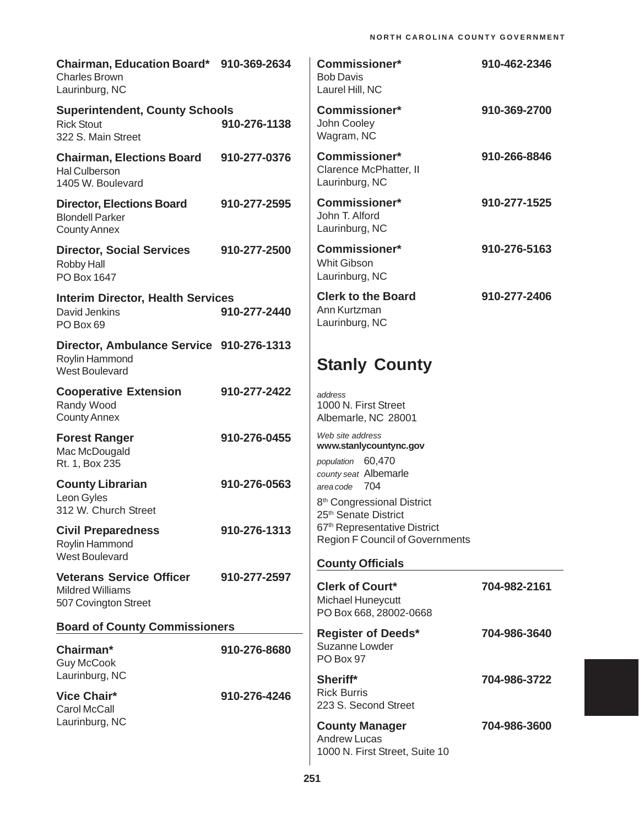| Chairman, Education Board* 910-369-2634<br><b>Charles Brown</b><br>Laurinburg, NC   |              | <b>Commissioner*</b><br><b>Bob Davis</b><br>Laurel Hill, NC                                                   | 910-462-2346 |
|-------------------------------------------------------------------------------------|--------------|---------------------------------------------------------------------------------------------------------------|--------------|
| <b>Superintendent, County Schools</b><br><b>Rick Stout</b><br>322 S. Main Street    | 910-276-1138 | <b>Commissioner*</b><br>John Cooley<br>Wagram, NC                                                             | 910-369-2700 |
| <b>Chairman, Elections Board</b><br>Hal Culberson<br>1405 W. Boulevard              | 910-277-0376 | Commissioner*<br>Clarence McPhatter, II<br>Laurinburg, NC                                                     | 910-266-8846 |
| <b>Director, Elections Board</b><br><b>Blondell Parker</b><br><b>County Annex</b>   | 910-277-2595 | <b>Commissioner*</b><br>John T. Alford<br>Laurinburg, NC                                                      | 910-277-1525 |
| <b>Director, Social Services</b><br>Robby Hall<br>PO Box 1647                       | 910-277-2500 | <b>Commissioner*</b><br><b>Whit Gibson</b><br>Laurinburg, NC                                                  | 910-276-5163 |
| <b>Interim Director, Health Services</b><br>David Jenkins<br>PO Box 69              | 910-277-2440 | <b>Clerk to the Board</b><br>Ann Kurtzman<br>Laurinburg, NC                                                   | 910-277-2406 |
| Director, Ambulance Service 910-276-1313<br>Roylin Hammond<br><b>West Boulevard</b> |              | <b>Stanly County</b>                                                                                          |              |
| <b>Cooperative Extension</b><br>Randy Wood<br><b>County Annex</b>                   | 910-277-2422 | address<br>1000 N. First Street<br>Albemarle, NC 28001                                                        |              |
| <b>Forest Ranger</b><br>Mac McDougald<br>Rt. 1, Box 235                             | 910-276-0455 | Web site address<br>www.stanlycountync.gov<br>population 60,470<br>county seat Albemarle                      |              |
| <b>County Librarian</b><br>Leon Gyles<br>312 W. Church Street                       | 910-276-0563 | area code 704<br>8 <sup>th</sup> Congressional District<br>25 <sup>th</sup> Senate District                   |              |
| <b>Civil Preparedness</b><br>Roylin Hammond<br><b>West Boulevard</b>                | 910-276-1313 | 67 <sup>th</sup> Representative District<br><b>Region F Council of Governments</b><br><b>County Officials</b> |              |
| <b>Veterans Service Officer</b><br><b>Mildred Williams</b><br>507 Covington Street  | 910-277-2597 | <b>Clerk of Court*</b><br>Michael Huneycutt<br>PO Box 668, 28002-0668                                         | 704-982-2161 |
| <b>Board of County Commissioners</b>                                                |              | <b>Register of Deeds*</b>                                                                                     | 704-986-3640 |
| Chairman*<br><b>Guy McCook</b><br>Laurinburg, NC                                    | 910-276-8680 | Suzanne Lowder<br>PO Box 97                                                                                   |              |
| <b>Vice Chair*</b><br><b>Carol McCall</b>                                           | 910-276-4246 | Sheriff*<br><b>Rick Burris</b><br>223 S. Second Street                                                        | 704-986-3722 |
| Laurinburg, NC                                                                      |              | <b>County Manager</b><br><b>Andrew Lucas</b><br>1000 N. First Street, Suite 10                                | 704-986-3600 |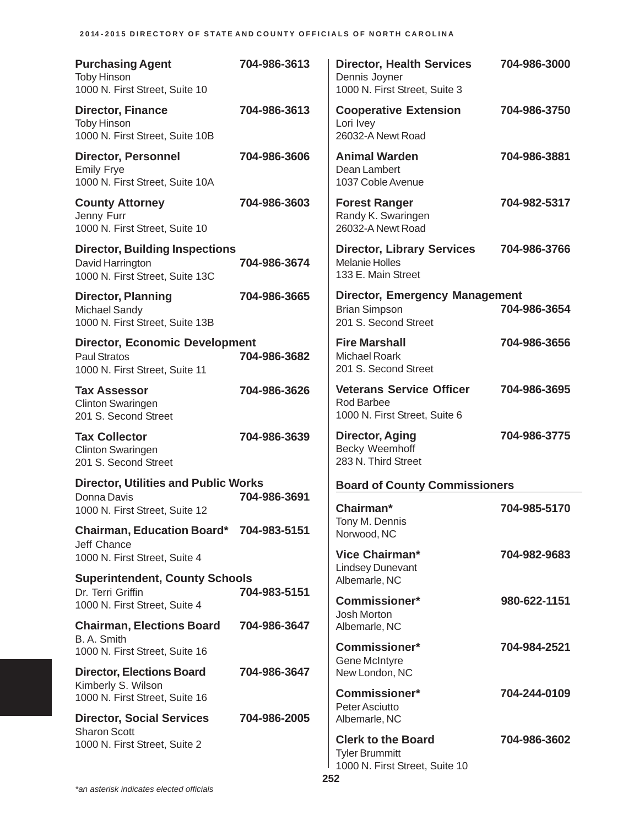| <b>Purchasing Agent</b><br><b>Toby Hinson</b><br>1000 N. First Street, Suite 10                | 704-986-3613 | <b>Director, Health Services</b><br>Dennis Joyner<br>1000 N. First Street, Suite 3    | 704-986-3000 |
|------------------------------------------------------------------------------------------------|--------------|---------------------------------------------------------------------------------------|--------------|
| <b>Director, Finance</b><br><b>Toby Hinson</b><br>1000 N. First Street, Suite 10B              | 704-986-3613 | <b>Cooperative Extension</b><br>Lori Ivey<br>26032-A Newt Road                        | 704-986-3750 |
| <b>Director, Personnel</b><br><b>Emily Frye</b><br>1000 N. First Street, Suite 10A             | 704-986-3606 | <b>Animal Warden</b><br>Dean Lambert<br>1037 Coble Avenue                             | 704-986-3881 |
| <b>County Attorney</b><br>Jenny Furr<br>1000 N. First Street, Suite 10                         | 704-986-3603 | <b>Forest Ranger</b><br>Randy K. Swaringen<br>26032-A Newt Road                       | 704-982-5317 |
| <b>Director, Building Inspections</b><br>David Harrington<br>1000 N. First Street, Suite 13C   | 704-986-3674 | <b>Director, Library Services</b><br><b>Melanie Holles</b><br>133 E. Main Street      | 704-986-3766 |
| <b>Director, Planning</b><br><b>Michael Sandy</b><br>1000 N. First Street, Suite 13B           | 704-986-3665 | <b>Director, Emergency Management</b><br><b>Brian Simpson</b><br>201 S. Second Street | 704-986-3654 |
| <b>Director, Economic Development</b><br><b>Paul Stratos</b><br>1000 N. First Street, Suite 11 | 704-986-3682 | <b>Fire Marshall</b><br><b>Michael Roark</b><br>201 S. Second Street                  | 704-986-3656 |
| <b>Tax Assessor</b><br><b>Clinton Swaringen</b><br>201 S. Second Street                        | 704-986-3626 | <b>Veterans Service Officer</b><br>Rod Barbee<br>1000 N. First Street, Suite 6        | 704-986-3695 |
| <b>Tax Collector</b><br><b>Clinton Swaringen</b><br>201 S. Second Street                       | 704-986-3639 | Director, Aging<br><b>Becky Weemhoff</b><br>283 N. Third Street                       | 704-986-3775 |
| <b>Director, Utilities and Public Works</b>                                                    |              | <b>Board of County Commissioners</b>                                                  |              |
| Donna Davis<br>1000 N. First Street, Suite 12                                                  | 704-986-3691 | Chairman*                                                                             | 704-985-5170 |
| Chairman, Education Board* 704-983-5151                                                        |              | Tony M. Dennis<br>Norwood, NC                                                         |              |
| Jeff Chance<br>1000 N. First Street, Suite 4                                                   |              | Vice Chairman*                                                                        | 704-982-9683 |
| <b>Superintendent, County Schools</b>                                                          |              | <b>Lindsey Dunevant</b><br>Albemarle, NC                                              |              |
| Dr. Terri Griffin<br>1000 N. First Street, Suite 4                                             | 704-983-5151 | Commissioner*                                                                         | 980-622-1151 |
| <b>Chairman, Elections Board</b>                                                               | 704-986-3647 | Josh Morton<br>Albemarle, NC                                                          |              |
| B. A. Smith<br>1000 N. First Street, Suite 16                                                  |              | <b>Commissioner*</b><br><b>Gene McIntyre</b>                                          | 704-984-2521 |
| <b>Director, Elections Board</b>                                                               | 704-986-3647 | New London, NC                                                                        |              |
| Kimberly S. Wilson<br>1000 N. First Street, Suite 16                                           |              | <b>Commissioner*</b><br>Peter Asciutto                                                | 704-244-0109 |
| <b>Director, Social Services</b><br><b>Sharon Scott</b>                                        | 704-986-2005 | Albemarle, NC                                                                         |              |
| 1000 N. First Street, Suite 2                                                                  |              | <b>Clerk to the Board</b><br><b>Tyler Brummitt</b><br>1000 N. First Street, Suite 10  | 704-986-3602 |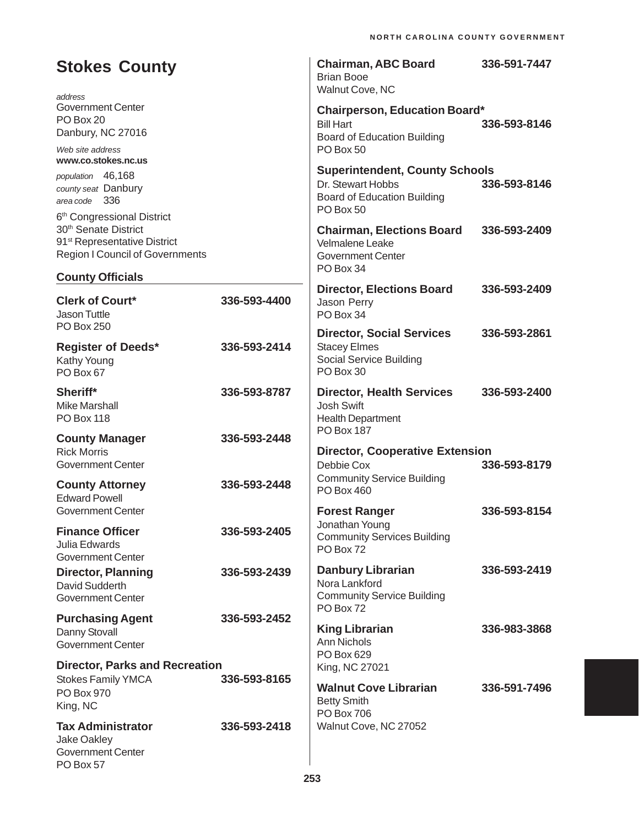| <b>Stokes County</b><br>address                                                                                                                      |              | <b>Chairman, ABC Board</b><br><b>Brian Booe</b><br>Walnut Cove, NC                                          | 336-591-7447 |
|------------------------------------------------------------------------------------------------------------------------------------------------------|--------------|-------------------------------------------------------------------------------------------------------------|--------------|
| <b>Government Center</b><br>PO Box 20<br>Danbury, NC 27016                                                                                           |              | <b>Chairperson, Education Board*</b><br><b>Bill Hart</b><br><b>Board of Education Building</b><br>PO Box 50 | 336-593-8146 |
| Web site address<br>www.co.stokes.nc.us                                                                                                              |              | <b>Superintendent, County Schools</b>                                                                       |              |
| population 46,168<br>county seat Danbury<br>area code 336                                                                                            |              | Dr. Stewart Hobbs<br><b>Board of Education Building</b><br>PO Box 50                                        | 336-593-8146 |
| 6th Congressional District<br>30 <sup>th</sup> Senate District<br>91 <sup>st</sup> Representative District<br><b>Region I Council of Governments</b> |              | <b>Chairman, Elections Board</b><br>Velmalene Leake<br><b>Government Center</b>                             | 336-593-2409 |
| <b>County Officials</b>                                                                                                                              |              | PO Box 34                                                                                                   |              |
| <b>Clerk of Court*</b><br><b>Jason Tuttle</b>                                                                                                        | 336-593-4400 | <b>Director, Elections Board</b><br>Jason Perry<br>PO Box 34                                                | 336-593-2409 |
| <b>PO Box 250</b><br><b>Register of Deeds*</b><br>Kathy Young<br>PO Box 67                                                                           | 336-593-2414 | <b>Director, Social Services</b><br><b>Stacey Elmes</b><br>Social Service Building<br>PO Box 30             | 336-593-2861 |
| Sheriff*<br><b>Mike Marshall</b><br><b>PO Box 118</b>                                                                                                | 336-593-8787 | <b>Director, Health Services</b><br><b>Josh Swift</b><br><b>Health Department</b>                           | 336-593-2400 |
| <b>County Manager</b><br><b>Rick Morris</b>                                                                                                          | 336-593-2448 | <b>PO Box 187</b><br><b>Director, Cooperative Extension</b>                                                 |              |
| <b>Government Center</b><br><b>County Attorney</b><br><b>Edward Powell</b>                                                                           | 336-593-2448 | Debbie Cox<br><b>Community Service Building</b><br>PO Box 460                                               | 336-593-8179 |
| Government Center                                                                                                                                    |              | <b>Forest Ranger</b>                                                                                        | 336-593-8154 |
| <b>Finance Officer</b><br>Julia Edwards<br>Government Center                                                                                         | 336-593-2405 | Jonathan Young<br><b>Community Services Building</b><br>PO Box 72                                           |              |
| <b>Director, Planning</b><br>David Sudderth<br><b>Government Center</b>                                                                              | 336-593-2439 | <b>Danbury Librarian</b><br>Nora Lankford<br><b>Community Service Building</b><br>PO Box 72                 | 336-593-2419 |
| <b>Purchasing Agent</b><br>Danny Stovall<br><b>Government Center</b>                                                                                 | 336-593-2452 | <b>King Librarian</b><br>Ann Nichols                                                                        | 336-983-3868 |
| <b>Director, Parks and Recreation</b>                                                                                                                |              | PO Box 629<br>King, NC 27021                                                                                |              |
| <b>Stokes Family YMCA</b><br>PO Box 970<br>King, NC                                                                                                  | 336-593-8165 | <b>Walnut Cove Librarian</b><br><b>Betty Smith</b><br><b>PO Box 706</b>                                     | 336-591-7496 |
| <b>Tax Administrator</b><br>Jake Oakley<br><b>Government Center</b><br>PO Box 57                                                                     | 336-593-2418 | Walnut Cove, NC 27052                                                                                       |              |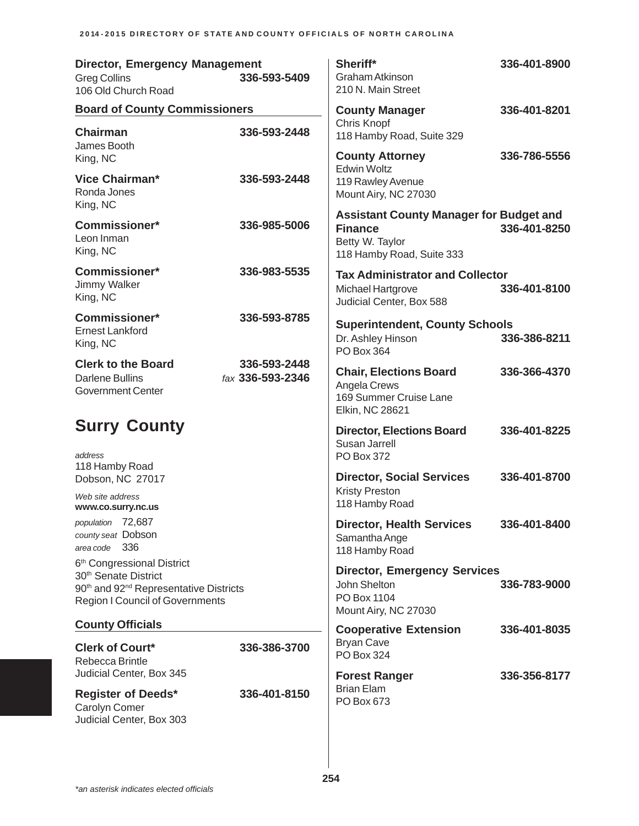| <b>Director, Emergency Management</b><br><b>Greg Collins</b><br>106 Old Church Road                                                                                                    | 336-593-5409                     | Sheriff*<br>Graham Atkinson<br>210 N. Main Street                                                                | 336-401-8900 |
|----------------------------------------------------------------------------------------------------------------------------------------------------------------------------------------|----------------------------------|------------------------------------------------------------------------------------------------------------------|--------------|
| <b>Board of County Commissioners</b>                                                                                                                                                   |                                  | <b>County Manager</b>                                                                                            | 336-401-8201 |
| <b>Chairman</b><br>James Booth                                                                                                                                                         | 336-593-2448                     | Chris Knopf<br>118 Hamby Road, Suite 329                                                                         |              |
| King, NC                                                                                                                                                                               |                                  | <b>County Attorney</b><br><b>Edwin Woltz</b>                                                                     | 336-786-5556 |
| Vice Chairman*<br>Ronda Jones<br>King, NC                                                                                                                                              | 336-593-2448                     | 119 Rawley Avenue<br>Mount Airy, NC 27030                                                                        |              |
| <b>Commissioner*</b><br>Leon Inman<br>King, NC                                                                                                                                         | 336-985-5006                     | <b>Assistant County Manager for Budget and</b><br><b>Finance</b><br>Betty W. Taylor<br>118 Hamby Road, Suite 333 | 336-401-8250 |
| <b>Commissioner*</b><br><b>Jimmy Walker</b><br>King, NC                                                                                                                                | 336-983-5535                     | <b>Tax Administrator and Collector</b><br>Michael Hartgrove<br>Judicial Center, Box 588                          | 336-401-8100 |
| Commissioner*<br><b>Ernest Lankford</b><br>King, NC                                                                                                                                    | 336-593-8785                     | <b>Superintendent, County Schools</b><br>Dr. Ashley Hinson<br>PO Box 364                                         | 336-386-8211 |
| <b>Clerk to the Board</b><br><b>Darlene Bullins</b><br><b>Government Center</b>                                                                                                        | 336-593-2448<br>fax 336-593-2346 | <b>Chair, Elections Board</b><br>Angela Crews<br>169 Summer Cruise Lane<br>Elkin, NC 28621                       | 336-366-4370 |
| <b>Surry County</b><br>address                                                                                                                                                         |                                  | <b>Director, Elections Board</b><br>Susan Jarrell<br>PO Box 372                                                  | 336-401-8225 |
| 118 Hamby Road<br>Dobson, NC 27017                                                                                                                                                     |                                  | <b>Director, Social Services</b><br><b>Kristy Preston</b>                                                        | 336-401-8700 |
| Web site address<br>www.co.surry.nc.us                                                                                                                                                 |                                  | 118 Hamby Road                                                                                                   |              |
| population 72,687<br>county seat Dobson<br>336<br>area code                                                                                                                            |                                  | <b>Director, Health Services</b><br>Samantha Ange<br>118 Hamby Road                                              | 336-401-8400 |
| 6 <sup>th</sup> Congressional District<br>30 <sup>th</sup> Senate District<br>90 <sup>th</sup> and 92 <sup>nd</sup> Representative Districts<br><b>Region I Council of Governments</b> |                                  | <b>Director, Emergency Services</b><br>John Shelton<br>PO Box 1104<br>Mount Airy, NC 27030                       | 336-783-9000 |
| <b>County Officials</b>                                                                                                                                                                |                                  | <b>Cooperative Extension</b>                                                                                     | 336-401-8035 |
| <b>Clerk of Court*</b><br>Rebecca Brintle                                                                                                                                              | 336-386-3700                     | <b>Bryan Cave</b><br>PO Box 324                                                                                  |              |
| Judicial Center, Box 345                                                                                                                                                               |                                  | <b>Forest Ranger</b><br><b>Brian Elam</b>                                                                        | 336-356-8177 |
| <b>Register of Deeds*</b><br>Carolyn Comer<br>Judicial Center, Box 303                                                                                                                 | 336-401-8150                     | PO Box 673                                                                                                       |              |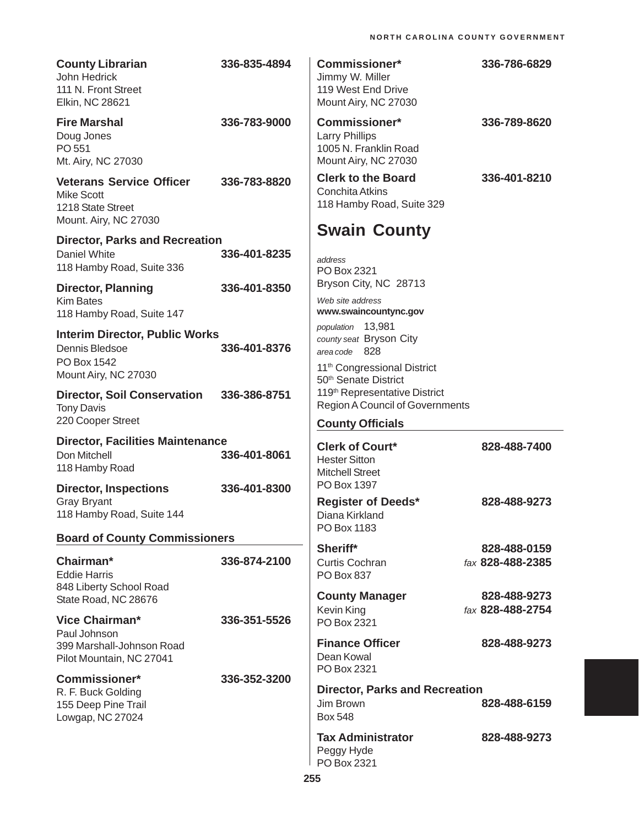| <b>County Librarian</b><br>John Hedrick<br>111 N. Front Street<br>Elkin, NC 28621                  | 336-835-4894 | <b>Commissioner*</b><br>Jimmy W. Miller<br>119 West End Drive<br>Mount Airy, NC 27030          | 336-786-6829     |
|----------------------------------------------------------------------------------------------------|--------------|------------------------------------------------------------------------------------------------|------------------|
| <b>Fire Marshal</b><br>Doug Jones<br>PO 551<br>Mt. Airy, NC 27030                                  | 336-783-9000 | <b>Commissioner*</b><br><b>Larry Phillips</b><br>1005 N. Franklin Road<br>Mount Airy, NC 27030 | 336-789-8620     |
| <b>Veterans Service Officer</b><br><b>Mike Scott</b><br>1218 State Street<br>Mount. Airy, NC 27030 | 336-783-8820 | <b>Clerk to the Board</b><br>Conchita Atkins<br>118 Hamby Road, Suite 329                      | 336-401-8210     |
| <b>Director, Parks and Recreation</b>                                                              |              | <b>Swain County</b>                                                                            |                  |
| Daniel White<br>118 Hamby Road, Suite 336                                                          | 336-401-8235 | address<br>PO Box 2321                                                                         |                  |
| <b>Director, Planning</b>                                                                          | 336-401-8350 | Bryson City, NC 28713                                                                          |                  |
| <b>Kim Bates</b><br>118 Hamby Road, Suite 147                                                      |              | Web site address<br>www.swaincountync.gov                                                      |                  |
| <b>Interim Director, Public Works</b><br>Dennis Bledsoe<br>PO Box 1542                             | 336-401-8376 | population 13,981<br>county seat Bryson City<br>area code 828                                  |                  |
| Mount Airy, NC 27030                                                                               |              | 11 <sup>th</sup> Congressional District<br>50 <sup>th</sup> Senate District                    |                  |
| <b>Director, Soil Conservation</b><br><b>Tony Davis</b>                                            | 336-386-8751 | 119th Representative District<br><b>Region A Council of Governments</b>                        |                  |
| 220 Cooper Street                                                                                  |              | <b>County Officials</b>                                                                        |                  |
| <b>Director, Facilities Maintenance</b><br>Don Mitchell<br>118 Hamby Road                          | 336-401-8061 | <b>Clerk of Court*</b><br><b>Hester Sitton</b><br><b>Mitchell Street</b>                       | 828-488-7400     |
| <b>Director, Inspections</b><br><b>Gray Bryant</b><br>118 Hamby Road, Suite 144                    | 336-401-8300 | PO Box 1397<br><b>Register of Deeds*</b><br>Diana Kirkland                                     | 828-488-9273     |
| <b>Board of County Commissioners</b>                                                               |              | PO Box 1183                                                                                    |                  |
|                                                                                                    |              | Sheriff*                                                                                       | 828-488-0159     |
| Chairman*<br><b>Eddie Harris</b><br>848 Liberty School Road                                        | 336-874-2100 | Curtis Cochran<br>PO Box 837                                                                   | fax 828-488-2385 |
| State Road, NC 28676                                                                               |              | <b>County Manager</b>                                                                          | 828-488-9273     |
| <b>Vice Chairman*</b><br>Paul Johnson                                                              | 336-351-5526 | Kevin King<br>PO Box 2321                                                                      | fax 828-488-2754 |
| 399 Marshall-Johnson Road<br>Pilot Mountain, NC 27041                                              |              | <b>Finance Officer</b><br>Dean Kowal<br>PO Box 2321                                            | 828-488-9273     |
| <b>Commissioner*</b><br>R. F. Buck Golding<br>155 Deep Pine Trail<br>Lowgap, NC 27024              | 336-352-3200 | <b>Director, Parks and Recreation</b><br>Jim Brown<br><b>Box 548</b>                           | 828-488-6159     |
|                                                                                                    |              | <b>Tax Administrator</b><br>Peggy Hyde<br>PO Box 2321                                          | 828-488-9273     |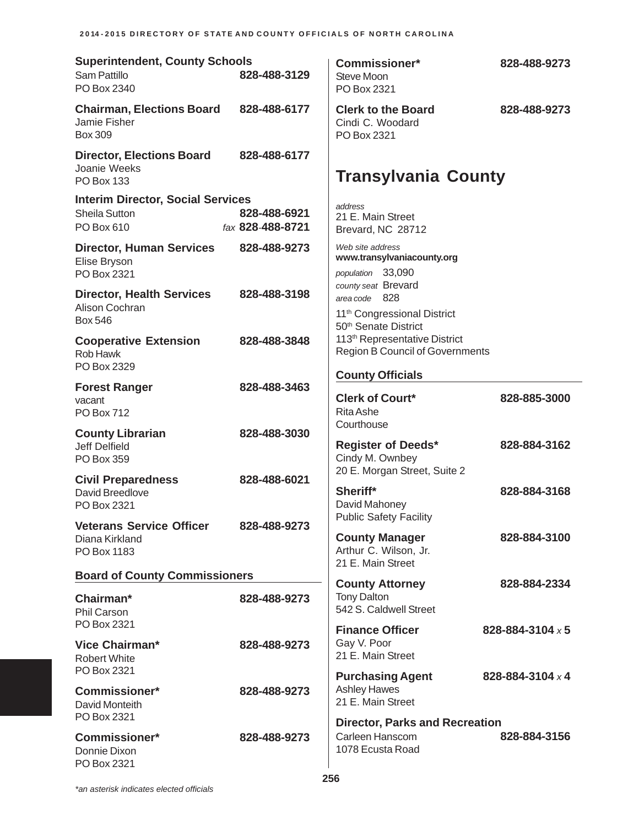| <b>Superintendent, County Schools</b><br>Sam Pattillo<br>PO Box 2340    | 828-488-3129                     | <b>Commissioner*</b><br>Steve Moon<br>PO Box 2321                                                                       | 828-488-9273     |
|-------------------------------------------------------------------------|----------------------------------|-------------------------------------------------------------------------------------------------------------------------|------------------|
| <b>Chairman, Elections Board</b><br>Jamie Fisher<br><b>Box 309</b>      | 828-488-6177                     | <b>Clerk to the Board</b><br>Cindi C. Woodard<br>PO Box 2321                                                            | 828-488-9273     |
| <b>Director, Elections Board</b><br>Joanie Weeks<br><b>PO Box 133</b>   | 828-488-6177                     | <b>Transylvania County</b>                                                                                              |                  |
| <b>Interim Director, Social Services</b><br>Sheila Sutton<br>PO Box 610 | 828-488-6921<br>fax 828-488-8721 | address<br>21 E. Main Street<br>Brevard, NC 28712                                                                       |                  |
| <b>Director, Human Services</b><br>Elise Bryson<br>PO Box 2321          | 828-488-9273                     | Web site address<br>www.transylvaniacounty.org<br>population 33,090                                                     |                  |
| <b>Director, Health Services</b><br>Alison Cochran<br><b>Box 546</b>    | 828-488-3198                     | county seat Brevard<br>area code 828<br>11 <sup>th</sup> Congressional District                                         |                  |
| <b>Cooperative Extension</b><br><b>Rob Hawk</b><br>PO Box 2329          | 828-488-3848                     | 50 <sup>th</sup> Senate District<br>113 <sup>th</sup> Representative District<br><b>Region B Council of Governments</b> |                  |
| <b>Forest Ranger</b><br>vacant<br><b>PO Box 712</b>                     | 828-488-3463                     | <b>County Officials</b><br><b>Clerk of Court*</b><br><b>Rita Ashe</b>                                                   | 828-885-3000     |
| <b>County Librarian</b><br><b>Jeff Delfield</b><br>PO Box 359           | 828-488-3030                     | Courthouse<br><b>Register of Deeds*</b><br>Cindy M. Ownbey                                                              | 828-884-3162     |
| <b>Civil Preparedness</b><br>David Breedlove<br>PO Box 2321             | 828-488-6021                     | 20 E. Morgan Street, Suite 2<br>Sheriff*<br>David Mahoney                                                               | 828-884-3168     |
| <b>Veterans Service Officer</b><br>Diana Kirkland<br>PO Box 1183        | 828-488-9273                     | <b>Public Safety Facility</b><br><b>County Manager</b><br>Arthur C. Wilson, Jr.<br>21 E. Main Street                    | 828-884-3100     |
| <b>Board of County Commissioners</b>                                    |                                  | <b>County Attorney</b>                                                                                                  | 828-884-2334     |
| Chairman*<br>Phil Carson                                                | 828-488-9273                     | <b>Tony Dalton</b><br>542 S. Caldwell Street                                                                            |                  |
| PO Box 2321<br><b>Vice Chairman*</b><br><b>Robert White</b>             | 828-488-9273                     | <b>Finance Officer</b><br>Gay V. Poor<br>21 E. Main Street                                                              | 828-884-3104 x 5 |
| PO Box 2321<br><b>Commissioner*</b><br>David Monteith<br>PO Box 2321    | 828-488-9273                     | <b>Purchasing Agent</b><br><b>Ashley Hawes</b><br>21 E. Main Street                                                     | 828-884-3104 x 4 |
| <b>Commissioner*</b><br>Donnie Dixon<br>PO Box 2321                     | 828-488-9273                     | <b>Director, Parks and Recreation</b><br>Carleen Hanscom<br>1078 Ecusta Road                                            | 828-884-3156     |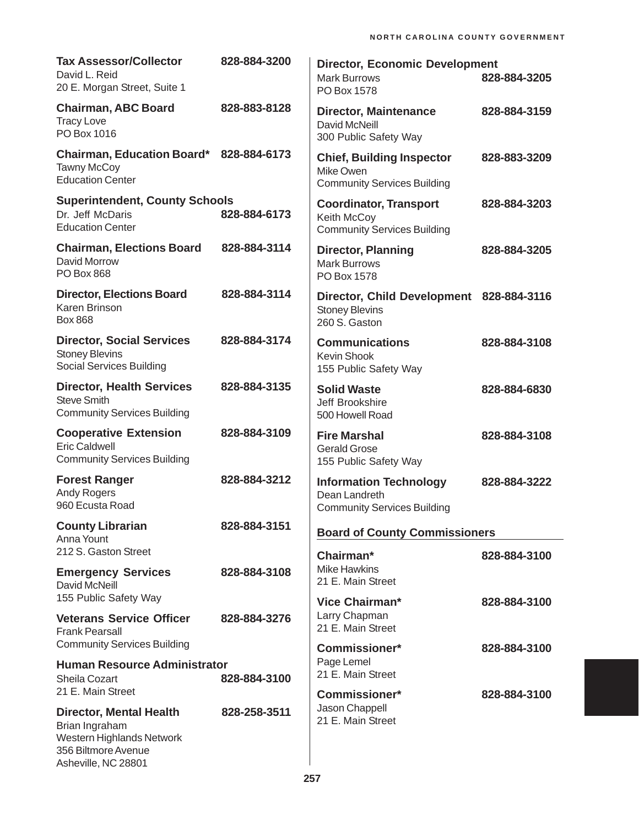| <b>Tax Assessor/Collector</b><br>David L. Reid<br>20 E. Morgan Street, Suite 1                                              | 828-884-3200 | <b>Director, Economic Development</b><br><b>Mark Burrows</b><br>PO Box 1578          | 828-884-3205 |
|-----------------------------------------------------------------------------------------------------------------------------|--------------|--------------------------------------------------------------------------------------|--------------|
| <b>Chairman, ABC Board</b><br><b>Tracy Love</b><br>PO Box 1016                                                              | 828-883-8128 | <b>Director, Maintenance</b><br>David McNeill<br>300 Public Safety Way               | 828-884-3159 |
| Chairman, Education Board* 828-884-6173<br><b>Tawny McCoy</b><br><b>Education Center</b>                                    |              | <b>Chief, Building Inspector</b><br>Mike Owen<br><b>Community Services Building</b>  | 828-883-3209 |
| <b>Superintendent, County Schools</b><br>Dr. Jeff McDaris<br><b>Education Center</b>                                        | 828-884-6173 | <b>Coordinator, Transport</b><br>Keith McCoy<br><b>Community Services Building</b>   | 828-884-3203 |
| <b>Chairman, Elections Board</b><br>David Morrow<br><b>PO Box 868</b>                                                       | 828-884-3114 | <b>Director, Planning</b><br><b>Mark Burrows</b><br>PO Box 1578                      | 828-884-3205 |
| <b>Director, Elections Board</b><br>Karen Brinson<br><b>Box 868</b>                                                         | 828-884-3114 | Director, Child Development 828-884-3116<br><b>Stoney Blevins</b><br>260 S. Gaston   |              |
| <b>Director, Social Services</b><br><b>Stoney Blevins</b><br><b>Social Services Building</b>                                | 828-884-3174 | <b>Communications</b><br>Kevin Shook<br>155 Public Safety Way                        | 828-884-3108 |
| <b>Director, Health Services</b><br><b>Steve Smith</b><br><b>Community Services Building</b>                                | 828-884-3135 | <b>Solid Waste</b><br>Jeff Brookshire<br>500 Howell Road                             | 828-884-6830 |
| <b>Cooperative Extension</b><br><b>Eric Caldwell</b><br><b>Community Services Building</b>                                  | 828-884-3109 | <b>Fire Marshal</b><br><b>Gerald Grose</b><br>155 Public Safety Way                  | 828-884-3108 |
| <b>Forest Ranger</b><br><b>Andy Rogers</b><br>960 Ecusta Road                                                               | 828-884-3212 | <b>Information Technology</b><br>Dean Landreth<br><b>Community Services Building</b> | 828-884-3222 |
| <b>County Librarian</b><br>Anna Yount                                                                                       | 828-884-3151 | <b>Board of County Commissioners</b>                                                 |              |
| 212 S. Gaston Street<br><b>Emergency Services</b><br>David McNeill                                                          | 828-884-3108 | Chairman*<br><b>Mike Hawkins</b><br>21 E. Main Street                                | 828-884-3100 |
| 155 Public Safety Way<br><b>Veterans Service Officer</b><br><b>Frank Pearsall</b>                                           | 828-884-3276 | Vice Chairman*<br>Larry Chapman<br>21 E. Main Street                                 | 828-884-3100 |
| <b>Community Services Building</b><br><b>Human Resource Administrator</b><br>Sheila Cozart<br>21 E. Main Street             | 828-884-3100 | Commissioner*<br>Page Lemel<br>21 E. Main Street                                     | 828-884-3100 |
| <b>Director, Mental Health</b><br>Brian Ingraham<br>Western Highlands Network<br>356 Biltmore Avenue<br>Asheville, NC 28801 | 828-258-3511 | <b>Commissioner*</b><br>Jason Chappell<br>21 E. Main Street                          | 828-884-3100 |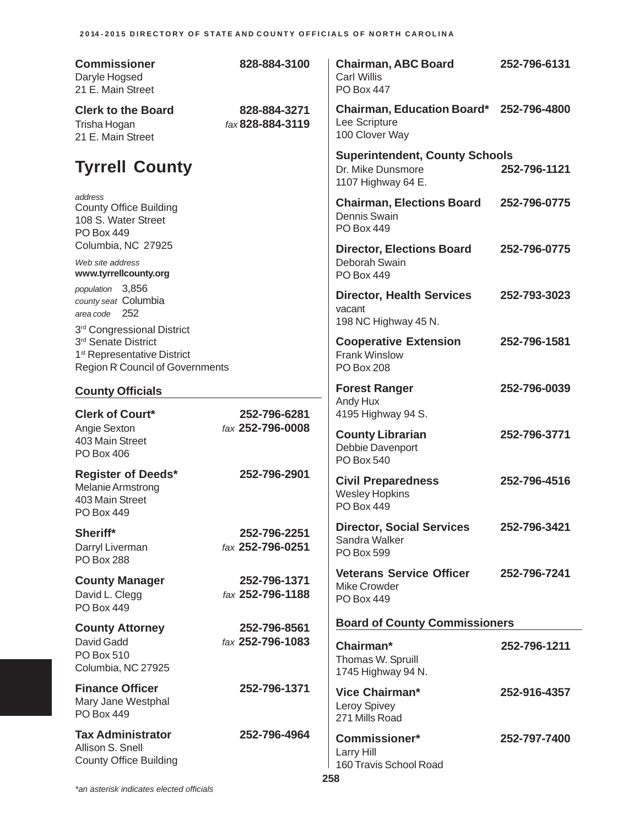| <b>Commissioner</b><br>Daryle Hogsed<br>21 E. Main Street                                                                              | 828-884-3100                     | <b>Chairman, ABC Board</b><br><b>Carl Willis</b><br><b>PO Box 447</b>                             | 252-796-6131 |
|----------------------------------------------------------------------------------------------------------------------------------------|----------------------------------|---------------------------------------------------------------------------------------------------|--------------|
| <b>Clerk to the Board</b><br>Trisha Hogan<br>21 E. Main Street                                                                         | 828-884-3271<br>fax 828-884-3119 | Chairman, Education Board* 252-796-4800<br>Lee Scripture<br>100 Clover Way                        |              |
| <b>Tyrrell County</b>                                                                                                                  |                                  | <b>Superintendent, County Schools</b><br>Dr. Mike Dunsmore<br>1107 Highway 64 E.                  | 252-796-1121 |
| address<br><b>County Office Building</b><br>108 S. Water Street<br><b>PO Box 449</b>                                                   |                                  | <b>Chairman, Elections Board</b><br>Dennis Swain<br><b>PO Box 449</b>                             | 252-796-0775 |
| Columbia, NC 27925<br>Web site address<br>www.tyrrellcounty.org                                                                        |                                  | <b>Director, Elections Board</b><br>Deborah Swain<br>PO Box 449                                   | 252-796-0775 |
| population 3,856<br>county seat Columbia<br>area code 252                                                                              |                                  | <b>Director, Health Services</b><br>vacant                                                        | 252-793-3023 |
| 3rd Congressional District<br>3rd Senate District<br>1 <sup>st</sup> Representative District<br><b>Region R Council of Governments</b> |                                  | 198 NC Highway 45 N.<br><b>Cooperative Extension</b><br><b>Frank Winslow</b><br><b>PO Box 208</b> | 252-796-1581 |
| <b>County Officials</b>                                                                                                                |                                  | <b>Forest Ranger</b>                                                                              | 252-796-0039 |
| <b>Clerk of Court*</b>                                                                                                                 | 252-796-6281                     | Andy Hux<br>4195 Highway 94 S.                                                                    |              |
| Angie Sexton<br>403 Main Street<br><b>PO Box 406</b>                                                                                   | fax 252-796-0008                 | <b>County Librarian</b><br>Debbie Davenport<br><b>PO Box 540</b>                                  | 252-796-3771 |
| <b>Register of Deeds*</b><br>Melanie Armstrong<br>403 Main Street<br>PO Box 449                                                        | 252-796-2901                     | <b>Civil Preparedness</b><br><b>Wesley Hopkins</b><br><b>PO Box 449</b>                           | 252-796-4516 |
| Sheriff*<br>Darryl Liverman<br>PO Box 288                                                                                              | 252-796-2251<br>fax 252-796-0251 | <b>Director, Social Services</b><br>Sandra Walker<br>PO Box 599                                   | 252-796-3421 |
| <b>County Manager</b><br>David L. Clegg<br><b>PO Box 449</b>                                                                           | 252-796-1371<br>fax 252-796-1188 | <b>Veterans Service Officer</b><br>Mike Crowder<br>PO Box 449                                     | 252-796-7241 |
| <b>County Attorney</b>                                                                                                                 | 252-796-8561                     | <b>Board of County Commissioners</b>                                                              |              |
| David Gadd<br>PO Box 510<br>Columbia, NC 27925                                                                                         | fax 252-796-1083                 | Chairman*<br>Thomas W. Spruill<br>1745 Highway 94 N.                                              | 252-796-1211 |
| <b>Finance Officer</b><br>Mary Jane Westphal<br><b>PO Box 449</b>                                                                      | 252-796-1371                     | Vice Chairman*<br><b>Leroy Spivey</b><br>271 Mills Road                                           | 252-916-4357 |
| <b>Tax Administrator</b><br>Allison S. Snell<br><b>County Office Building</b>                                                          | 252-796-4964                     | <b>Commissioner*</b><br>Larry Hill<br>160 Travis School Road                                      | 252-797-7400 |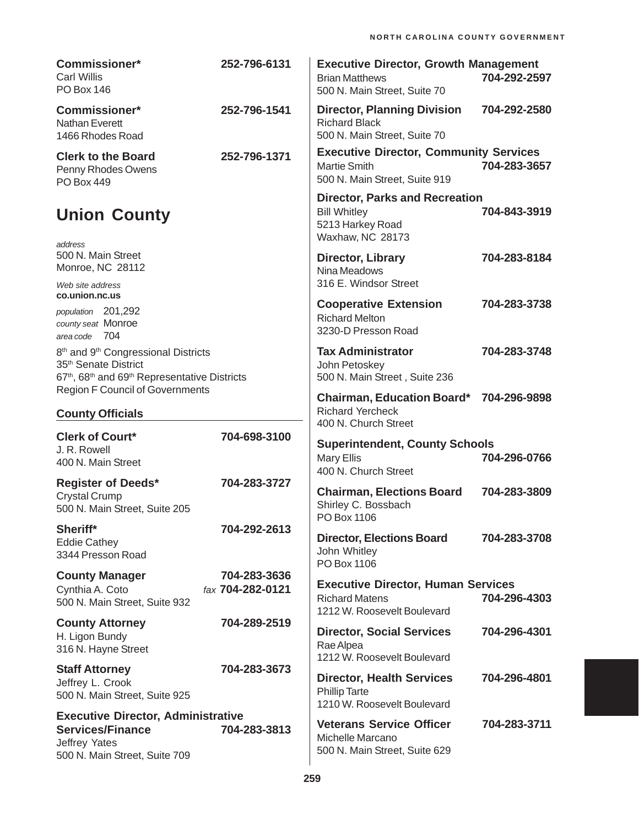| <b>Commissioner*</b><br><b>Carl Willis</b><br><b>PO Box 146</b>                                                                                                                                                                | 252-796-6131                     | <b>Executive Director, Growth Management</b><br><b>Brian Matthews</b><br>500 N. Main Street, Suite 70       | 704-292-2597 |
|--------------------------------------------------------------------------------------------------------------------------------------------------------------------------------------------------------------------------------|----------------------------------|-------------------------------------------------------------------------------------------------------------|--------------|
| <b>Commissioner*</b><br>Nathan Everett<br>1466 Rhodes Road                                                                                                                                                                     | 252-796-1541                     | <b>Director, Planning Division</b><br><b>Richard Black</b><br>500 N. Main Street, Suite 70                  | 704-292-2580 |
| <b>Clerk to the Board</b><br>Penny Rhodes Owens<br>PO Box 449                                                                                                                                                                  | 252-796-1371                     | <b>Executive Director, Community Services</b><br><b>Martie Smith</b><br>500 N. Main Street, Suite 919       | 704-283-3657 |
| <b>Union County</b>                                                                                                                                                                                                            |                                  | <b>Director, Parks and Recreation</b><br><b>Bill Whitley</b><br>5213 Harkey Road<br><b>Waxhaw, NC 28173</b> | 704-843-3919 |
| address<br>500 N. Main Street<br>Monroe, NC 28112                                                                                                                                                                              |                                  | <b>Director, Library</b><br>Nina Meadows<br>316 E. Windsor Street                                           | 704-283-8184 |
| Web site address<br>co.union.nc.us                                                                                                                                                                                             |                                  |                                                                                                             |              |
| population 201,292<br>county seat Monroe<br>area code 704                                                                                                                                                                      |                                  | <b>Cooperative Extension</b><br><b>Richard Melton</b><br>3230-D Presson Road                                | 704-283-3738 |
| 8 <sup>th</sup> and 9 <sup>th</sup> Congressional Districts<br>35 <sup>th</sup> Senate District<br>67 <sup>th</sup> , 68 <sup>th</sup> and 69 <sup>th</sup> Representative Districts<br><b>Region F Council of Governments</b> |                                  | <b>Tax Administrator</b><br>John Petoskey<br>500 N. Main Street, Suite 236                                  | 704-283-3748 |
| <b>County Officials</b>                                                                                                                                                                                                        |                                  | <b>Chairman, Education Board*</b><br><b>Richard Yercheck</b>                                                | 704-296-9898 |
| <b>Clerk of Court*</b>                                                                                                                                                                                                         | 704-698-3100                     | 400 N. Church Street                                                                                        |              |
| J. R. Rowell<br>400 N. Main Street                                                                                                                                                                                             |                                  | <b>Superintendent, County Schools</b><br><b>Mary Ellis</b><br>400 N. Church Street                          | 704-296-0766 |
| <b>Register of Deeds*</b><br><b>Crystal Crump</b><br>500 N. Main Street, Suite 205                                                                                                                                             | 704-283-3727                     | <b>Chairman, Elections Board</b><br>Shirley C. Bossbach<br>PO Box 1106                                      | 704-283-3809 |
| Sheriff*<br><b>Eddie Cathey</b><br>3344 Presson Road                                                                                                                                                                           | 704-292-2613                     | <b>Director, Elections Board</b><br>John Whitley<br>PO Box 1106                                             | 704-283-3708 |
| <b>County Manager</b><br>Cynthia A. Coto<br>500 N. Main Street, Suite 932                                                                                                                                                      | 704-283-3636<br>fax 704-282-0121 | <b>Executive Director, Human Services</b><br><b>Richard Matens</b><br>1212 W. Roosevelt Boulevard           | 704-296-4303 |
| <b>County Attorney</b><br>H. Ligon Bundy<br>316 N. Hayne Street                                                                                                                                                                | 704-289-2519                     | <b>Director, Social Services</b><br>Rae Alpea<br>1212 W. Roosevelt Boulevard                                | 704-296-4301 |
| <b>Staff Attorney</b><br>Jeffrey L. Crook<br>500 N. Main Street, Suite 925                                                                                                                                                     | 704-283-3673                     | <b>Director, Health Services</b><br><b>Phillip Tarte</b><br>1210 W. Roosevelt Boulevard                     | 704-296-4801 |
| <b>Executive Director, Administrative</b><br><b>Services/Finance</b><br>Jeffrey Yates<br>500 N. Main Street, Suite 709                                                                                                         | 704-283-3813                     | <b>Veterans Service Officer</b><br>Michelle Marcano<br>500 N. Main Street, Suite 629                        | 704-283-3711 |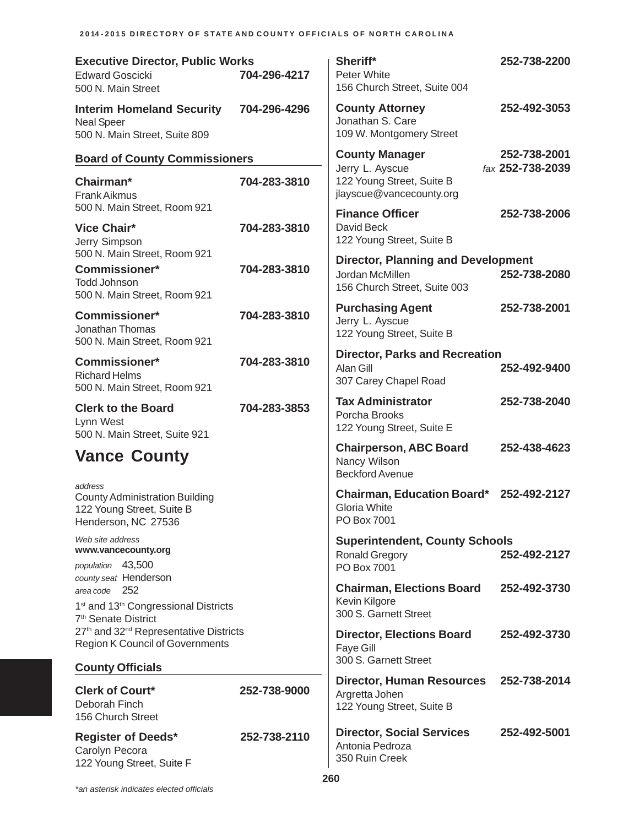| <b>Executive Director, Public Works</b><br><b>Edward Goscicki</b><br>500 N. Main Street                                         | 704-296-4217 | Sheriff*<br>Peter White<br>156 Church Street, Suite 004                                      | 252-738-2200                     |
|---------------------------------------------------------------------------------------------------------------------------------|--------------|----------------------------------------------------------------------------------------------|----------------------------------|
| <b>Interim Homeland Security</b><br><b>Neal Speer</b><br>500 N. Main Street, Suite 809                                          | 704-296-4296 | <b>County Attorney</b><br>Jonathan S. Care<br>109 W. Montgomery Street                       | 252-492-3053                     |
| <b>Board of County Commissioners</b>                                                                                            |              | <b>County Manager</b><br>Jerry L. Ayscue                                                     | 252-738-2001<br>fax 252-738-2039 |
| Chairman*<br><b>Frank Aikmus</b><br>500 N. Main Street, Room 921                                                                | 704-283-3810 | 122 Young Street, Suite B<br>jlayscue@vancecounty.org                                        |                                  |
| <b>Vice Chair*</b><br>Jerry Simpson                                                                                             | 704-283-3810 | <b>Finance Officer</b><br>David Beck<br>122 Young Street, Suite B                            | 252-738-2006                     |
| 500 N. Main Street, Room 921<br>Commissioner*<br><b>Todd Johnson</b><br>500 N. Main Street, Room 921                            | 704-283-3810 | <b>Director, Planning and Development</b><br>Jordan McMillen<br>156 Church Street, Suite 003 | 252-738-2080                     |
| <b>Commissioner*</b><br>Jonathan Thomas<br>500 N. Main Street, Room 921                                                         | 704-283-3810 | <b>Purchasing Agent</b><br>Jerry L. Ayscue<br>122 Young Street, Suite B                      | 252-738-2001                     |
| <b>Commissioner*</b><br><b>Richard Helms</b><br>500 N. Main Street, Room 921                                                    | 704-283-3810 | <b>Director, Parks and Recreation</b><br>Alan Gill<br>307 Carey Chapel Road                  | 252-492-9400                     |
| <b>Clerk to the Board</b><br>Lynn West<br>500 N. Main Street, Suite 921                                                         | 704-283-3853 | <b>Tax Administrator</b><br>Porcha Brooks<br>122 Young Street, Suite E                       | 252-738-2040                     |
| <b>Vance County</b>                                                                                                             |              | <b>Chairperson, ABC Board</b><br>Nancy Wilson<br><b>Beckford Avenue</b>                      | 252-438-4623                     |
| address<br><b>County Administration Building</b><br>122 Young Street, Suite B<br>Henderson, NC 27536                            |              | <b>Chairman, Education Board*</b><br>Gloria White<br>PO Box 7001                             | 252-492-2127                     |
| Web site address<br>www.vancecounty.org                                                                                         |              | <b>Superintendent, County Schools</b><br><b>Ronald Gregory</b>                               | 252-492-2127                     |
| population 43,500<br>county seat Henderson                                                                                      |              | PO Box 7001                                                                                  |                                  |
| area code 252<br>1 <sup>st</sup> and 13 <sup>th</sup> Congressional Districts                                                   |              | <b>Chairman, Elections Board</b><br>Kevin Kilgore<br>300 S. Garnett Street                   | 252-492-3730                     |
| 7 <sup>th</sup> Senate District<br>27th and 32 <sup>nd</sup> Representative Districts<br><b>Region K Council of Governments</b> |              | <b>Director, Elections Board</b><br><b>Faye Gill</b>                                         | 252-492-3730                     |
| <b>County Officials</b>                                                                                                         |              | 300 S. Garnett Street                                                                        |                                  |
| <b>Clerk of Court*</b><br>Deborah Finch<br>156 Church Street                                                                    | 252-738-9000 | <b>Director, Human Resources</b><br>Argretta Johen<br>122 Young Street, Suite B              | 252-738-2014                     |
| <b>Register of Deeds*</b><br>Carolyn Pecora<br>122 Young Street, Suite F                                                        | 252-738-2110 | <b>Director, Social Services</b><br>Antonia Pedroza<br>350 Ruin Creek                        | 252-492-5001                     |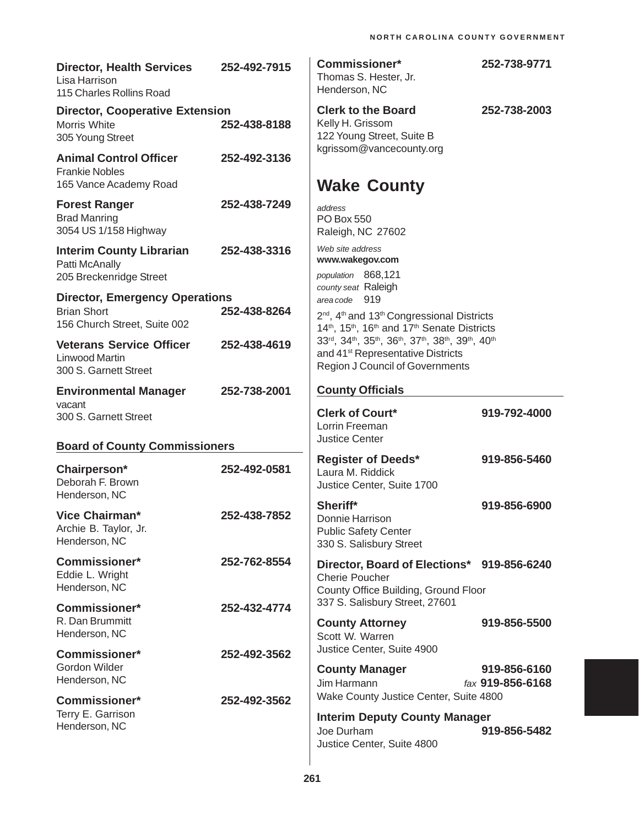| <b>Director, Health Services</b><br>Lisa Harrison<br>115 Charles Rollins Road               | 252-492-7915 | <b>Commissioner*</b><br>Thomas S. Hester, Jr.<br>Henderson, NC                                                                                                                                                         | 252-738-9771                     |
|---------------------------------------------------------------------------------------------|--------------|------------------------------------------------------------------------------------------------------------------------------------------------------------------------------------------------------------------------|----------------------------------|
| <b>Director, Cooperative Extension</b><br><b>Morris White</b><br>305 Young Street           | 252-438-8188 | <b>Clerk to the Board</b><br>Kelly H. Grissom<br>122 Young Street, Suite B                                                                                                                                             | 252-738-2003                     |
| <b>Animal Control Officer</b><br><b>Frankie Nobles</b><br>165 Vance Academy Road            | 252-492-3136 | kgrissom@vancecounty.org<br><b>Wake County</b>                                                                                                                                                                         |                                  |
| <b>Forest Ranger</b><br><b>Brad Manring</b><br>3054 US 1/158 Highway                        | 252-438-7249 | address<br><b>PO Box 550</b><br>Raleigh, NC 27602                                                                                                                                                                      |                                  |
| <b>Interim County Librarian</b><br>Patti McAnally<br>205 Breckenridge Street                | 252-438-3316 | Web site address<br>www.wakegov.com<br>population 868,121                                                                                                                                                              |                                  |
| <b>Director, Emergency Operations</b><br><b>Brian Short</b><br>156 Church Street, Suite 002 | 252-438-8264 | county seat Raleigh<br>area code 919<br>2 <sup>nd</sup> , 4 <sup>th</sup> and 13 <sup>th</sup> Congressional Districts<br>14 <sup>th</sup> , 15 <sup>th</sup> , 16 <sup>th</sup> and 17 <sup>th</sup> Senate Districts |                                  |
| <b>Veterans Service Officer</b><br><b>Linwood Martin</b><br>300 S. Garnett Street           | 252-438-4619 | 33rd, 34th, 35th, 36th, 37th, 38th, 39th, 40th<br>and 41 <sup>st</sup> Representative Districts<br><b>Region J Council of Governments</b>                                                                              |                                  |
| <b>Environmental Manager</b><br>vacant                                                      | 252-738-2001 | <b>County Officials</b>                                                                                                                                                                                                |                                  |
| 300 S. Garnett Street                                                                       |              | <b>Clerk of Court*</b><br>Lorrin Freeman<br><b>Justice Center</b>                                                                                                                                                      | 919-792-4000                     |
| <b>Board of County Commissioners</b>                                                        |              |                                                                                                                                                                                                                        |                                  |
| Chairperson*<br>Deborah F. Brown<br>Henderson, NC                                           | 252-492-0581 | <b>Register of Deeds*</b><br>Laura M. Riddick<br>Justice Center, Suite 1700                                                                                                                                            | 919-856-5460                     |
| Vice Chairman*<br>Archie B. Taylor, Jr.<br>Henderson, NC                                    | 252-438-7852 | Sheriff*<br>Donnie Harrison<br><b>Public Safety Center</b><br>330 S. Salisbury Street                                                                                                                                  | 919-856-6900                     |
| <b>Commissioner*</b><br>Eddie L. Wright<br>Henderson, NC                                    | 252-762-8554 | Director, Board of Elections* 919-856-6240<br><b>Cherie Poucher</b><br>County Office Building, Ground Floor                                                                                                            |                                  |
| <b>Commissioner*</b><br>R. Dan Brummitt<br>Henderson, NC                                    | 252-432-4774 | 337 S. Salisbury Street, 27601<br><b>County Attorney</b><br>Scott W. Warren                                                                                                                                            | 919-856-5500                     |
| <b>Commissioner*</b><br>Gordon Wilder<br>Henderson, NC                                      | 252-492-3562 | Justice Center, Suite 4900<br><b>County Manager</b><br>Jim Harmann                                                                                                                                                     | 919-856-6160<br>fax 919-856-6168 |
| <b>Commissioner*</b>                                                                        | 252-492-3562 | Wake County Justice Center, Suite 4800                                                                                                                                                                                 |                                  |
| Terry E. Garrison<br>Henderson, NC                                                          |              | <b>Interim Deputy County Manager</b><br>Joe Durham<br>Justice Center, Suite 4800                                                                                                                                       | 919-856-5482                     |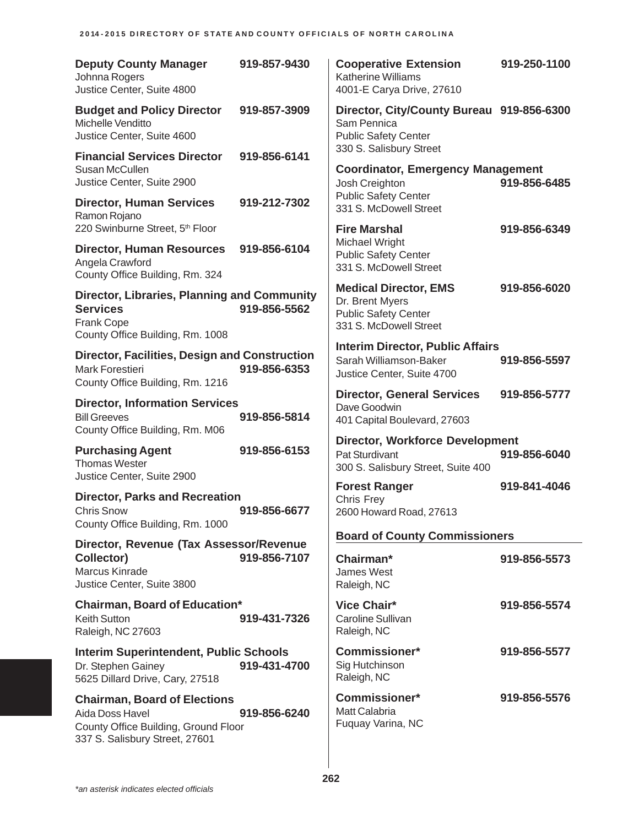| <b>Deputy County Manager</b><br>Johnna Rogers<br>Justice Center, Suite 4800                                                      | 919-857-9430 | <b>Cooperative Extension</b><br><b>Katherine Williams</b><br>4001-E Carya Drive, 27610                   | 919-250-1100 |
|----------------------------------------------------------------------------------------------------------------------------------|--------------|----------------------------------------------------------------------------------------------------------|--------------|
| <b>Budget and Policy Director</b><br>Michelle Venditto<br>Justice Center, Suite 4600                                             | 919-857-3909 | Director, City/County Bureau 919-856-6300<br>Sam Pennica<br><b>Public Safety Center</b>                  |              |
| <b>Financial Services Director</b><br>Susan McCullen<br>Justice Center, Suite 2900                                               | 919-856-6141 | 330 S. Salisbury Street<br><b>Coordinator, Emergency Management</b><br>Josh Creighton                    | 919-856-6485 |
| <b>Director, Human Services</b><br>Ramon Rojano<br>220 Swinburne Street, 5th Floor                                               | 919-212-7302 | <b>Public Safety Center</b><br>331 S. McDowell Street<br><b>Fire Marshal</b>                             | 919-856-6349 |
| <b>Director, Human Resources</b><br>Angela Crawford<br>County Office Building, Rm. 324                                           | 919-856-6104 | Michael Wright<br><b>Public Safety Center</b><br>331 S. McDowell Street                                  |              |
| <b>Director, Libraries, Planning and Community</b><br><b>Services</b><br><b>Frank Cope</b><br>County Office Building, Rm. 1008   | 919-856-5562 | <b>Medical Director, EMS</b><br>Dr. Brent Myers<br><b>Public Safety Center</b><br>331 S. McDowell Street | 919-856-6020 |
| <b>Director, Facilities, Design and Construction</b><br>Mark Forestieri<br>County Office Building, Rm. 1216                      | 919-856-6353 | <b>Interim Director, Public Affairs</b><br>Sarah Williamson-Baker<br>Justice Center, Suite 4700          | 919-856-5597 |
| <b>Director, Information Services</b><br><b>Bill Greeves</b><br>County Office Building, Rm. M06                                  | 919-856-5814 | <b>Director, General Services</b><br>Dave Goodwin<br>401 Capital Boulevard, 27603                        | 919-856-5777 |
| <b>Purchasing Agent</b><br><b>Thomas Wester</b><br>Justice Center, Suite 2900                                                    | 919-856-6153 | <b>Director, Workforce Development</b><br>Pat Sturdivant<br>300 S. Salisbury Street, Suite 400           | 919-856-6040 |
| <b>Director, Parks and Recreation</b><br><b>Chris Snow</b><br>County Office Building, Rm. 1000                                   | 919-856-6677 | <b>Forest Ranger</b><br>Chris Frey<br>2600 Howard Road, 27613                                            | 919-841-4046 |
| Director, Revenue (Tax Assessor/Revenue                                                                                          |              | <b>Board of County Commissioners</b>                                                                     |              |
| Collector)<br>Marcus Kinrade<br>Justice Center, Suite 3800                                                                       | 919-856-7107 | Chairman*<br><b>James West</b><br>Raleigh, NC                                                            | 919-856-5573 |
| <b>Chairman, Board of Education*</b><br><b>Keith Sutton</b><br>Raleigh, NC 27603                                                 | 919-431-7326 | <b>Vice Chair*</b><br><b>Caroline Sullivan</b><br>Raleigh, NC                                            | 919-856-5574 |
| <b>Interim Superintendent, Public Schools</b><br>Dr. Stephen Gainey<br>5625 Dillard Drive, Cary, 27518                           | 919-431-4700 | <b>Commissioner*</b><br>Sig Hutchinson<br>Raleigh, NC                                                    | 919-856-5577 |
| <b>Chairman, Board of Elections</b><br>Aida Doss Havel<br>County Office Building, Ground Floor<br>337 S. Salisbury Street, 27601 | 919-856-6240 | <b>Commissioner*</b><br>Matt Calabria<br>Fuquay Varina, NC                                               | 919-856-5576 |
|                                                                                                                                  |              |                                                                                                          |              |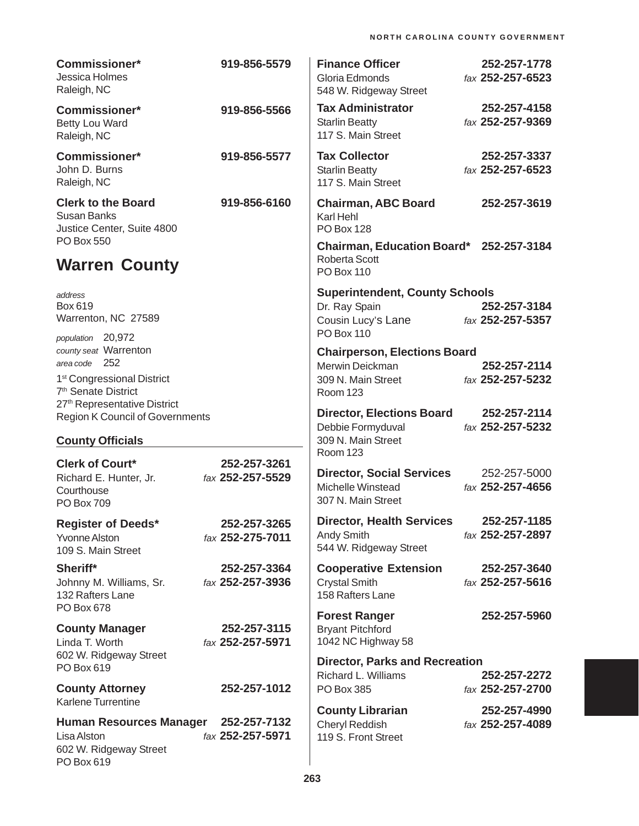| <b>Commissioner*</b><br>Jessica Holmes<br>Raleigh, NC                                                                                                           | 919-856-5579                     | <b>Finance Officer</b><br>Gloria Edmonds<br>548 W. Ridgeway Street                                | 252-257-1778<br>fax 252-257-6523 |
|-----------------------------------------------------------------------------------------------------------------------------------------------------------------|----------------------------------|---------------------------------------------------------------------------------------------------|----------------------------------|
| <b>Commissioner*</b><br><b>Betty Lou Ward</b><br>Raleigh, NC                                                                                                    | 919-856-5566                     | <b>Tax Administrator</b><br><b>Starlin Beatty</b><br>117 S. Main Street                           | 252-257-4158<br>fax 252-257-9369 |
| <b>Commissioner*</b><br>John D. Burns<br>Raleigh, NC                                                                                                            | 919-856-5577                     | <b>Tax Collector</b><br><b>Starlin Beatty</b><br>117 S. Main Street                               | 252-257-3337<br>fax 252-257-6523 |
| <b>Clerk to the Board</b><br><b>Susan Banks</b><br>Justice Center, Suite 4800                                                                                   | 919-856-6160                     | <b>Chairman, ABC Board</b><br>Karl Hehl<br><b>PO Box 128</b>                                      | 252-257-3619                     |
| <b>PO Box 550</b><br><b>Warren County</b>                                                                                                                       |                                  | Chairman, Education Board* 252-257-3184<br>Roberta Scott<br><b>PO Box 110</b>                     |                                  |
| address<br>Box 619<br>Warrenton, NC 27589<br>population 20,972                                                                                                  |                                  | <b>Superintendent, County Schools</b><br>Dr. Ray Spain<br>Cousin Lucy's Lane<br><b>PO Box 110</b> | 252-257-3184<br>fax 252-257-5357 |
| county seat Warrenton<br>area code 252<br>1 <sup>st</sup> Congressional District<br>7 <sup>th</sup> Senate District<br>27 <sup>th</sup> Representative District |                                  | <b>Chairperson, Elections Board</b><br>Merwin Deickman<br>309 N. Main Street<br><b>Room 123</b>   | 252-257-2114<br>fax 252-257-5232 |
| Region K Council of Governments<br><b>County Officials</b>                                                                                                      |                                  | <b>Director, Elections Board</b><br>Debbie Formyduval<br>309 N. Main Street                       | 252-257-2114<br>fax 252-257-5232 |
| <b>Clerk of Court*</b><br>Richard E. Hunter, Jr.<br>Courthouse<br><b>PO Box 709</b>                                                                             | 252-257-3261<br>fax 252-257-5529 | <b>Room 123</b><br><b>Director, Social Services</b><br>Michelle Winstead<br>307 N. Main Street    | 252-257-5000<br>fax 252-257-4656 |
| <b>Register of Deeds*</b><br><b>Yvonne Alston</b><br>109 S. Main Street                                                                                         | 252-257-3265<br>fax 252-275-7011 | <b>Director, Health Services</b><br><b>Andy Smith</b><br>544 W. Ridgeway Street                   | 252-257-1185<br>fax 252-257-2897 |
| Sheriff*<br>Johnny M. Williams, Sr.<br>132 Rafters Lane<br>PO Box 678                                                                                           | 252-257-3364<br>fax 252-257-3936 | <b>Cooperative Extension</b><br><b>Crystal Smith</b><br>158 Rafters Lane                          | 252-257-3640<br>fax 252-257-5616 |
| <b>County Manager</b><br>Linda T. Worth                                                                                                                         | 252-257-3115<br>fax 252-257-5971 | <b>Forest Ranger</b><br><b>Bryant Pitchford</b><br>1042 NC Highway 58                             | 252-257-5960                     |
| 602 W. Ridgeway Street<br>PO Box 619<br><b>County Attorney</b>                                                                                                  | 252-257-1012                     | <b>Director, Parks and Recreation</b><br>Richard L. Williams<br>PO Box 385                        | 252-257-2272<br>fax 252-257-2700 |
| Karlene Turrentine<br><b>Human Resources Manager</b><br>Lisa Alston<br>602 W. Ridgeway Street<br>PO Box 619                                                     | 252-257-7132<br>fax 252-257-5971 | <b>County Librarian</b><br>Cheryl Reddish<br>119 S. Front Street                                  | 252-257-4990<br>fax 252-257-4089 |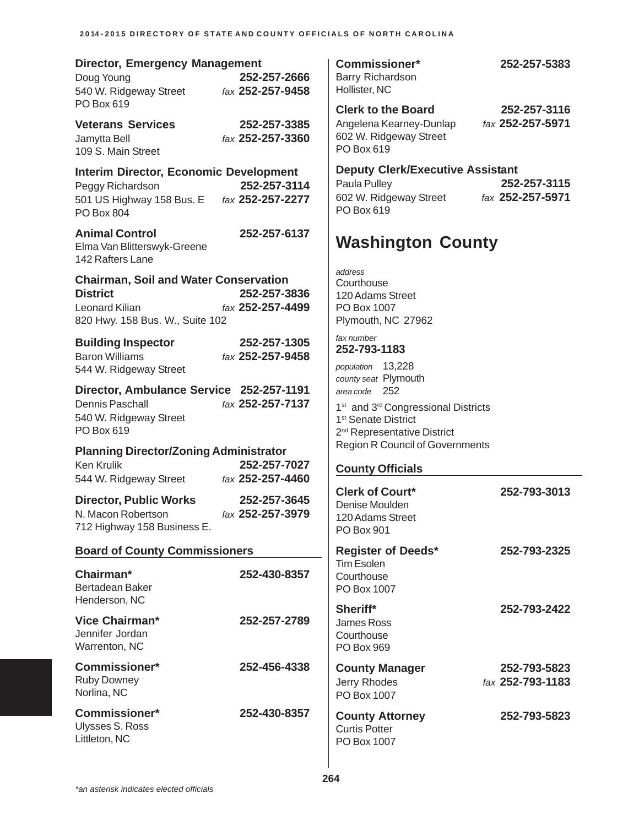| <b>Director, Emergency Management</b><br>Doug Young<br>540 W. Ridgeway Street                                                        | 252-257-2666<br>fax 252-257-9458 | Comn<br>Barry F<br>Holliste                                                               |
|--------------------------------------------------------------------------------------------------------------------------------------|----------------------------------|-------------------------------------------------------------------------------------------|
| PO Box 619                                                                                                                           |                                  | <b>Clerk</b><br>Angele                                                                    |
| <b>Veterans Services</b><br>Jamytta Bell<br>109 S. Main Street                                                                       | 252-257-3385<br>fax 252-257-3360 | 602 W.<br>PO Box                                                                          |
| <b>Interim Director, Economic Development</b><br>Peggy Richardson<br>501 US Highway 158 Bus. E fax 252-257-2277<br><b>PO Box 804</b> | 252-257-3114                     | <b>Deput</b><br>Paula F<br>602 W.<br>PO Box                                               |
| <b>Animal Control</b><br>Elma Van Blitterswyk-Greene<br>142 Rafters Lane                                                             | 252-257-6137                     | Was                                                                                       |
| <b>Chairman, Soil and Water Conservation</b><br><b>District</b><br>Leonard Kilian<br>820 Hwy. 158 Bus. W., Suite 102                 | 252-257-3836<br>fax 252-257-4499 | address<br><b>Courth</b><br>120 Ad<br>PO Box<br>Plymou                                    |
| <b>Building Inspector</b><br><b>Baron Williams</b><br>544 W. Ridgeway Street                                                         | 252-257-1305<br>fax 252-257-9458 | fax numb<br>252-79<br>populatic                                                           |
| Director, Ambulance Service 252-257-1191<br>Dennis Paschall<br>540 W. Ridgeway Street<br>PO Box 619                                  | fax 252-257-7137                 | county s<br>area cod<br>1 <sup>st</sup> and<br>1 <sup>st</sup> Sen<br>2 <sup>nd</sup> Rep |
| <b>Planning Director/Zoning Administrator</b><br><b>Ken Krulik</b><br>544 W. Ridgeway Street                                         | 252-257-7027<br>fax 252-257-4460 | Region<br>Count                                                                           |
| <b>Director, Public Works</b><br>N. Macon Robertson<br>712 Highway 158 Business E.                                                   | 252-257-3645<br>fax 252-257-3979 | <b>Clerk</b><br>Denise<br>120 Ad<br>PO Box                                                |
| <b>Board of County Commissioners</b>                                                                                                 |                                  | <b>Regis</b>                                                                              |
| Chairman*<br>Bertadean Baker<br>Henderson, NC                                                                                        | 252-430-8357                     | Tim Es<br><b>Courth</b><br>PO Box                                                         |
| Vice Chairman*<br>Jennifer Jordan<br>Warrenton, NC                                                                                   | 252-257-2789                     | <b>Sherif</b><br>James<br><b>Courth</b><br>PO Box                                         |
| <b>Commissioner*</b><br><b>Ruby Downey</b><br>Norlina, NC                                                                            | 252-456-4338                     | Count<br>Jerry R<br>PO Box                                                                |
| <b>Commissioner*</b><br>Ulysses S. Ross<br>Littleton, NC                                                                             | 252-430-8357                     | Count<br>Curtis F<br>PO Box                                                               |

**Commissioner\* 252-257-5383** Richardson  $H, NC$ 

**Clerk to the Board 252-257-3116**

Angelena Kearney-Dunlap *fax* **252-257-5971 Ridgeway Street**  $x 619$ 

**y Clerk/Executive Assistant** Pulley **252-257-3115** 602 W. Ridgeway Street *fax* **252-257-5971** x 619

## **Washington County**

ouse lams Street  $x 1007$ uth, NC 27962

*fax number* **252-793-1183**

*population* 13,228 eat Plymouth *area code* 252

3rd Congressional Districts ate District <sub>presentative District</sub> R Council of Governments

## **cy Officials**

| -4400<br>7-3645<br>'-3979 | <b>Clerk of Court*</b><br>Denise Moulden<br>120 Adams Street<br><b>PO Box 901</b> | 252-793-3013     |
|---------------------------|-----------------------------------------------------------------------------------|------------------|
|                           | <b>Register of Deeds*</b>                                                         | 252-793-2325     |
| )-8357                    | <b>Tim Esolen</b><br>Courthouse<br>PO Box 1007                                    |                  |
| 7-2789                    | Sheriff*<br>James Ross<br>Courthouse<br>PO Box 969                                | 252-793-2422     |
| $5 - 4338$                | <b>County Manager</b>                                                             | 252-793-5823     |
|                           | Jerry Rhodes<br>PO Box 1007                                                       | fax 252-793-1183 |
| )-8357                    | <b>County Attorney</b><br><b>Curtis Potter</b><br>PO Box 1007                     | 252-793-5823     |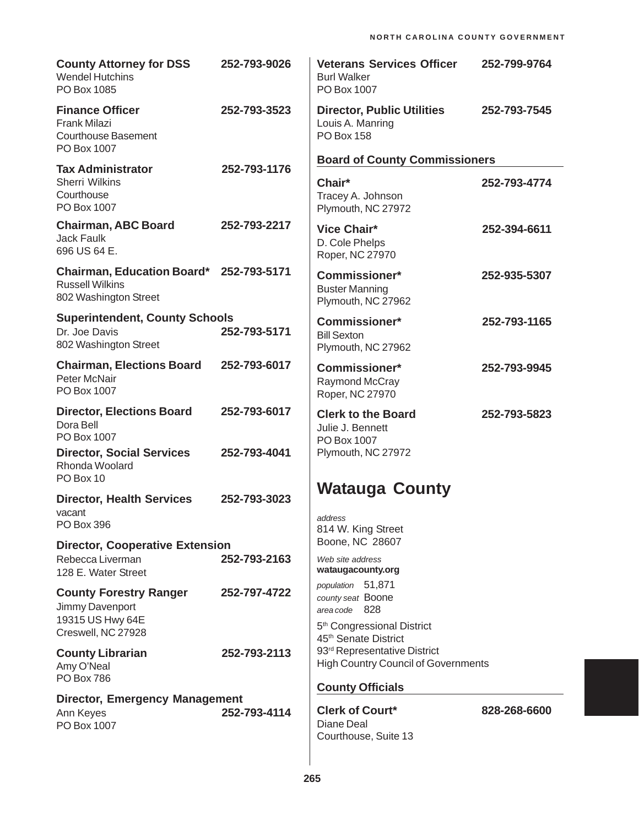| <b>County Attorney for DSS</b><br><b>Wendel Hutchins</b><br>PO Box 1085                    | 252-793-9026 | <b>Veterans Services Officer</b><br><b>Burl Walker</b><br>PO Box 1007                                                                 | 252-799-9764 |
|--------------------------------------------------------------------------------------------|--------------|---------------------------------------------------------------------------------------------------------------------------------------|--------------|
| <b>Finance Officer</b><br>Frank Milazi<br><b>Courthouse Basement</b><br>PO Box 1007        | 252-793-3523 | <b>Director, Public Utilities</b><br>Louis A. Manring<br><b>PO Box 158</b>                                                            | 252-793-7545 |
| <b>Tax Administrator</b>                                                                   | 252-793-1176 | <b>Board of County Commissioners</b>                                                                                                  |              |
| <b>Sherri Wilkins</b><br>Courthouse<br>PO Box 1007                                         |              | Chair*<br>Tracey A. Johnson<br>Plymouth, NC 27972                                                                                     | 252-793-4774 |
| <b>Chairman, ABC Board</b><br><b>Jack Faulk</b><br>696 US 64 E.                            | 252-793-2217 | <b>Vice Chair*</b><br>D. Cole Phelps<br>Roper, NC 27970                                                                               | 252-394-6611 |
| Chairman, Education Board* 252-793-5171<br><b>Russell Wilkins</b><br>802 Washington Street |              | <b>Commissioner*</b><br><b>Buster Manning</b><br>Plymouth, NC 27962                                                                   | 252-935-5307 |
| <b>Superintendent, County Schools</b><br>Dr. Joe Davis<br>802 Washington Street            | 252-793-5171 | <b>Commissioner*</b><br><b>Bill Sexton</b><br>Plymouth, NC 27962                                                                      | 252-793-1165 |
| <b>Chairman, Elections Board</b><br>Peter McNair<br>PO Box 1007                            | 252-793-6017 | <b>Commissioner*</b><br>Raymond McCray<br>Roper, NC 27970                                                                             | 252-793-9945 |
| <b>Director, Elections Board</b><br>Dora Bell<br>PO Box 1007                               | 252-793-6017 | <b>Clerk to the Board</b><br>Julie J. Bennett<br>PO Box 1007                                                                          | 252-793-5823 |
| <b>Director, Social Services</b><br>Rhonda Woolard<br>PO Box 10                            | 252-793-4041 | Plymouth, NC 27972                                                                                                                    |              |
| <b>Director, Health Services</b>                                                           | 252-793-3023 | <b>Watauga County</b>                                                                                                                 |              |
| vacant<br><b>PO Box 396</b>                                                                |              | address<br>814 W. King Street                                                                                                         |              |
| <b>Director, Cooperative Extension</b>                                                     |              | Boone, NC 28607                                                                                                                       |              |
| Rebecca Liverman<br>128 E. Water Street                                                    | 252-793-2163 | Web site address<br>wataugacounty.org                                                                                                 |              |
| <b>County Forestry Ranger</b><br>Jimmy Davenport<br>19315 US Hwy 64E<br>Creswell, NC 27928 | 252-797-4722 | population 51,871<br>county seat Boone<br>area code 828<br>5 <sup>th</sup> Congressional District<br>45 <sup>th</sup> Senate District |              |
| <b>County Librarian</b><br>Amy O'Neal<br><b>PO Box 786</b>                                 | 252-793-2113 | 93 <sup>rd</sup> Representative District<br><b>High Country Council of Governments</b>                                                |              |
| <b>Director, Emergency Management</b>                                                      |              | <b>County Officials</b>                                                                                                               |              |
| Ann Keyes<br>PO Box 1007                                                                   | 252-793-4114 | <b>Clerk of Court*</b><br>Diane Deal<br>Courthouse, Suite 13                                                                          | 828-268-6600 |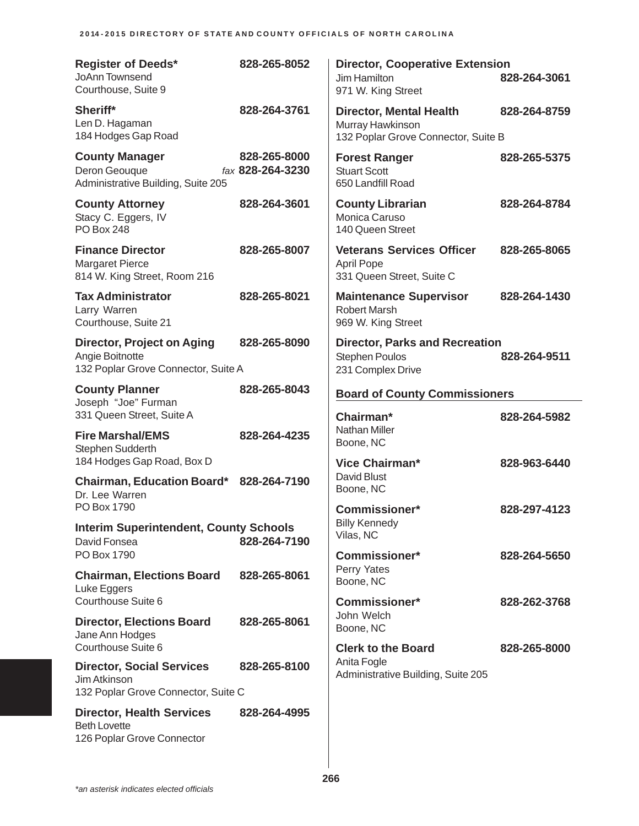| <b>Register of Deeds*</b><br>JoAnn Townsend<br>Courthouse, Suite 9                          | 828-265-8052                     | <b>Director, Cooperative Extension</b><br>Jim Hamilton<br>971 W. King Street              | 828-264-3061 |
|---------------------------------------------------------------------------------------------|----------------------------------|-------------------------------------------------------------------------------------------|--------------|
| Sheriff*<br>Len D. Hagaman<br>184 Hodges Gap Road                                           | 828-264-3761                     | <b>Director, Mental Health</b><br>Murray Hawkinson<br>132 Poplar Grove Connector, Suite B | 828-264-8759 |
| <b>County Manager</b><br>Deron Geouque<br>Administrative Building, Suite 205                | 828-265-8000<br>fax 828-264-3230 | <b>Forest Ranger</b><br><b>Stuart Scott</b><br>650 Landfill Road                          | 828-265-5375 |
| <b>County Attorney</b><br>Stacy C. Eggers, IV<br><b>PO Box 248</b>                          | 828-264-3601                     | <b>County Librarian</b><br>Monica Caruso<br>140 Queen Street                              | 828-264-8784 |
| <b>Finance Director</b><br><b>Margaret Pierce</b><br>814 W. King Street, Room 216           | 828-265-8007                     | <b>Veterans Services Officer</b><br><b>April Pope</b><br>331 Queen Street, Suite C        | 828-265-8065 |
| <b>Tax Administrator</b><br>Larry Warren<br>Courthouse, Suite 21                            | 828-265-8021                     | <b>Maintenance Supervisor</b><br><b>Robert Marsh</b><br>969 W. King Street                | 828-264-1430 |
| <b>Director, Project on Aging</b><br>Angie Boitnotte<br>132 Poplar Grove Connector, Suite A | 828-265-8090                     | <b>Director, Parks and Recreation</b><br><b>Stephen Poulos</b><br>231 Complex Drive       | 828-264-9511 |
| <b>County Planner</b><br>Joseph "Joe" Furman                                                | 828-265-8043                     | <b>Board of County Commissioners</b>                                                      |              |
| 331 Queen Street, Suite A                                                                   |                                  | Chairman*                                                                                 | 828-264-5982 |
| <b>Fire Marshal/EMS</b><br>Stephen Sudderth                                                 | 828-264-4235                     | Nathan Miller<br>Boone, NC                                                                |              |
| 184 Hodges Gap Road, Box D<br><b>Chairman, Education Board*</b>                             | 828-264-7190                     | Vice Chairman*<br>David Blust<br>Boone, NC                                                | 828-963-6440 |
| Dr. Lee Warren<br>PO Box 1790                                                               |                                  | <b>Commissioner*</b>                                                                      | 828-297-4123 |
| <b>Interim Superintendent, County Schools</b><br>David Fonsea                               | 828-264-7190                     | <b>Billy Kennedy</b><br>Vilas, NC                                                         |              |
| PO Box 1790                                                                                 |                                  | <b>Commissioner*</b><br>Perry Yates                                                       | 828-264-5650 |
| <b>Chairman, Elections Board</b><br>Luke Eggers                                             | 828-265-8061                     | Boone, NC                                                                                 |              |
| Courthouse Suite 6                                                                          | 828-265-8061                     | <b>Commissioner*</b><br>John Welch                                                        | 828-262-3768 |
| <b>Director, Elections Board</b><br>Jane Ann Hodges<br>Courthouse Suite 6                   |                                  | Boone, NC<br><b>Clerk to the Board</b>                                                    | 828-265-8000 |
| <b>Director, Social Services</b><br>Jim Atkinson<br>132 Poplar Grove Connector, Suite C     | 828-265-8100                     | Anita Fogle<br>Administrative Building, Suite 205                                         |              |
| <b>Director, Health Services</b><br><b>Beth Lovette</b><br>126 Poplar Grove Connector       | 828-264-4995                     |                                                                                           |              |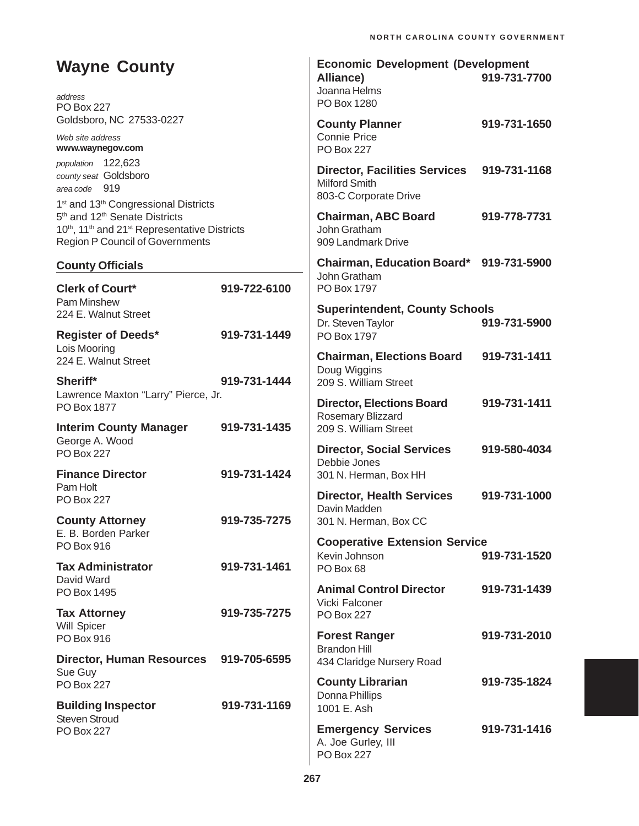| <b>Wayne County</b><br>address<br><b>PO Box 227</b>                                                                                                                                                                                                  |                              | <b>Economic Development (Development</b><br><b>Alliance)</b><br>Joanna Helms<br>PO Box 1280             | 919-731-7700 |
|------------------------------------------------------------------------------------------------------------------------------------------------------------------------------------------------------------------------------------------------------|------------------------------|---------------------------------------------------------------------------------------------------------|--------------|
| Goldsboro, NC 27533-0227<br>Web site address<br>www.waynegov.com                                                                                                                                                                                     |                              | <b>County Planner</b><br><b>Connie Price</b><br><b>PO Box 227</b>                                       | 919-731-1650 |
| population 122,623<br>county seat Goldsboro<br>area code 919                                                                                                                                                                                         |                              | <b>Director, Facilities Services</b><br><b>Milford Smith</b><br>803-C Corporate Drive                   | 919-731-1168 |
| 1 <sup>st</sup> and 13 <sup>th</sup> Congressional Districts<br>5 <sup>th</sup> and 12 <sup>th</sup> Senate Districts<br>10 <sup>th</sup> , 11 <sup>th</sup> and 21 <sup>st</sup> Representative Districts<br><b>Region P Council of Governments</b> |                              | <b>Chairman, ABC Board</b><br>John Gratham<br>909 Landmark Drive                                        | 919-778-7731 |
| <b>County Officials</b>                                                                                                                                                                                                                              |                              | Chairman, Education Board* 919-731-5900                                                                 |              |
| <b>Clerk of Court*</b><br>Pam Minshew                                                                                                                                                                                                                | 919-722-6100                 | John Gratham<br>PO Box 1797                                                                             |              |
| 224 E. Walnut Street<br><b>Register of Deeds*</b>                                                                                                                                                                                                    | 919-731-1449                 | <b>Superintendent, County Schools</b><br>Dr. Steven Taylor<br>PO Box 1797                               | 919-731-5900 |
| Lois Mooring<br>224 E. Walnut Street                                                                                                                                                                                                                 |                              | <b>Chairman, Elections Board</b><br>Doug Wiggins                                                        | 919-731-1411 |
| Sheriff*<br>Lawrence Maxton "Larry" Pierce, Jr.<br>PO Box 1877<br><b>Interim County Manager</b>                                                                                                                                                      | 919-731-1444<br>919-731-1435 | 209 S. William Street<br><b>Director, Elections Board</b><br>Rosemary Blizzard<br>209 S. William Street | 919-731-1411 |
| George A. Wood<br><b>PO Box 227</b><br><b>Finance Director</b>                                                                                                                                                                                       | 919-731-1424                 | <b>Director, Social Services</b><br>Debbie Jones<br>301 N. Herman, Box HH                               | 919-580-4034 |
| Pam Holt<br><b>PO Box 227</b>                                                                                                                                                                                                                        |                              | <b>Director, Health Services</b><br>Davin Madden                                                        | 919-731-1000 |
| <b>County Attorney</b><br>E. B. Borden Parker<br>PO Box 916                                                                                                                                                                                          | 919-735-7275                 | 301 N. Herman, Box CC<br><b>Cooperative Extension Service</b>                                           |              |
| <b>Tax Administrator</b><br>David Ward                                                                                                                                                                                                               | 919-731-1461                 | Kevin Johnson<br>PO Box 68                                                                              | 919-731-1520 |
| PO Box 1495                                                                                                                                                                                                                                          |                              | <b>Animal Control Director</b><br>Vicki Falconer                                                        | 919-731-1439 |
| <b>Tax Attorney</b><br>Will Spicer<br>PO Box 916                                                                                                                                                                                                     | 919-735-7275                 | <b>PO Box 227</b><br><b>Forest Ranger</b>                                                               | 919-731-2010 |
| <b>Director, Human Resources</b><br>Sue Guy                                                                                                                                                                                                          | 919-705-6595                 | <b>Brandon Hill</b><br>434 Claridge Nursery Road                                                        |              |
| <b>PO Box 227</b>                                                                                                                                                                                                                                    |                              | <b>County Librarian</b><br>Donna Phillips                                                               | 919-735-1824 |
| <b>Building Inspector</b><br><b>Steven Stroud</b>                                                                                                                                                                                                    | 919-731-1169                 | 1001 E. Ash                                                                                             |              |
| <b>PO Box 227</b>                                                                                                                                                                                                                                    |                              | <b>Emergency Services</b><br>A. Joe Gurley, III<br><b>PO Box 227</b>                                    | 919-731-1416 |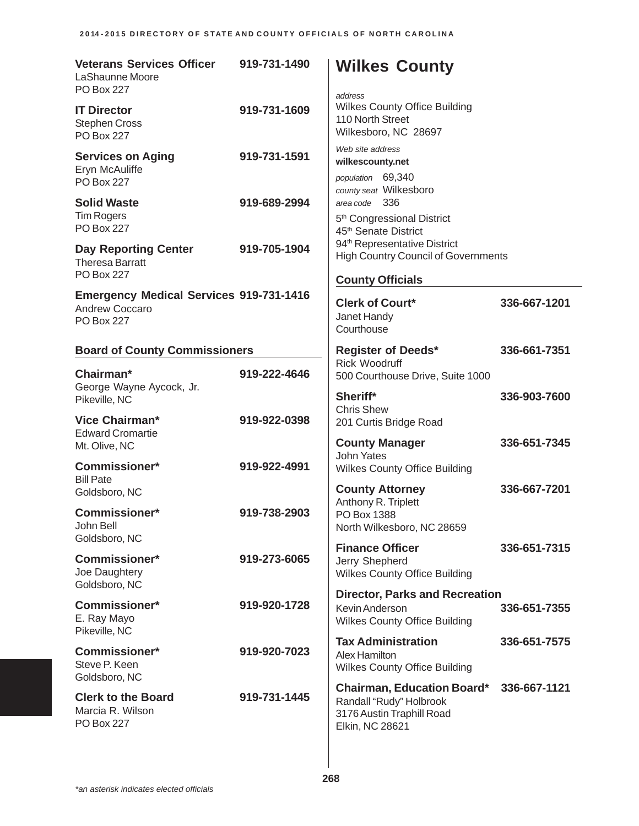| <b>Veterans Services Officer</b><br>LaShaunne Moore<br><b>PO Box 227</b>              | 919-731-1490 | <b>Wilkes County</b><br>address                                                                              |              |
|---------------------------------------------------------------------------------------|--------------|--------------------------------------------------------------------------------------------------------------|--------------|
| <b>IT Director</b><br><b>Stephen Cross</b><br><b>PO Box 227</b>                       | 919-731-1609 | <b>Wilkes County Office Building</b><br>110 North Street<br>Wilkesboro, NC 28697                             |              |
| <b>Services on Aging</b><br>Eryn McAuliffe<br><b>PO Box 227</b>                       | 919-731-1591 | Web site address<br>wilkescounty.net<br>population 69,340<br>county seat Wilkesboro                          |              |
| <b>Solid Waste</b><br><b>Tim Rogers</b><br><b>PO Box 227</b>                          | 919-689-2994 | area code 336<br>5 <sup>th</sup> Congressional District<br>45 <sup>th</sup> Senate District                  |              |
| <b>Day Reporting Center</b><br><b>Theresa Barratt</b><br><b>PO Box 227</b>            | 919-705-1904 | 94 <sup>th</sup> Representative District<br><b>High Country Council of Governments</b>                       |              |
|                                                                                       |              | <b>County Officials</b>                                                                                      |              |
| <b>Emergency Medical Services 919-731-1416</b><br>Andrew Coccaro<br><b>PO Box 227</b> |              | <b>Clerk of Court*</b><br>Janet Handy<br>Courthouse                                                          | 336-667-1201 |
| <b>Board of County Commissioners</b>                                                  |              | <b>Register of Deeds*</b>                                                                                    | 336-661-7351 |
| Chairman*<br>George Wayne Aycock, Jr.                                                 | 919-222-4646 | <b>Rick Woodruff</b><br>500 Courthouse Drive, Suite 1000                                                     |              |
| Pikeville, NC<br><b>Vice Chairman*</b>                                                | 919-922-0398 | Sheriff*<br><b>Chris Shew</b>                                                                                | 336-903-7600 |
| <b>Edward Cromartie</b><br>Mt. Olive, NC                                              |              | 201 Curtis Bridge Road<br><b>County Manager</b>                                                              | 336-651-7345 |
| <b>Commissioner*</b><br><b>Bill Pate</b>                                              | 919-922-4991 | <b>John Yates</b><br><b>Wilkes County Office Building</b>                                                    |              |
| Goldsboro, NC                                                                         |              | <b>County Attorney</b>                                                                                       | 336-667-7201 |
| <b>Commissioner*</b><br>John Bell<br>Goldsboro, NC                                    | 919-738-2903 | Anthony R. Triplett<br>PO Box 1388<br>North Wilkesboro, NC 28659                                             |              |
| <b>Commissioner*</b><br>Joe Daughtery                                                 | 919-273-6065 | <b>Finance Officer</b><br>Jerry Shepherd<br><b>Wilkes County Office Building</b>                             | 336-651-7315 |
| Goldsboro, NC<br>Commissioner*<br>E. Ray Mayo                                         | 919-920-1728 | <b>Director, Parks and Recreation</b><br>Kevin Anderson<br><b>Wilkes County Office Building</b>              | 336-651-7355 |
| Pikeville, NC                                                                         |              | <b>Tax Administration</b>                                                                                    |              |
| <b>Commissioner*</b><br>Steve P. Keen<br>Goldsboro, NC                                | 919-920-7023 | Alex Hamilton<br><b>Wilkes County Office Building</b>                                                        | 336-651-7575 |
| <b>Clerk to the Board</b><br>Marcia R. Wilson<br>PO Box 227                           | 919-731-1445 | <b>Chairman, Education Board*</b><br>Randall "Rudy" Holbrook<br>3176 Austin Traphill Road<br>Elkin, NC 28621 | 336-667-1121 |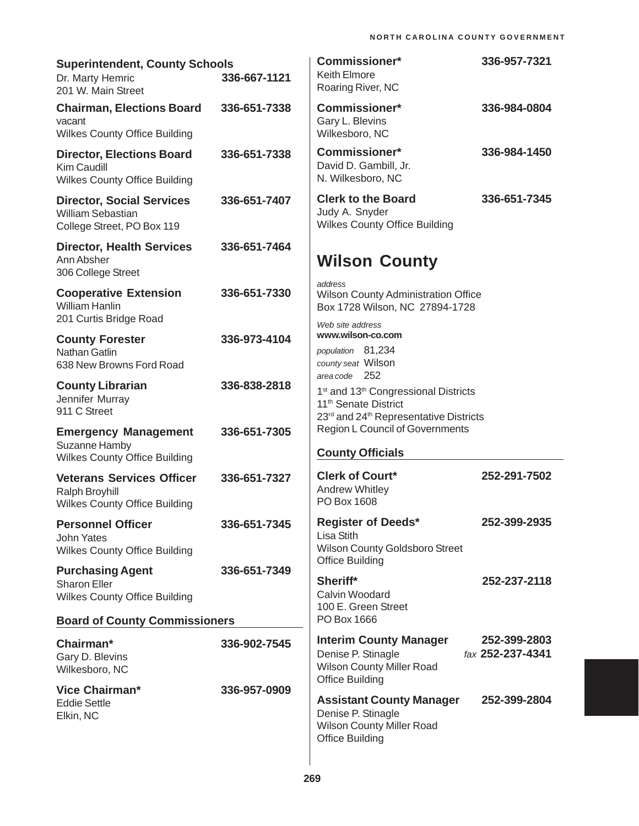| <b>Superintendent, County Schools</b><br>Dr. Marty Hemric<br>201 W. Main Street                | 336-667-1121 | <b>Commissioner*</b><br><b>Keith Elmore</b><br>Roaring River, NC                                                                                               | 336-957-7321                     |
|------------------------------------------------------------------------------------------------|--------------|----------------------------------------------------------------------------------------------------------------------------------------------------------------|----------------------------------|
| <b>Chairman, Elections Board</b><br>vacant<br><b>Wilkes County Office Building</b>             | 336-651-7338 | <b>Commissioner*</b><br>Gary L. Blevins<br>Wilkesboro, NC                                                                                                      | 336-984-0804                     |
| <b>Director, Elections Board</b><br><b>Kim Caudill</b><br><b>Wilkes County Office Building</b> | 336-651-7338 | Commissioner*<br>David D. Gambill, Jr.<br>N. Wilkesboro, NC                                                                                                    | 336-984-1450                     |
| <b>Director, Social Services</b><br><b>William Sebastian</b><br>College Street, PO Box 119     | 336-651-7407 | <b>Clerk to the Board</b><br>Judy A. Snyder<br><b>Wilkes County Office Building</b>                                                                            | 336-651-7345                     |
| <b>Director, Health Services</b><br>Ann Absher<br>306 College Street                           | 336-651-7464 | <b>Wilson County</b>                                                                                                                                           |                                  |
| <b>Cooperative Extension</b><br><b>William Hanlin</b><br>201 Curtis Bridge Road                | 336-651-7330 | address<br><b>Wilson County Administration Office</b><br>Box 1728 Wilson, NC 27894-1728                                                                        |                                  |
| <b>County Forester</b><br><b>Nathan Gatlin</b><br>638 New Browns Ford Road                     | 336-973-4104 | Web site address<br>www.wilson-co.com<br>population 81,234<br>county seat Wilson                                                                               |                                  |
| <b>County Librarian</b><br>Jennifer Murray<br>911 C Street                                     | 336-838-2818 | 252<br>area code<br>1 <sup>st</sup> and 13 <sup>th</sup> Congressional Districts<br>11 <sup>th</sup> Senate District<br>23rd and 24th Representative Districts |                                  |
| <b>Emergency Management</b><br>Suzanne Hamby<br><b>Wilkes County Office Building</b>           | 336-651-7305 | <b>Region L Council of Governments</b><br><b>County Officials</b>                                                                                              |                                  |
| <b>Veterans Services Officer</b><br>Ralph Broyhill<br><b>Wilkes County Office Building</b>     | 336-651-7327 | <b>Clerk of Court*</b><br>Andrew Whitley<br>PO Box 1608                                                                                                        | 252-291-7502                     |
| <b>Personnel Officer</b><br>John Yates<br><b>Wilkes County Office Building</b>                 | 336-651-7345 | <b>Register of Deeds*</b><br>Lisa Stith<br>Wilson County Goldsboro Street                                                                                      | 252-399-2935                     |
| <b>Purchasing Agent</b><br><b>Sharon Eller</b><br><b>Wilkes County Office Building</b>         | 336-651-7349 | <b>Office Building</b><br>Sheriff*<br>Calvin Woodard<br>100 E. Green Street                                                                                    | 252-237-2118                     |
| <b>Board of County Commissioners</b>                                                           |              | PO Box 1666                                                                                                                                                    |                                  |
| Chairman*<br>Gary D. Blevins<br>Wilkesboro, NC                                                 | 336-902-7545 | <b>Interim County Manager</b><br>Denise P. Stinagle<br>Wilson County Miller Road<br><b>Office Building</b>                                                     | 252-399-2803<br>fax 252-237-4341 |
| <b>Vice Chairman*</b><br><b>Eddie Settle</b><br>Elkin, NC                                      | 336-957-0909 | <b>Assistant County Manager</b><br>Denise P. Stinagle<br>Wilson County Miller Road<br><b>Office Building</b>                                                   | 252-399-2804                     |

 $\overline{\phantom{a}}$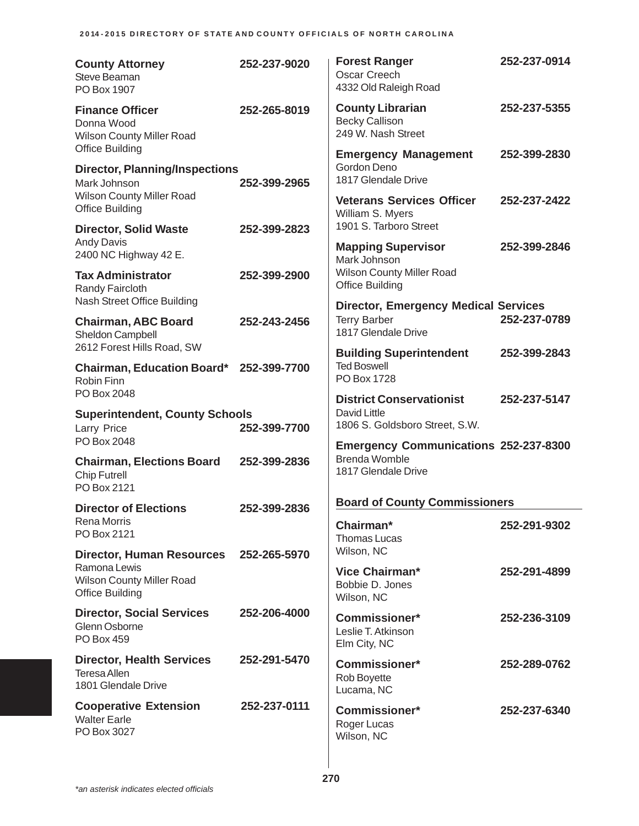| <b>County Attorney</b><br>Steve Beaman<br>PO Box 1907                                                         | 252-237-9020 | <b>Forest Ranger</b><br><b>Oscar Creech</b><br>4332 Old Raleigh Road                        | 252-237-0914 |
|---------------------------------------------------------------------------------------------------------------|--------------|---------------------------------------------------------------------------------------------|--------------|
| <b>Finance Officer</b><br>Donna Wood<br><b>Wilson County Miller Road</b>                                      | 252-265-8019 | <b>County Librarian</b><br><b>Becky Callison</b><br>249 W. Nash Street                      | 252-237-5355 |
| <b>Office Building</b><br><b>Director, Planning/Inspections</b><br>Mark Johnson                               | 252-399-2965 | <b>Emergency Management</b><br>Gordon Deno<br>1817 Glendale Drive                           | 252-399-2830 |
| <b>Wilson County Miller Road</b><br><b>Office Building</b>                                                    |              | <b>Veterans Services Officer</b><br>William S. Myers                                        | 252-237-2422 |
| <b>Director, Solid Waste</b><br><b>Andy Davis</b><br>2400 NC Highway 42 E.                                    | 252-399-2823 | 1901 S. Tarboro Street<br><b>Mapping Supervisor</b>                                         | 252-399-2846 |
| <b>Tax Administrator</b><br>Randy Faircloth                                                                   | 252-399-2900 | Mark Johnson<br><b>Wilson County Miller Road</b><br><b>Office Building</b>                  |              |
| Nash Street Office Building<br><b>Chairman, ABC Board</b><br>Sheldon Campbell                                 | 252-243-2456 | <b>Director, Emergency Medical Services</b><br><b>Terry Barber</b><br>1817 Glendale Drive   | 252-237-0789 |
| 2612 Forest Hills Road, SW                                                                                    |              | <b>Building Superintendent</b><br><b>Ted Boswell</b>                                        | 252-399-2843 |
| Chairman, Education Board* 252-399-7700<br>Robin Finn<br>PO Box 2048                                          |              | PO Box 1728                                                                                 |              |
| <b>Superintendent, County Schools</b><br>Larry Price                                                          | 252-399-7700 | <b>District Conservationist</b><br>David Little<br>1806 S. Goldsboro Street, S.W.           | 252-237-5147 |
| PO Box 2048<br><b>Chairman, Elections Board</b><br><b>Chip Futrell</b><br>PO Box 2121                         | 252-399-2836 | <b>Emergency Communications 252-237-8300</b><br><b>Brenda Womble</b><br>1817 Glendale Drive |              |
| <b>Director of Elections</b>                                                                                  | 252-399-2836 | <b>Board of County Commissioners</b>                                                        |              |
| Rena Morris<br>PO Box 2121                                                                                    |              | Chairman*<br><b>Thomas Lucas</b>                                                            | 252-291-9302 |
| Director, Human Resources 252-265-5970<br>Ramona Lewis<br>Wilson County Miller Road<br><b>Office Building</b> |              | Wilson, NC<br>Vice Chairman*<br>Bobbie D. Jones                                             | 252-291-4899 |
| <b>Director, Social Services</b><br>Glenn Osborne<br>PO Box 459                                               | 252-206-4000 | Wilson, NC<br><b>Commissioner*</b><br>Leslie T. Atkinson<br>Elm City, NC                    | 252-236-3109 |
| <b>Director, Health Services</b><br><b>Teresa Allen</b><br>1801 Glendale Drive                                | 252-291-5470 | <b>Commissioner*</b><br>Rob Boyette<br>Lucama, NC                                           | 252-289-0762 |
| <b>Cooperative Extension</b><br><b>Walter Earle</b><br>PO Box 3027                                            | 252-237-0111 | <b>Commissioner*</b><br>Roger Lucas<br>Wilson, NC                                           | 252-237-6340 |

÷.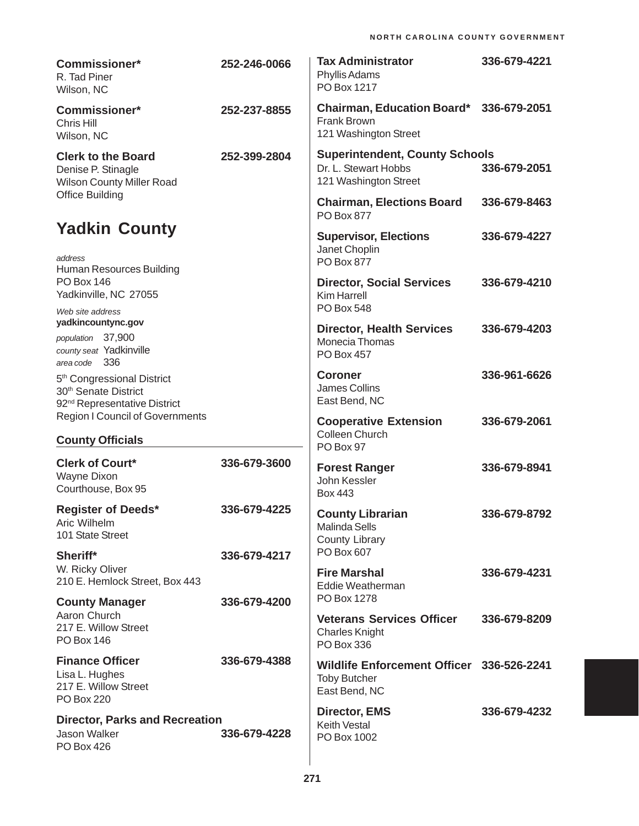| <b>Commissioner*</b><br>R. Tad Piner<br>Wilson, NC                                                                     | 252-246-0066 | <b>Tax Administrator</b><br>Phyllis Adams<br>PO Box 1217                               | 336-679-4221 |
|------------------------------------------------------------------------------------------------------------------------|--------------|----------------------------------------------------------------------------------------|--------------|
| <b>Commissioner*</b><br>Chris Hill<br>Wilson, NC                                                                       | 252-237-8855 | <b>Chairman, Education Board*</b><br>Frank Brown<br>121 Washington Street              | 336-679-2051 |
| <b>Clerk to the Board</b><br>Denise P. Stinagle<br>Wilson County Miller Road                                           | 252-399-2804 | <b>Superintendent, County Schools</b><br>Dr. L. Stewart Hobbs<br>121 Washington Street | 336-679-2051 |
| <b>Office Building</b>                                                                                                 |              | <b>Chairman, Elections Board</b><br><b>PO Box 877</b>                                  | 336-679-8463 |
| <b>Yadkin County</b>                                                                                                   |              | <b>Supervisor, Elections</b><br>Janet Choplin                                          | 336-679-4227 |
| address<br>Human Resources Building                                                                                    |              | <b>PO Box 877</b>                                                                      |              |
| <b>PO Box 146</b><br>Yadkinville, NC 27055<br>Web site address                                                         |              | <b>Director, Social Services</b><br><b>Kim Harrell</b><br><b>PO Box 548</b>            | 336-679-4210 |
| yadkincountync.gov                                                                                                     |              | <b>Director, Health Services</b>                                                       | 336-679-4203 |
| population 37,900<br>county seat Yadkinville<br>area code 336                                                          |              | Monecia Thomas<br><b>PO Box 457</b>                                                    |              |
| 5 <sup>th</sup> Congressional District<br>30 <sup>th</sup> Senate District<br>92 <sup>nd</sup> Representative District |              | <b>Coroner</b><br>James Collins<br>East Bend, NC                                       | 336-961-6626 |
| <b>Region I Council of Governments</b><br><b>County Officials</b>                                                      |              | <b>Cooperative Extension</b><br>Colleen Church                                         | 336-679-2061 |
|                                                                                                                        |              | PO Box 97                                                                              |              |
| <b>Clerk of Court*</b><br>Wayne Dixon<br>Courthouse, Box 95                                                            | 336-679-3600 | <b>Forest Ranger</b><br>John Kessler<br><b>Box 443</b>                                 | 336-679-8941 |
| <b>Register of Deeds*</b><br>Aric Wilhelm<br>101 State Street                                                          | 336-679-4225 | <b>County Librarian</b><br>Malinda Sells                                               | 336-679-8792 |
| Sheriff*                                                                                                               | 336-679-4217 | <b>County Library</b><br>PO Box 607                                                    |              |
| W. Ricky Oliver<br>210 E. Hemlock Street, Box 443                                                                      |              | <b>Fire Marshal</b><br>Eddie Weatherman                                                | 336-679-4231 |
| <b>County Manager</b>                                                                                                  | 336-679-4200 | PO Box 1278                                                                            |              |
| Aaron Church<br>217 E. Willow Street<br>PO Box 146                                                                     |              | <b>Veterans Services Officer</b><br><b>Charles Knight</b><br>PO Box 336                | 336-679-8209 |
| <b>Finance Officer</b><br>Lisa L. Hughes<br>217 E. Willow Street<br><b>PO Box 220</b>                                  | 336-679-4388 | Wildlife Enforcement Officer 336-526-2241<br><b>Toby Butcher</b><br>East Bend, NC      |              |
| <b>Director, Parks and Recreation</b><br>Jason Walker<br><b>PO Box 426</b>                                             | 336-679-4228 | <b>Director, EMS</b><br>Keith Vestal<br>PO Box 1002                                    | 336-679-4232 |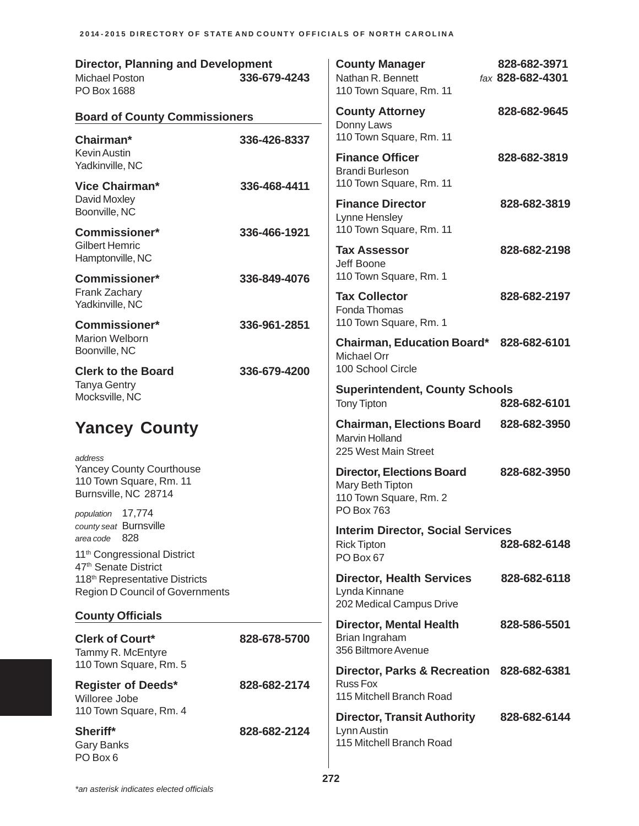| <b>Director, Planning and Development</b><br>Michael Poston<br>PO Box 1688                                               | 336-679-4243 | <b>County Manager</b><br>Nathan R. Bennett<br>110 Town Square, Rm. 11                            | 828-682-3971<br>fax 828-682-4301 |
|--------------------------------------------------------------------------------------------------------------------------|--------------|--------------------------------------------------------------------------------------------------|----------------------------------|
| <b>Board of County Commissioners</b>                                                                                     |              | <b>County Attorney</b><br>Donny Laws                                                             | 828-682-9645                     |
| Chairman*<br><b>Kevin Austin</b><br>Yadkinville, NC                                                                      | 336-426-8337 | 110 Town Square, Rm. 11<br><b>Finance Officer</b><br><b>Brandi Burleson</b>                      | 828-682-3819                     |
| <b>Vice Chairman*</b><br>David Moxley<br>Boonville, NC                                                                   | 336-468-4411 | 110 Town Square, Rm. 11<br><b>Finance Director</b><br>Lynne Hensley                              | 828-682-3819                     |
| <b>Commissioner*</b><br><b>Gilbert Hemric</b><br>Hamptonville, NC                                                        | 336-466-1921 | 110 Town Square, Rm. 11<br><b>Tax Assessor</b><br>Jeff Boone                                     | 828-682-2198                     |
| <b>Commissioner*</b><br>Frank Zachary<br>Yadkinville, NC                                                                 | 336-849-4076 | 110 Town Square, Rm. 1<br><b>Tax Collector</b>                                                   | 828-682-2197                     |
| Commissioner*<br><b>Marion Welborn</b>                                                                                   | 336-961-2851 | Fonda Thomas<br>110 Town Square, Rm. 1<br>Chairman, Education Board* 828-682-6101                |                                  |
| Boonville, NC<br><b>Clerk to the Board</b>                                                                               | 336-679-4200 | <b>Michael Orr</b><br>100 School Circle                                                          |                                  |
| <b>Tanya Gentry</b><br>Mocksville, NC                                                                                    |              | <b>Superintendent, County Schools</b><br><b>Tony Tipton</b>                                      | 828-682-6101                     |
| <b>Yancey County</b><br>address                                                                                          |              | <b>Chairman, Elections Board</b><br><b>Marvin Holland</b><br>225 West Main Street                | 828-682-3950                     |
| <b>Yancey County Courthouse</b><br>110 Town Square, Rm. 11<br>Burnsville, NC 28714                                       |              | <b>Director, Elections Board</b><br>Mary Beth Tipton<br>110 Town Square, Rm. 2                   | 828-682-3950                     |
| population 17,774<br>county seat Burnsville<br>- 828<br>area code<br>11 <sup>th</sup> Congressional District             |              | <b>PO Box 763</b><br><b>Interim Director, Social Services</b><br><b>Rick Tipton</b><br>PO Box 67 | 828-682-6148                     |
| 47 <sup>th</sup> Senate District<br>118 <sup>th</sup> Representative Districts<br><b>Region D Council of Governments</b> |              | <b>Director, Health Services</b><br>Lynda Kinnane<br>202 Medical Campus Drive                    | 828-682-6118                     |
| <b>County Officials</b>                                                                                                  |              | <b>Director, Mental Health</b>                                                                   | 828-586-5501                     |
| <b>Clerk of Court*</b><br>Tammy R. McEntyre<br>110 Town Square, Rm. 5                                                    | 828-678-5700 | Brian Ingraham<br>356 Biltmore Avenue                                                            |                                  |
| <b>Register of Deeds*</b><br>Willoree Jobe                                                                               | 828-682-2174 | Director, Parks & Recreation 828-682-6381<br><b>Russ Fox</b><br>115 Mitchell Branch Road         |                                  |
| 110 Town Square, Rm. 4<br>Sheriff*<br><b>Gary Banks</b><br>PO Box 6                                                      | 828-682-2124 | <b>Director, Transit Authority</b><br>Lynn Austin<br>115 Mitchell Branch Road                    | 828-682-6144                     |